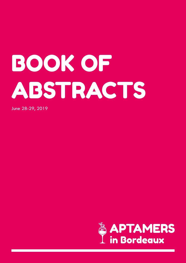# BOOK OF ABSTRACTS

June 28-29, 2019

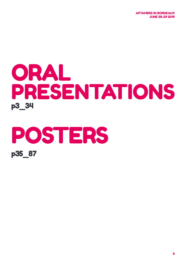APTAMERS IN BORDEAUX JUNE 28-29 2019

# ORAL PRESENTATIONS p3\_34

# POSTERS p35\_87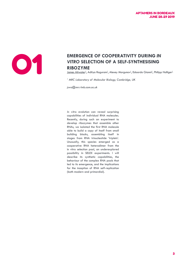

#### EMERGENCE OF COOPERATIVITY DURING IN VITRO SELECTION OF A SELF-SYNTHESISING<br>RIBOZYME *VITRO* **SELECTION OF A SELF-SYNTHESISING RIBOZYME**

<u>James Attwater<sup>1</sup>,</u> Aditya Raguram<sup>1</sup>, Alexey Morgunov<sup>1</sup>, Edoardo Gianni<sup>1</sup>, Philipp Holliger<sup>1</sup>

*1 MRC Laboratory of Molecular Biology, Cambridge, UK*

*jswa@mrc-lmb.cam.ac.uk*

*In vitro* evolution can reveal surprising capabilities of individual RNA molecules. Recently, during such an experiment to develop ribozymes that assemble other RNAs, we isolated the first RNA molecule able to build a copy of itself from small building blocks, assembling itself in stages from RNA trinucleotide 'triplets'. Unusually, this species emerged as a cooperative RNA heterodimer from the in vitro selection pool, an underexplored possibility in SELEX experiments. I will describe its synthetic capabilities, the behaviour of the complex RNA pools that led to its emergence, and the implications for the inception of RNA self-replication (both modern and primordial).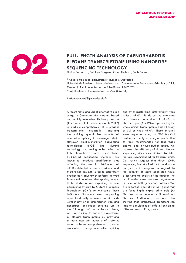

#### FULL-LENGTH ANALYSIS OF CAENORHABDITIS<br>ELEGANS TRANSCRIPTOME USING NANOPORE<br>SEQUENCING TECHNOLOGY **ELEGANS TRANSCRIPTOME USING NANOPORE SEQUENCING TECHNOLOGY**

Florian Bernard<sup>1, 2</sup>, Delphine Dargere<sup>1</sup>, Oded Rechavi<sup>2</sup>, Denis Dupuy<sup>1</sup>

<sup>1</sup> Acides Nucléiques : Régulations Naturelle et Artificielle Université de Bordeaux, Institut National de la Santé et de la Recherche Médicale : U1212, Centre National de la Recherche Scientifique : UMR5320 <sup>2</sup> Sagol School of Neuroscience - Tel Aviv University

*florian.bernard5@numericable.fr*

A recent meta-analysis of alternative exon usage in Caenorhabditis elegans based on publicly available RNA-seq dataset (Tourasse et al., Genome Research, 2017) refined our comprehension of C. elegans transcriptome, especially regarding the splicing quantitative aspects of alternative splicing in messenger RNAs. However, Next-Generation Sequencing technologies (NGS) like Illumina technology are proving to be limited to fully characterize one's transcriptome. PCR-based sequencing methods are known to introduce amplification bias affecting the overall distribution of mRNAs detected in one experiment and short-reads are not suited to accurately predict the frequency of isoforms derived from multiple alternative splicing events. In this study, we are exploiting the new possibilities offered by Oxford Nanopore Technology (ONT) to overcome those limitations. Nanopore-based sequencing allow to directly sequence nucleic acids without any prior amplification step and generates long-reads covering up to the full-length of the molecule. Hence, we are aiming to further characterize C. elegans transcriptome by providing a more accurate measure of isoforms ratios, a better comprehension of exons associations during alternative splicing

and by characterizing differentially trans spliced mRNAs. To do so, we analyzed two different populations of mRNAs: a library of poly(A) mRNAs representing the whole-animal transcriptome and a library of SL1-enriched mRNAs. Those libraries were sequenced using an ONT MinION device and analyzed using a combination of tools recommended for long-reads analysis and in-house python scripts. We assessed the efficiency of three different sequencing kits commercialized by ONT that are recommended for transcriptomics. Our results suggest that direct cDNA sequencing is most suited for transcriptome analysis in C. elegans, in regard to the quantity of data generated while preserving the quality of the dataset. The two libraries were compared together at the level of both genes and isoforms. We are reporting a set of non-SL1 genes that are found highly expressed in poly (A) libraries but not detected in SL1-enriched libraries. Additionally, we are also showing that alternatives promoters can lead to populations of isoforms exhibiting different trans-splicing status.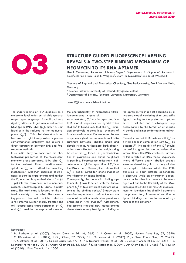

#### STRUCTURE GUIDED FLUORESCENCE LABELING<br>REVEALS A TWO-STEP BINDING MECHANISM ONEOMYCIN TO ITS RNA APTAMER **REVEALS A TWO-STEP BINDING MECHANISM OF NEOMYCIN TO ITS RNA APTAMER**

Henrik Gustmann<sup>1</sup>, Anna-Lena Johanna Segler<sup>2</sup>, Dnyaneshwar B. Gophane<sup>2</sup>, Andreas J. Reuss<sup>1</sup>, Markus Braun<sup>1</sup>, Julia E. Weigand<sup>3</sup>, Snorri Th. Sigurdsson<sup>2</sup> and <u>Josef Wachtveitl<sup>1</sup></u>

<sup>1</sup>Institute of Physical and Theoretical Chemistry, Goethe-University, Frankfurt am Main, Germany;

2 Science Institute, University of Iceland, Reykjavik, Iceland;

<sup>3</sup> Department of Biology, Technical University Darmstadt, Germany;

wveitl@theochem.uni-frankfurt.de

The understanding of RNA dynamics on a molecular level relies on suitable spectroscopic reporter groups. A small and very rigid cytidine analogue was introduced as DNA (Ç) or RNA label ( $\zeta_m$ ), either as spin label or in the reduced version as fluorophore  $(\zeta_{(m)}^{\{f\}^{1\!-\!3}}$  This label class stands out, because its rigid incorporation supresses conformational ambiguity and allows a direct comparison between EPR and fluorescence methods.

In an initial study, we compared the photophysical properties of the fluorescent, methoxy group protected, RNA-label  $\zeta_{\scriptscriptstyle \rm m}^{\scriptscriptstyle +}$ to the well-established non-fluorescent spin-label  $\varsigma_{m}$  and clarified the quenching mechanism.4 Quantum chemical calculations support the experimental finding that the  $\zeta$  emission is quenched via a fast ( $\leq$ 1 ps) internal conversion into a non-fluorescent, spectroscopically dark, doublet state. This dark state is located on the nitroxide moiety of the label. The quenching process also could be interpreted as a fast internal Dexter energy transfer. The full spectroscopic characterization of  $C_{m}$ and  $\zeta_{_{\mathrm{m}}}^{^{~~f}}$  provides an expanded view on the photochemistry of fluorophore-nitroxide-compounds in general.

As a next step,  $\zeta_{\scriptscriptstyle \rm m}^{\;\scriptscriptstyle \rm f}$  was incorporated into RNA model sequences for hybridization studies.<sup>5</sup> It turned out, that the  $\zeta_{m}^{f}$  emission sensitively reports local changes of its microenvironment. Fluorescence lifetime or quantum yield measurements could discriminate between labelled single and double strands. Furthermore, both observables are affected by the neighboring bases of the  $\zeta_{m}^{~~\dagger}$  label. Thus, a discrimination of pyrimidine and purine neighbors is possible. Fluorescence anisotropy indicates a very rigid incorporation of  $\boldsymbol{\zeta}_{\sf m}^{\;\;f}$  into the RNA strands. Overall, it was shown that  $\zeta_{m}^{~~\mathfrak{f}}$  is ideally suited for kinetic studies of hybridization or ligand binding.

Consequently, the neomycin binding aptamer (N1) was labelled with the fluorophore  $\boldsymbol{\zeta}_{\sf m}^{\;\;{\sf f}}$  at four different positions adjacent to the binding pocket.<sup>5</sup> Steady state emission experiments confirm the conformational selection mechanism previously proposed in NMR studies.<sup>6,7</sup> Furthermore, fluorescence stopped flow measurements demonstrate a very fast ligand binding to

the aptamer, which is best described by a two-step model, consisting of an unspecific ligand binding to the preformed aptamer as a first step and a subsequent step accompanied by the formation of specific H-bonds and minor conformational adjustments.

Currently, we test RNA-systems with  $\zeta_{m}^{~~\dagger}$  as a FRET-donor in combination with  $tC_{nirro}$  as acceptor.<sup>8,9</sup> The rigidity of the  $\zeta_m^{\text{f}}$  should be useful to gain distance and orientation information within RNA structures. Currently this is tested on RNA model sequences, where different singly labelled strands were combined to gain a variety of donor-acceptor distances within the RNA duplexes. A clear distance dependence is observed while an orientation dependence on the other hand seems to be averaged out due to the flexibility of the RNA. Subsequently, FRET and PELDOR measurements on identically labelled N1 aptamers are planned to gain more information on ligand binding and conformational dynamics of this aptamer.

#### References:

<sup>&</sup>lt;sup>1</sup> N. Barhate et al. (2007), Angew Chem Int Ed, 46, 2655; <sup>2</sup> P. Cekan et al. (2009), Nucleic Acids Res, 37, 3990;<br><sup>3</sup> C. Höbertner et al. (2012), L.Org Chem 77, 7749, <sup>4</sup> H. Gustmann et al. (2017), Phys Chem Chem Phys 19 <sup>3</sup> C. Höbartner et al. (2012), J Org Chem, 77, 7749; <sup>4</sup> H. Gustmann et al. (2017), Phys Chem Chem Phys, 19, 26255;<br><sup>5</sup> H. Gustmann et al. (2018), Nucleic Acids Res. 47, 15, <sup>6</sup> E. Duchardt-Eerner et al. (2010), Angew Ch H. Gustmann et al. (2018), Nucleic Acids Res, 47, 15; <sup>6</sup> E. Duchardt-Ferner et al. (2010), Angew Chem Int Ed, 49, 6216; <sup>7</sup> E. Duchardt-Ferner et al. (2016), Angew Chem Int Ed, 55, 1527; <sup>8</sup> K. Börjesson et al. (2009), J Am Chem Soc, 131, 4288; <sup>9</sup> S. Preus et al. (2010), J Phys Chem B, 114, 1050.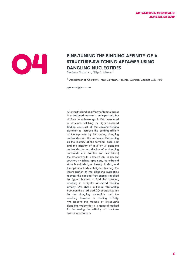

### **FINE-TUNING THE BINDING AFFINITY OF A<br>STRUCTURE-SWITCHING APTAMER USING<br>DANGLING NUCLEOTIDES**<br>Sladjana Slavkovic<sup>1</sup>, Philip E. Johnson<sup>1</sup> **STRUCTURE-SWITCHING APTAMER USING DANGLING NUCLEOTIDES**

Sladjana Slavkovic *<sup>1</sup>* , Philip E. Johnson *<sup>1</sup>*

<sup>1</sup> Department of Chemistry, York University, Toronto, Ontario, Canada M3J 1P3

*pjohnson@yorku.ca*

Altering the binding affinity of biomolecules in a designed manner is an important, but difficult to achieve goal. We have used a structure-switching or ligand-induced folding construct of the cocaine-binding aptamer to increase the binding affinity of the aptamer by introducing dangling nucleotides into the sequence. Depending on the identity of the terminal base pair and the identity of a 5' or 3' dangling nucleotide the introduction of a dangling nucleotide can stabilize (or destabilize) the structure with a known ΔG value. For structure-switching aptamers, the unbound state is unfolded, or loosely folded, and the aptamer folds with ligand binding. The incorporation of the dangling nucleotide reduces the needed free energy supplied by ligand binding to fold the aptamer, resulting in a tighter observed binding affinity. We obtain a linear relationship between the predicted ΔG of stabilization by the dangling nucleotide and the resulting increase in binding affinity. We believe this method of introducing dangling nucleotides is a general method for increasing the affinity of structureswitching aptamers.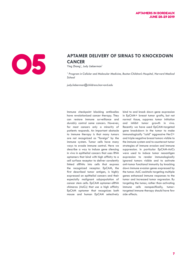

### **APTAMER DELIVERY OF SIRNAS TO KNOCKDOWN**<br>CANCER<br>Ying Zhang<sup>1</sup>, Judy Lieberman<sup>1</sup> **CANCER**

Ying Zhang<sup>1</sup>, Judy Lieberman<sup>1</sup>

<sup>1</sup> Program in Cellular and Molecular Medicine, Boston Children's Hospital, Harvard Medical *School*

*judy.lieberman@childrens.harvard.edu*

Immune checkpoint blocking antibodies have revolutionized cancer therapy. They can restore immune surveillance and durably control some cancers. However, for most cancers only a minority of patients responds. An important obstacle to immune therapy is that many tumors are not recognized as "foreign" by the immune system. Tumor cells have many ways to evade immune control. Here we describe a way to induce gene silencing in vivo in epithelial cancers that uses RNA aptamers that bind with high affinity to a cell surface receptor to deliver covalently linked siRNAs into cells that express the recognized receptor. EpCAM, the first described tumor antigen, is highly expressed on epithelial cancers and their especially malignant subpopulation of cancer stem cells. EpCAM aptamer-siRNA chimeras (AsiCs) that use a high affinity EpCAM aptamer that recognizes both mouse and human EpCAM selectively bind to and knock down gene expression in EpCAM+ breast tumor grafts, but not normal tissue, suppress tumor initiation and inhibit tumor growth in vivo. Recently we have used EpCAM-targeted gene knockdown in the tumor to make immunologically "cold" aggressive Her2+ and triple negative breast tumors visible to the immune system and to counteract tumor strategies of immune evasion and immune suppression. In particular EpCAM-AsiCs were used to induce tumor neoantigen expression to render immunologically ignored tumors visible and to activate anti-tumor functional immunity by knocking down immune evasion genes expressed by the tumor. AsiC cocktails targeting multiple genes enhanced immune responses to the tumor and increased tumor regression. By targeting the tumor, rather than activating immune cells nonspecifically, tumortargeted immune therapy should have few side effects.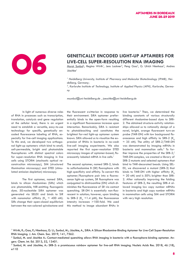

### **GENETICALLY ENCODED LIGHT-UP APTAMERS FOR LIVE-CELL SUPER-RESOLUTION RNA IMAGING**<br>Murat Sunbul<sup>1</sup>, Regina Wirth', Jens Lackner<sup>2</sup>, Peng Gao<sup>2</sup>, G. Ulrich Nienhaus<sup>2</sup>, Andres **LIVE-CELL SUPER-RESOLUTION RNA IMAGING**

Murat Sunbul<sup>1</sup>, Regina Wirth<sup>1</sup>, Jens Lackner<sup>2</sup>, Peng Gao<sup>2</sup>, G. Ulrich Nienhaus<sup>2</sup>, Andres Jäschke<sup>1</sup>

<sup>1</sup> Heidelberg University, Institute of Pharmacy and Molecular Biotechnology (IPMB), Hei*delberg, Germany;* 

*2 , Karlsruhe Institute of Technology, Institute of Applied Physics (APH), Karlsruhe, Germany*

*msunbul@uni-heidelberg.de , jaeschke@uni-heidelberg.de*

In light of numerous diverse roles of RNA in processes such as transcription, translation, catalysis and gene regulation at the cellular level, there is an urgent need to establish a versatile, easy-to-use technology for specific, genetically encoded fluorescence labeling of RNA, especially for live-cell imaging applications. To this end, we developed two orthogonal light-up aptamers which bind to small, cell-permeable, bright and photostable fluorophores with distinct spectral colors for super-resolution RNA imaging in live cells using STORM (stochastic optical reconstruction microscopy), SIM (structured illumination microscopy) and STED (stimulated emission depletion) microscopy.

The first aptamer, named SiRA, binds to silicon rhodamines (SiRs) which are photostable, NIR-emitting fluorogenic dyes. 50-nucleotide SiRA aptamer was generated via SELEX and binds to SiR with nanomolar affinity (K<sub>D</sub>  $\approx$  400 nM). SiRs change their open-closed equilibrium between the non-colored spirolactone and the fluorescent zwitterion in response to their environment. SiRA aptamer preferentially binds to the open-form resulting in a significant fluorescence increase upon interaction. Remarkably, SiRA is resistant to photobleaching and constitutes the brightest far-red light-up aptamer system known. SiRA allowed us to visualize the expression of RNAs in bacteria in no-wash live-cell imaging experiments. We also reported the first super-resolution STED microscopy images of aptamer-based, fluorescently labeled mRNA in live cells.<sup>1</sup>

The second aptamer, named SRB-2, binds to sulforhodamine B (SR) fluorophore with high specificity and affinity. To convert this aptamer/fluorophore pair into a fluorescence light-up system, SR fluorophore was conjugated to dinitroaniline (DN) which diminishes the fluorescence of SR via contact quenching. SR-DN is essentially non-fluorescent in solution; however, upon binding to SRB-2 (K<sub>D</sub>  $\approx$ 1.4 µM), the fluorescence intensity increases >100-fold. We used this method to image abundant RNAs in

live bacteria.<sup>2</sup> Then, we determined the binding constants of various structurally different rhodamine-based dyes to SRB-2. The obtained structure-activity relationships allowed us to rationally design of a novel, bright, orange fluorescent turn-on probe (TMR-DN) with low background fluorescence and high affinity to SRB-2  $(K_{\alpha})$ ≈ 35 nM). The utility of SRB-2/TMR-DN was demonstrated by imaging mRNAs in bacteria and mammalian cells.<sup>3</sup> To further improve the properties of the SRB-2/ TMR-DN complex, we created a library of SRB-2 mutants and selected aptamers that bind to TMR-decorated beads. Using SEL-EX, we discovered a mutant (SRB-3) that binds to TMR-DN with higher affinity  $(K_p)$ ≈ 20 nM) and is 50% brighter than SRB-2. After rationally improving the folding features of SRB-3, the resulting SRB-4 allowed imaging low copy number mRNAs in bacteria and high copy number mRNAs in mammalian cells using SIM and STORM with very high resolution.

<sup>1</sup> Wirth, R.; Gao, P.; Nienhaus, G. U.; Sunbul, M.; Jäschke, A., SiRA: A Silicon Rhodamine-Binding Aptamer for Live-Cell Super-Resolution RNA Imaging. J. Am. Chem. Soc. 2019, 141, 7562.

 $^2$  Sunbul, M. and Jäschke A.: Contact-mediated quenching allows RNA imaging in bacteria with a fluorophore-binding aptamer. Angew. Chem. Int. Ed. 2013, 52, 13401.

<sup>3</sup> Sunbul, M. and Jäschke, A.: SRB-2: a promiscuous rainbow aptamer for live-cell RNA imaging. Nucleic Acids Res. 2018, 46 (18), e110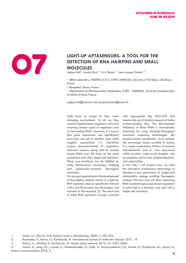

### LIGHT-UP APTASENSORS- A TOOL FOR THE DETECTION OF RNA HAIRPINS AND SMALL MOLECULES **DETECTION OF RNA HAIRPINS AND SMALL MOLECULES**

Arghya Sett<sup>1</sup>, Lorena Zara<sup>2, 3</sup>, Eric Dausse<sup>1,2</sup>, Jean-Jacques Toulmé<sup>1, 2</sup>

<sup>1</sup> ARNA Laboratory, INSERM U1212, CNRS UMR5320, University of Bordeaux, Bordeaux, *France* 

*2 Novaptech, Pessac, France*

*3 Département de Pharmacochimie Moléculaire, CNRS : UMR5063, Université Grenoble Alpes St Martin d'Hères, France.*

*arghya.sett@inserm.fr, jean-jacques.toulme@inserm.fr*

Cells have to adapt to their everchanging environment. To do so, they evolved sophisticated regulatory networks involving several types of regulators such as non-coding RNAs. However, it is known that gene expression can significantly vary from one cell to another even within isogenic populations [1]. Therefore, proper characterization of regulatory networks requires being able to monitor target RNAs over the time, on the same population and with a single-cell resolution. These two conditions can be fulfilled by using fluorescence microscopy imaging and genetically-encoded fluorogenic molecules.

Our group is specialized in the development of fluorogenic modules made of a light-up RNA aptamer able to specifically interact with a pro-fluorescent dye (fluorogen) and activate its fluorescence [2]. The small size of these RNA aptamers strongly contrasts

with approaches like MS2-GFP that require the use of tandem repeats of bulky protein-binding sites. The development efficiency of these RNAs is dramatically improved by using ultrahigh-throughput functional screening technologies like droplet-based microfluidics [3,4]. Indeed, this technology makes possible to screen, in a single experiment, millions of mutants individualized and in vitro expressed within picoliter water-in-oil droplets with an exquisite control over droplet dispersity and composition.

In this talk, I will present how we used this innovative evolutionary technology to develop a new generation of bright and photostable orange emitting fluorogenic module. This new tool will allow exploring RNA-mediated gene expression regulation in cells both in a dynamic way and with a single-cell resolution.

1. Locke, J.C.; Elowitz, M.B. Nature reviews. Microbiology 2009, 7, 383-392.

2. Bouhedda, F.; Autour, A.; Ryckelynck, M. International journal of molecular sciences 2017, 19.

4. Autour, A.; Jeng, S.C.; Cawte, A.; Abdolahzadeh, A.; Galli, A.; Panchapakesan, S.S.; Rueda, D.; Ryckelynck, M.; Unrau, P.J. Nature communications 2018, 9.

<sup>3.</sup> Autour, A.; Westhof, E.; Ryckelynck, M. Nucleic acids research 2016, 44, 2491-2500.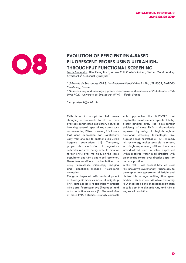

#### EVOLUTION OF EFFICIENT RNA-BASED<br>FLUORESCENT PROBES USING ULTRAH<br>THROUGHPUT FUNCTIONAL SCREENIN **FLUORESCENT PROBES USING ULTRAHIGH-THROUGHPUT FUNCTIONAL SCREENING**

<u>Farah Bouhedda</u>', Tkhe Kyong Fam<sup>2</sup>, Mayeul Collot<sup>2</sup>, Alexis Autour', Stefano Marzi', Andrey Klymchenko<sup>2</sup> & Michael Ryckelynck<sup>1\*</sup>

*<sup>1</sup>Université de Strasbourg, CNRS, Architecture et Réactivité de l'ARN, UPR 9002, F-67000 Strasbourg, France* 

*2 Nanochemistry and Bioimaging group, Laboratoire de Bioimagerie et Pathologies, CNRS UMR 7021, Université de Strasbourg, 67401 Illkirch, France* 

*\* m.ryckelynck@unistra.fr*

Cells have to adapt to their everchanging environment. To do so, they evolved sophisticated regulatory networks involving several types of regulators such as non-coding RNAs. However, it is known that gene expression can significantly vary from one cell to another even within isogenic populations [1]. Therefore, proper characterization of regulatory networks requires being able to monitor target RNAs over the time, on the same population and with a single-cell resolution. These two conditions can be fulfilled by using fluorescence microscopy imaging and genetically-encoded fluorogenic molecules.

Our group is specialized in the development of fluorogenic modules made of a light-up RNA aptamer able to specifically interact with a pro-fluorescent dye (fluorogen) and activate its fluorescence [2]. The small size of these RNA aptamers strongly contrasts

with approaches like MS2-GFP that require the use of tandem repeats of bulky protein-binding sites. The development efficiency of these RNAs is dramatically improved by using ultrahigh-throughput functional screening technologies like droplet-based microfluidics [3,4]. Indeed, this technology makes possible to screen, in a single experiment, millions of mutants individualized and in vitro expressed within picoliter water-in-oil droplets with an exquisite control over droplet dispersity and composition.

In this talk, I will present how we used this innovative evolutionary technology to develop a new generation of bright and photostable orange emitting fluorogenic module. This new tool will allow exploring RNA-mediated gene expression regulation in cells both in a dynamic way and with a single-cell resolution.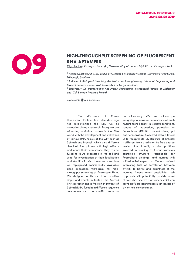

### **HIGH-THROUGHPUT SCREENING OF FLUORESCENT <br>RNA APTAMERS**<br>Olga Puchta<sup>1</sup>, Grzegorz Sobczyk<sup>1</sup>, Graeme Whyte<sup>2</sup>, Janusz Bujnicki<sup>3</sup> and Grzegorz Kudla<sup>1</sup> **RNA APTAMERS**

 $\overline{\text{Olga Puchta}^1}$ , Grzegorz Sobczyk<sup>1</sup>, Graeme Whyte $^2$ , Janusz Bujnicki $^3$  and Grzegorz Kudla $^1$ 

<sup>1</sup> Human Genetics Unit, MRC Institue of Genetics & Molecular Medicine , University of Edinburgh, *Edinburgh, Scotland ;* 

<sup>2</sup> Institute of Biological Chemistry, Biophysics and Bioengineering, School of Engineering and *Physical Sciences, Heriot-Watt University, Edinburgh, Scotland;* 

<sup>3</sup> Laboratory Of Bioinformatics And Protein Engineering, International Institute of Molecular *and Cell Biology, Warsaw, Poland*

*olga.puchta@igmm.ed.ac.uk*

The discovery of Green Fluorescent Protein few decades ago has revolutionized the way we do molecular biology research. Today we are witnessing a similar process in the RNA world with the development and utilization of various RNA mimics of the GFP such as Spinach and Broccoli, which bind different chemical fluorophores with high affinity and induce their fluorescence. They can be fused to RNAs expressed in the cell and used for investigation of their localisation and stability in vivo. Here we show how we repurposed commercially available gene expression microarray for highthroughput screening of fluorescent RNAs. We designed a library of all possible single and double mutants of the Broccoli RNA aptamer and a fraction of mutants of Spinach RNA, fused to a different sequence complementary to a specific probe on the microarray. We used microscope imagining to measure fluorescence of each mutant from library in various conditions: ranges of magnesium, potassium or fluorophore (DFHBI) concentrations, pH and temperature. Collected data allowed us to recapitulate 2D structure of Broccoli - different from prediction by free energy minimization, identify crucial positions involved in forming of G-quadruplexes containing structure (responsible for fluorophore binding) and mutants with shifted emission spectrum. We also noticed interesting lack of correlation between affinity to DFHBI and brightness of the mutants. Among other possibilities such approach will potentially provide a set of well characterized aptamers which can serve as fluorescent intracellular sensors of pH or ions concentration.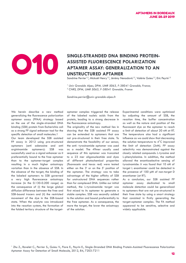

#### SINGLE-STRANDED DNA BINDING PROTEIN-<br>ASSISTED FLUORESCENCE POLARIZATION<br>APTAMER ASSAY: GENERALIZATION TO AN **ASSISTED FLUORESCENCE POLARIZATION APTAMER ASSAY: GENERALIZATION TO AN UNSTRUCTURED APTAMER**

Sandrine Perrier<sup>1,2</sup>, Mickaël Henry<sup>1,2</sup>, Jérémy Nenadovic<sup>1,2</sup>, Valérie Guieu<sup>1,2</sup>, Eric Peyrin<sup>1,2</sup>

<sup>1</sup> Univ Grenoble Alpes, DPM, UMR 5063, F-38041 Grenoble, France; *2 CNRS, DPM, UMR 5063, F-38041 Grenoble, France*

*Sandrine.perrier@univ-grenoble-alpes.fr*

We herein describe a new method generalizing the fluorescence polarization aptamer assay (FPAA) strategy based on the use of the single-stranded DNA binding (SSB) protein from Escherichia coli as a strong FP signal enhancer tool for the specific detection of small molecules.1

Our team developed the SSB assisted FP assay in 2012 using pre-structured aptamers (anti adenosine and anti argininamide aptamers): SSB was successfully used as a signal enhancer as it preferentially bound to the free aptamer than to the aptamer-target complex resulting in a much higher anisotropy variation than in the absence of SSB. In the absence of the target, the binding of the labeled aptamers to SSB governed a very high fluorescence anisotropy increase (in the 0.130-0.200 range) as the consequence of (i) the large global diffusion difference between the free and SSB-bound tracers and (ii) the restricted movement of the dye in the SSB-bound state. When the analyte was introduced into the reaction system, the formation of the folded tertiary structure of the targetaptamer complex triggered the release of the labeled nucleic acids from the protein, leading to a strong decrease in the fluorescence anisotropy.

The originality of the new method lies in showing that the SSB assisted FP assay can be extended to aptamers that are not pre-structured in their free state. To demonstrate the feasibility of our sensor, the anti- tyrosinamide aptamer was used as a model. The 49mer usually used sequence of this aptamer was truncated to a 23 mer oligonucleotide and dyes of different photochemical properties (fluorescein and texas red) were tested either on the 3' or on the 5' position of the aptamer. The strategy was to take advantage of the higher affinity of SSB for unstructured DNA sequences rather than for complexed DNA. Unlike our initial method, the L-tyrosinamide target was first mixed to its aptamer to generate a stable complex. SSB was secondly added to the solution and bound preferentially to the free aptamer. As a consequence, the more the target, the lower the anisotropy of the solution.

Experimental conditions were optimized by adjusting the amount of SSB, the reaction time, the buffer concentration as well as the nature and position of the fluorescent dye on the aptamer to reach a limit of detection of about 20 nM at RT. The temperature also had a significant influence as we could show that decreasing the solution temperature to 4°C improved the limit of detection (2nM). FP assay selectivity was demonstrated against the closely related compounds: L-tyrosine and L-phenylalanine. In addition, the method allowed the enantioselective sensing of tyrosinamide: it was found that 10 nM of target L enantiomer could be detected in the presence of 100 µM of non-target D enantiomer (at RT).

As a conclusion, our SSB assisted FP aptamer assay dedicated to small molecule detection could be generalized to aptamers that are not pre-structured in their free state by using a smart strategy that consisted in firstly generating the target-aptamer complex. The FA method appeared to be sensitive, selective and widely applicable.

<sup>1</sup> Zhu Z., Ravelet C., Perrier S., Guieu V., Fiore E., Peyrin E., Single-Stranded DNA Binding Protein-Assisted Fluorescence Polarization Aptamer Assay for Detection of Small Molecule, 2012, 84, 7203-7211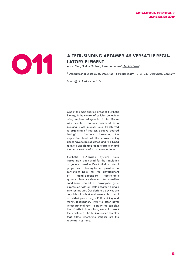

### A TETR-BINDING APTAMER AS VERSATILE REGU-<br>LATORY ELEMENT<br>Adam Mol<sup>1</sup>, Florian Groher<sup>1</sup>, Janina Atanasov<sup>1</sup>, <u>Beatrix Suess<sup>1</sup></u> **LATORY ELEMENT**

Adam Mol*<sup>1</sup>* , Florian Groher*<sup>1</sup>* , Janina Atanasov*<sup>1</sup>* , Beatrix Suess*<sup>1</sup>*

<sup>1</sup> Department of Biology, TU Darmstadt, Schnittspahnstr. 10, 64287 Darmstadt, Germany

*bsuess@bio.tu-darmstadt.de*

One of the most exciting areas of Synthetic Biology is the control of cellular behaviour using engineered genetic circuits. Genes with selected features combined in a building block manner and transferred to organisms of interest, achieve desired biological functions. However, the expression level of the corresponding genes have to be regulated and fine-tuned to avoid unbalanced gene expression and the accumulation of toxic intermediates.

Synthetic RNA-based systems have increasingly been used for the regulation of gene expression. Due to their structural properties, riboregulators provide a convenient basis for the development of ligand-dependent controllable systems. Here, we demonstrate reversible conditional control of eukaryotic gene expression with an TetR aptamer domain as a sensing unit. Our designed devices are capable of robust and reversible control of miRNA processing, mRNA splicing and mRNA localization. Thus we offer novel investigational tools to study the complex life of mRNA. In addition, we will present the structure of the TetR-aptamer complex that allows interesting insights into the regulatory systems.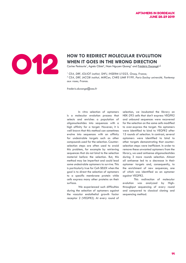

### **HOW TO REDIRECT MOLECULAR EVOLUTION<br>
WHEN IT GOES IN THE WRONG DIRECTION<br>
Carine Pestourie<sup>1</sup>, Agnès Cibiel<sup>1</sup>, Nam Nguyen Quang<sup>2</sup> and <u>Frédéric Ducongé<sup>1,2</sup></u> WHEN IT GOES IN THE WRONG DIRECTION**

Carine Pestourie<sup>1</sup>, Agnès Cibiel<sup>1</sup>, Nam Nguyen Quang<sup>2</sup> and Frédéric Ducongé<sup>1,2</sup>

<sup>1</sup> CEA, DRF, JOLIOT institut, SHFJ, INSERM U1023, Orsay, France; <sup>2</sup> CEA, DRF, JACOB institut, MIRCen, CNRS UMR 9199, Paris-Saclay université, Fontenay *aux roses, France.* 

*frederic.duconge@cea.fr*

 In vitro selection of aptamers is a molecular evolution process that selects and enriches a population of oligonucleotides into sequences with a high affinity for a target. However, it is well known that this method can sometimes evolve into sequences with an affinity for undesirable targets such as other compounds used for the selection. Counterselection steps are often used to avoid this problem, for example by retrieving sequences that do not bind to the selection material before the selection. But, this method may be imperfect and could lead some undesirable aptamers to survive. This is particularly true for Cell-SELEX when the goal is to direct the selection of aptamers to a specific membrane protein while cells express many other proteins on their surface.

We experienced such difficulties during the selection of aptamers against the vascular endothelial growth factor receptor 2 (VEGFR2). At every round of

selection, we incubated the library on HEK-293 cells that don't express VEGFR2 and unbound sequences were recovered for the selection on the same cells modified to over-express the target. No aptamers were identified to bind to VEGFR2 after 15 rounds of selection. In contrast, several aptamers were identified to bind to other targets demonstrating that counterselection steps were inefficient. In order to remove these unwanted aptamers from the library, we used antisense oligonucleotides during 3 more rounds selection. Almost all antisense led to a decrease in their aptamer targets and, consequently, to the enrichment of new sequences, one of which was identified as an aptamer against VEGFR2.

This redirection of molecular evolution was analyzed by Highthroughput sequencing of every round and compared to classical cloning and sequencing method.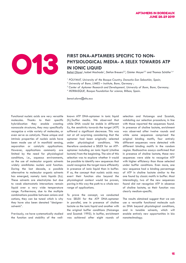

### FIRST DNA-APTAMERS SPECIFIC TO NON-<br>
PHYSIOLOGICAL MEDIA- A SELEX TOWAR<br>
IN IONIC LIQUID **PHYSIOLOGICAL MEDIA- A SELEX TOWARDS ATP IN IONIC LIQUID**

Beñat Olave<sup>1</sup>, Isabel Machado<sup>1</sup>, Stefan Breuers<sup>2,3</sup>, Günter Mayer<sup>2,3</sup> and Thomas Schäfer<sup>1,4</sup>

- <sup>1</sup> POLYMAT, University of the Basque Country, Donostia-San Sebastián, Spain;
- *2 University of Bonn, LIMES Institute, Bonn, Germany ;*
- *3 Center of Aptamer Research and Development, University of Bonn, Bonn, Germany;*
- *4 IKERBASQUE, Basque Foundation for science, Bilbao, Spain.*

*benat.olave@ehu.eus*

Functional nucleic acids are very versatile molecules. Thanks to their specific hybridization they enable creating nanoscale structures, they may specifically recognize a wide variety of molecules, or even serve as catalysts. These unique and intrinsic properties of nucleic acids have been made use of in manifold sensing, separation or catalytic applications. However, applications commonly are limited by the need for physiological conditions, i.e., aqueous environments, as the use of molecular organic solvents widely annihilates nucleic acid function. During the last decade, a possible alternative to molecular organic solvents has emerged, namely ionic liquids (ILs). These solvents are electrolytes but due to weak electrostatic interactions remain liquid over a very wide temperature range. Furthermore, due to the multiple combinations possible between anions and cations, they can be tuned which is why they have also been denoted "designersolvents".

Previously, we have systematically studied the function and stability of the wellknown ATP DNA-aptamer in ionic liquid (IL)/buffer media. We observed that while DNA would be stable in different ILs, the sensitivity towards the target (ATP) suffered a significant decrease. This was not at all surprising considering that the aptamer had been originally selected under physiological conditions. We therefore conducted a SELEX for an ATPaptamer including an ionic liquid (choline lactate) from the beginning. The aim of this selection was to explore whether it would be possible to identify new sequences that could recognize the target more efficiently in presence of ionic liquid than in buffer. If so, the concept that nucleic acids may exert their function also beyond the physiological context would be proven, paving in this way the path to a whole new range of applications.

To prove the concept, we conducted two SELEX for the ATP DNA-aptamer in parallel, one in presence of choline lactate as the ionic liquid and another with the original buffer conditions (Huizenga and Szostak 1995). In buffer, enrichment was achieved after eight rounds of selection and Huizenga and Szostak, validating our selection procedure, in line with those reported the sequences found. In presence of choline lactate, enrichment was observed after twelve rounds and while some sequences comprised the original binding motifs, four entirely different sequences were detected with different binding motifs in the random region. Radioactive assays confirmed that in presence of choline lactate, these new sequences were able to recognize ATP with higher efficiency than those selected under buffer conditions. Even more, one new sequence had a binding percentage of ATP in choline lactate similar to the one found by classic motifs in buffer. Most interestingly, two of the new sequences found did not recognize ATP in absence of choline lactate, so their function was clearly medium-specific.

The results obtained suggest that we can use a versatile functional molecule such as DNA beyond physiological conditions, and in tunable solvents, which will enable entirely new opportunities in bio nanotechnology.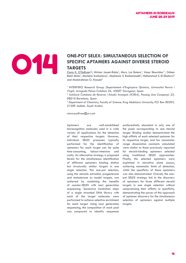### ONE-POT SELEX: SIMULTANEOUS SELECTION OF SPECIFIC APTAMERS AGAINST DIVERSE STEROID **SPECIFIC APTAMERS AGAINST DIVERSE STEROID TARGETS**

Ciara K. O'Sullivan<sup>1,2</sup>, Miriam Jauset-Rubio<sup>1</sup>, Mary Luz Botero<sup>1</sup>, Vasso Skouridou<sup>1\*</sup>, Gülsen Betül Aktas<sup>1</sup>, Marketa Svobodova<sup>1</sup>, Abdulaziz S. Bashammakh<sup>3</sup>, Mohammad S. El-Shahawi<sup>3</sup> and Abdulrahman O. Alyoubi<sup>3</sup>

*1 INTERFIBIO Research Group, Departament d'Enginyeria Química, Universitat Rovira i Virgili, Avinguda Països Catalans 26, 43007 Tarragona, Spain*

*2 Institució Catalana de Recerca i Estudis Avançats (ICREA), Passeig Lluís Companys 23, 08010 Barcelona, Spain*

*3 Department of Chemistry, Faculty of Science, King Abdulaziz University, P.O. Box 80203, 21589 Jeddah, Saudi Arabia*

*ciara.osullivan@urv.cat*

Aptamers are well-established biorecognition molecules used in a wide variety of applications for the detection of their respective targets. However, individual SELEX processes typically performed for the identification of aptamers for each target can be quite time-consuming, labour-intensive and costly. An alternative strategy is proposed herein for the simultaneous identification of different aptamers binding distinct but structurally similar targets in one single selection. This one-pot selection, using the steroids estradiol, progesterone and testosterone as model targets, was achieved by combining the benefits of counter-SELEX with next generation sequencing. Successive incubation steps of a single stranded DNA library with each of the target molecules were performed to achieve selective enrichment for each target. Using next generation sequencing, the composition of each pool was compared to identify sequences

preferentially abundant in only one of the pools corresponding to one steroid target. Binding studies demonstrated the high affinity of each selected aptamer for its respective target, and low nanomolar range dissociation constants calculated were similar to those previously reported for steroid-binding aptamers selected using traditional SELEX approaches. Finally, the selected aptamers were exploited in microtitre plate assays, achieving nanomolar limits of detection, whilst the specificity of these aptamers was also demonstrated. Overall, the onepot SELEX strategy led to the discovery of aptamers for three different steroid targets in one single selection without compromising their affinity or specificity, demonstrating the power of this approach of aptamer discovery for the simultaneous selection of aptamers against multiple targets.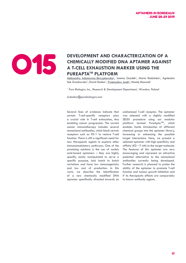

#### **DEVELOPMENT AND CHARACTERIZATION OF A CHEMICALLY MODIFIED DNA APTAMER AGAINST A T-CELL EXHAUSTION MARKER USING THE PUREAPTATM PLATFORM**

Aleksandra Adamowicz-Skrzypkowska<sup>1</sup>, Joanna Guzdek<sup>1</sup>, Marta Radzinska<sup>1</sup>, Agnieszka Sok Grochowska<sup>1</sup>, David Donkor<sup>1</sup>, Przemyslaw Jurek<sup>1</sup>, Maciej Mazurek<sup>1</sup>

<sup>1</sup> Pure Biologics Inc., Research & Development Department, Wrocław, Poland

*d.donkor@purebiologics.com*

Several lines of evidence indicate that certain T-cell-specific receptors play a crucial role in T-cell exhaustion, thus enabling cancer progression. The current cancer immunotherapy includes several monoclonal antibodies, which block certain receptors such as PD-1 to restore T-cell function. There is still a significant need for new therapeutic agents to explore other immunomodulatory pathways. One of the promising solutions is the use of nucleic acid-based aptamers – they are highly specific, easily manipulated to serve a specific purpose, lack batch to batch variations and have low immunogenicity and low cost of production. In this work, we describe the identification of a new chemically modified DNA aptamer specifically directed towards an

undisclosed T-cell receptor. The aptamer was selected with a slightly modified SELEX procedure using our modular platform termed PureApta™, which enables facile introduction of different chemical groups into the aptamer library, increasing or enhancing the possible target interactions. Here, we present a selected aptamer with high specificity and affinity (KD  $\sim$ 7 nM) to the target molecule. The features of this aptamer are very encouraging and represent an attractive potential alternative to the monoclonal antibodies currently being developed. Further research is planned to probe the ability of the aptamer to promote T-cell function and tumour growth inhibition and if its therapeutic effects are comparably to known antibody agents.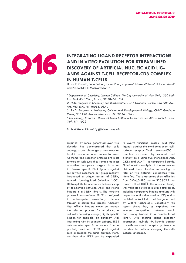#### INTEGRATING LIGAND RECEPTOR INTERACTIONS<br>AND IN VITRO EVOLUTION FOR STREAMLINED<br>DISCOVERY OF ARTIFICIAL NUCLEIC ACID LIG-**AND IN VITRO EVOLUTION FOR STREAMLINED DISCOVERY OF ARTIFICIAL NUCLEIC ACID LIG-ANDS AGAINST T-CELL RECEPTOR-CD3 COMPLEX IN HUMAN T-CELLS**

Hasan E. Zumrut<sup>1</sup>, Sana Batool<sup>1</sup>, Kimon V. Argyropoulos<sup>4</sup>, Nicole Williams<sup>3</sup>, Roksana Azad<sup>2</sup> and Prabodhika R. Mallikaratchy<sup>1,2,3</sup>

<sup>1</sup> Department of Chemistry, Lehman College, The City University of New York, 250 Bed*ford Park Blvd. West, Bronx, NY 10468, USA ;* 

*2, Ph.D. Program in Chemistry and Biochemistry, CUNY Graduate Center, 365 Fifth Avenue, New York, NY 10016, USA ;* 

*3, Ph.D. Program in Molecular, Cellular and Developmental Biology, CUNY Graduate Center, 365 Fifth Avenue, New York, NY 10016, USA ;* 

*4 Immunology Program, Memorial Sloan Kettering Cancer Center, 408 E 69th St, New York, NY, 10021*

*Prabodhika.mallikaratchy@lehman.cuny.edu* 

Empirical evidence generated over five decades has demonstrated that cells undergo structural changes at the molecular level in response to environmental cues. As membrane receptor proteins are most attuned to such cues, they remain the most attractive therapeutic targets. In order to discover specific DNA ligands against cell-surface receptors, our group recently introduced a unique variant of SELEX, termed Ligand-guided Selection (LIGS). LIGS exploits the inherent evolutionary step of competition between weak and strong binders in a SELEX library. The iterative process in conventional SELEX is designed to outcompete low-affinity binders through a competitive process whereby high affinity binders move on through the selection process. By introducing a naturally occurring stronger, highly specific binder, for example, an antibody (Ab) interacting with its cognate epitope, LIGS out-competes specific aptamers from a partially enriched SELEX pool against cells expressing the same epitope. Here, we show that LIGS can be expanded

to evolve functional nucleic acid (NA) ligands against the multi-component cellsurface receptor T-cell receptor-CD3 $\square$ complex expressed by cultured and primary cells using two monoclonal Abs, OKT3 and UCHT1, as competing ligands. Bioinformatics analysis of the sequences obtained from Illumina sequencing, a total of five aptamer candidates were identified. These aptamers show affinities from 3.06±0.485 nM to 325±62.7 nM towards TCR-CD3 $\square$ . The aptamer family was validated utilizing multiple strategies. including competitive binding analysis with respective antibodies used in LIGS, and a double-knockout Jurkat cell line generated by CRISPR technology. Collectively this report shows that, by exploiting the inherent competition between weak and strong binders in a combinatorial library with existing ligand receptor interactions, multiple NA ligands against a multi-component receptor protein can be identified without changing the cellsurface landscape.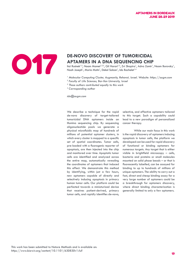

### **APTAMERS IN A DNA SEQUENCING CHIP**

Itai Rusinek<sup>1,3</sup>, Noam Mamet<sup>1,2,3</sup>, Gil Harari<sup>1,3</sup>, Zvi Shapira<sup>1</sup>, Adva Zamir<sup>1</sup>, Noam Borovsky<sup>1</sup>, Noah Joseph<sup>1</sup>, Maria Motin<sup>1</sup>, Dekel Saban<sup>1</sup>, Ido Bachelet<sup>1,4</sup>

- *1 Molecular Computing Cluster, Augmanity, Rehovot, Israel. Website: https://augm.com*
- 2  *Faculty of Life Sciences, Bar-Ilan University, Israel*
- *3 These authors contributed equally to this work*
- *4 Corresponding author*

*ido@augm.com*

We describe a technique for the rapid de-novo discovery of target-tailored tumoricidal DNA aptamers inside an Illumina sequencing chip. By sequencing oligonucleotide pools we generate a physical microfluidic map of hundreds of millions of potential aptamer clusters, in which every cluster is mapped to a specific set of spatial coordinates. Tumor cells, pre-loaded with a fluorogenic reporter of apoptosis, are then injected into the chip and monitored over time. Apoptotic tumor cells are identified and analyzed across the entire map, automatically revealing the coordinates of aptamers that induced this effect. We demonstrate this method by identifying, within just a few hours, new aptamers capable of directly and selectively inducing apoptosis in primary human tumor cells. Our platform could be perfected towards a miniaturized device that receives patient-derived, primary tumor cells, and rapidly identifies de-novo, selective, and effective aptamers tailored to this target. Such a capability could lead to a new paradigm of personalized cancer therapy.

While our main focus in this work is the rapid discovery of aptamers inducing apoptosis in tumor cells, the platform we developed can be used for rapid discovery of functional or binding aptamers for numerous targets. Any target that is either visible in brightfield microscopy – cells, bacteria and proteins or small molecules mounted on solid phase beads – or that is fluorescently labelled, can be assayed for binding to up to hundreds of millions of unique aptamers. The ability to carry out a fast, direct and cheap binding assay for a very large number of aptamers could be a breakthrough for aptamers discovery, where direct binding characterization is generally limited to only a few aptamers.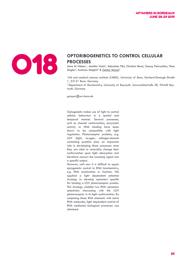

### **OPTORIBOGENETICS TO CONTROL CELLULAR<br>
PROCESSES**<br>
Anna M Weber<sup>1</sup>, Jennifer Nack<sup>2</sup>, Sebastian Pilsl, Christian Renzl, Georg Pietrusc<br>
Ziegler<sup>2</sup>, Andreas Möglich<sup>2</sup> & Günter Mayer<sup>1</sup> **PROCESSES**

Anna M Weber<sup>1</sup>, Jennifer Nack<sup>2</sup>, Sebastian Pilsl, Christian Renzl, Georg Pietruschka, Thea Ziegler<sup>2</sup>, Andreas Möglich<sup>2</sup> & Günter Mayer<sup>1</sup>

<sup>1</sup>Life and medical sciences institute (LIMES), University of Bonn, Gerhard-Domagk-Straße *1, 53121 Bonn, Germany*

*2 Department of Biochemistry, University of Bayreuth, Universitätsstraße 30, 95440 Bayreuth, Germany*

*gmayer@uni-bonn.de*

Optogenetic makes use of light to control cellular behaviour in a spatial and temporal manner. Several processes, such as channel conformation, enzymatic activity or DNA binding have been shown to be compatible with light regulation. Photoreceptor proteins, e.g. LOV (light, oxygen, voltage)-domain containing proteins play an important role in developing those processes since they are able to reversibly change their conformation upon light absorption and therefore convert the incoming signal into a specific output.

However, until now it is difficult to apply optogenetic control to RNA biochemistry, e.g. RNA localization or function. We applied a light dependent selection strategy to develop aptamers specific for binding a LOV photoreceptor protein. This strategy yielded two RNA aptamers selectively interacting with the LOV photoreceptor in its light conformation. By conjoining these RNA elements with naïve RNA molecules, light dependent control of RNA mediated biological processes was obtained.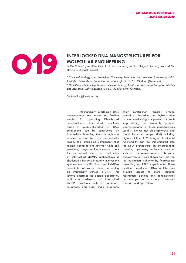

### **INTERLOCKED DNA NANOSTRUCTURES FOR MOLECULAR ENGINEERING**<br>
Julián Valero<sup>12</sup>, Mathias Centola<sup>12</sup>, Yinzhou Ma<sup>1</sup>, Marko Škugor<sup>1</sup>, Ze Yu<sup>1</sup>, Haydell<sup>1</sup>, <u>Michael Famulok<sup>1,2,\*</sup></u> **MOLECULAR ENGINEERING**

Julián Valero<sup>1,2</sup>, Mathias Centola<sup>1,2</sup>, Yinzhou Ma<sup>1</sup>, Marko Škugor<sup>1</sup>, Ze Yu<sup>1</sup>, Michael W. Haydell<sup>1</sup>, <u>Michael Famuloki,2,</u>

<sup>1</sup> Chemical Biology and Medicinal Chemistry Unit, Life and Medical Sciences (LIMES) *Institute, University of Bonn, Gerhard-Domagk-Str. 1, 53121 Bonn (Germany) <sup>2</sup>Max-Planck-Fellowship Group Chemical Biology, Center of Advanced European Studies and Research, Ludwig-Erhard-Allee 2, 53175 Bonn, Germany*

*\*m.famulok@uni-bonn.de*

 Mechanically interlocked DNA nanostructures are useful as flexible entities for operating DNA-based nanomachines. Interlocked structures made of double-stranded (ds) DNA components can be constructed by irreversibly threading them through one another so that they are mechanically linked. The interlocked components thus remain bound to one another while still permitting large-amplitude motion about the mechanical bond. The construction of interlocked dsDNA architectures is challenging because it usually involves the synthesis and modification of small dsDNA nanocircles of various sizes, depending on intrinsically curved B-DNA. This lecture describes the design, generation, and characterization of interlocked dsDNA structures such as catenanes, rotaxanes, and daisy chain rotaxanes.

Their construction requires precise control of threading and hybridization of the interlocking components at each step during the assembly process. Characterization of these nanostructures usually involves gel electrophoresis and atomic force microscopy (AFM), including high-resolution AFM images. Additional functionality can be implemented into the DNA architectures by incorporating proteins, aptamers, molecular switches such as photo-switchable azobenzene derivatives, or fluorophores for studying the mechanical behavior by fluorescence quenching or FRET experiments. These modified interlocked DNA architectures provide access to more complex mechanical devices and nanomachines that can perform a variety of desired functions and operations.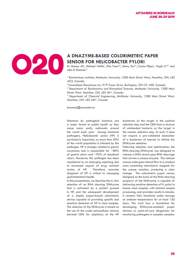

## **SENSOR FOR HELICOBACTER PYLORI**

M. Monsur Ali<sup>1</sup>, Michael Wolfe<sup>1</sup>, Kha Tram<sup>2,3</sup>, Jimmy Gu<sup>2,3</sup>, Carlos Filipe<sup>4</sup>, Yingfu Li<sup>2,3\*</sup> and John D. Brennan<sup>1\*</sup>

<sup>1</sup> Biointerfaces Institute, McMaster University, 1280 Main Street West, Hamilton, ON, L8S *4O3, Canada;* 

*<sup>2</sup>InnovoGene Biosciences Inc. 919 Fraser Drive, Burlington, ON L7L 4X8, Canada;* 

*3 Department of Biochemistry and Biomedical Sciences, McMaster University, 1280 Main Street West, Hamilton, ON, L8S 4K1, Canada;* 

*4 Department of Chemical Engineering, McMaster University, 1280 Main Street West, Hamilton, ON, L8S 4M1, Canada*

*brennanj@mcmaster.ca*

Infections by pathogenic bacteria are a major threat to public health as they cause many costly outbreaks around the world each year. Among bacterial pathogens, Helicobacter pylori (HP) is particularly important, as more than 50% of the world population is infected by this pathogen. HP is strongly related to gastric carcinoma and is responsible for  $~80\%$ of gastric ulcers and ~95% of duodenal ulcers. Moreover, this pathogen has been considered as an emerging superbug due to increased reports of drug resistant strains of HP. Therefore, accurate diagnosis of HP is critical to managing gastrointestinal health.

In this presentation, we describe the in vitro selection of an RNA cleaving DNAzyme that is activated by a protein present in HP, and the subsequent development of a simple, paper-based colorimetric device capable of providing specific and sensitive detection of HP in stool samples. The selection of the DNAzyme is based on the use of the crude extracellular mixture (termed CEM for simplicity) of the HP bacterium as the target in the positive selection step and the CEM from a mixture of unintended bacteria as the target in the counter selection step. As such, it does not require a pre-validated biomarker of a bacterium of interest to initiate the DNAzyme selection.

Following selection and optimization, the RNA-cleaving DNAzyme was designed to release a DNA strand upon RNA cleavage that carries a urease enzyme. The release urease undergoes lateral flow to a readout area containing colorimetric reagents for the urease reaction, producing a color change. The colorimetric paper sensor, designed on the basis of the RNA-cleaving property of the DNAzyme, is capable of delivering sensitive detection of H. pylori in human stool samples with minimal sample processing, and provides results in minutes. It remains fully functional under storage at ambient temperature for at least 130 days. This work lays a foundation for developing DNAzyme-enabled paper devices as point-of-care diagnostics for monitoring pathogens in complex samples.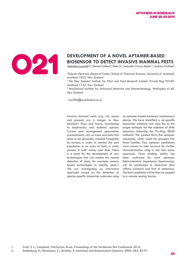

### **DEVELOPMENT OF A NOVEL APTAMER-BASED<br>BIOSENSOR TO DETECT INVASIVE MAMMAL PI<br>Valentina Lucarelli<sup>21,2</sup>, Damon Colbert<sup>2</sup>, Peter Li<sup>2</sup>, Jadranka Travas-Sejdic<sup>1,3</sup>, Andrew I BIOSENSOR TO DETECT INVASIVE MAMMAL PESTS**

 $\overline{\mathsf{Y}}$ alentina Lucarelli $^{\mathbb{N}\mathbb{Z}}$ , Damon Colbert $^2$ , Peter Li $^2$ , Jadranka Travas-Sejdic $^{1,3}$ , Andrew Kralicek $^2$ 

<sup>1</sup> Polymer Electronic Research Centre, School of Chemical Sciences, University of Auckland, *Auckland 1023, New Zealand*

*<sup>2</sup>The New Zealand Institute for Plant and Food Research Limited, Private Bag 92169, Auckland 1142, New Zealand*

*<sup>3</sup>MacDiarmid Institute for Advanced Materials and Nanotechnology, Wellington 6140, New Zealand*

*\* vluc596@aucklanduni.ac.nz*

Invasive mammal pests (e.g. rat, mouse and possum) are a danger to New Zealand's flora and fauna, threatening its biodiversity and endemic species. Current pest management approaches predominantly rely on traps and baits that need to be physically checked frequently by humans in order to monitor the pest population in an area of bush, a costly process in both money and time. There is a need for the development of new technologies that can enable the remote detection of pests, for example camera based technologies to identify pests.1 We are investigating an alternative approach based on the detection of species-specific biomarker molecules using an aptamer-based biosensor (aptasensor) device. We have identified a rat-specific biomarker molecule and used this as the target molecule for the selection of DNA aptamers following the Flu-Mag SELEX method2. This yielded thirty-five aptamer sequences, which could be grouped into three families. Four aptamer candidates were chosen to take forward for further characterization using a dot blot assay approach. Once binding ability has been confirmed for each aptamer, Electrochemical Impedance Spectroscopy will be performed to determine their affinity constants and limit of detections. The best candidate will be then be coupled to a remote sensing device.

1. Croft, S. L., Campbell; Warburton, Bruce. Proceedings of the Vertebrate Pest Conference 2016.

2. Stoltenburg, R.; Reinemann, C.; Strehlitz, B. Analytical and Bioanalytical Chemistry 2005, 383, 83-91.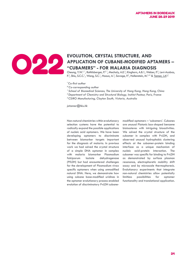

### EVOLUTION, CRYSTAL STRUCTURE, AND<br>
APPLICATION OF CUBANE-MODIFIED AF<br>
"CUBAMERS" - FOR MALARIA DIAGNOS<br>
Cheung, Y.W.<sup>1,\*</sup>, Rothlisberger. P.<sup>2,\*</sup>, Mechalv. A.F.<sup>2</sup> Kinghorn A R.1. Web **APPLICATION OF CUBANE-MODIFIED APTAMERS – "CUBAMERS" - FOR MALARIA DIAGNOSIS**

Cheung, Y.W.<sup>1,\*</sup>, Rothlisberger, P.<sup>2,\*</sup>, Mechaly, A.E.<sup>2</sup>, Kinghorn, A.B.1, Weber, P.<sup>2</sup>, Levi-Acobas, F.<sup>2</sup>, Shiu, S.C.C.<sup>1</sup>, Wong, S.C.<sup>1</sup>, Haouz, A.<sup>2</sup>, Savage, P.<sup>3</sup>, Hollenstein, M.<sup>2,#</sup> & <u>Tanner, J.A<sup>1,\*</sup></u>

*\* Co-first author*

- *# Co-corresponding author*
- *1 School of Biomedical Sciences, The University of Hong Kong, Hong Kong, China*
- *2 Department of Chemistry and Structural Biology, Institut Pasteur, Paris, France*
- *3 CSIRO Manufacturing, Clayton South, Victoria, Australia*

*jatanner@hku.hk*

Non-natural chemistries within evolutionary selection systems have the potential to radically expand the possible applications of nucleic acid aptamers. We have been developing aptamers to discriminate between biomarker targets important for the diagnosis of malaria. In previous work we had solved the crystal structure of a simple DNA aptamer in complex with malaria biomarker Plasmodium falciparum lactate dehydrogenase (PfLDH) but had encountered challenges for the development of Plasmodium vivax specific aptamers when using unmodified natural DNA. Here, we demonstrate how using cubane base-modified uridines in the aptamer evolutionary process enabled evolution of discriminatory PvLDH cubanemodified aptamers – 'cubamers'. Cubanes are unusual Platonic box-shaped benzene bioisosteres with intriguing bioactivities. We solved the crystal structure of the cubamer in complex with PvLDH, and observed unusual hydrophobic clustering effects at the cubamer-protein binding interface as a unique mechanism of nucleic acid-protein interaction. The cubamer was specific for binding to PvLDH as demonstrated by surface plasmon resonance, electrophoretic mobility shift assay and by microscale thermophoresis. Evolutionary experiments that integrate non-natural chemistries allow potentially limitless possibilities for aptamer functionality and translational application.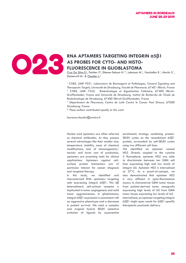

#### RNA APTAMERS TARGETING INTEGRIN α5β1<br>AS PROBES FOR CYTO- AND HISTO-<br>FLUORESCENCE IN GLIOBLASTOMA **AS PROBES FOR CYTO- AND HISTO-FLUORESCENCE IN GLIOBLASTOMA**

Cruz Da Silva E.<sup>1</sup>, Fechter P.<sup>2</sup>, Etienne-Seloum N.<sup>1,3</sup>, Lehmann M.<sup>1</sup>, Vauchelles R.<sup>1</sup>, Martin S.<sup>1</sup>, Dontenwill M.<sup>1</sup> & Choulier L.<sup>1</sup>

<sup>1</sup> CNRS, UMR 7021, Laboratoire de Bioimagerie et Pathologies, Tumoral Signaling and *Therapeutic Targets, Université de Strasbourg, Faculté de Pharmacie, 67401 Illkirch, France 2 CNRS, UMR 7242, Biotechnologie et Signalisation Cellulaire, 67400 Illkirch-Graffenstaden, France and Université de Strasbourg, Institut de Recherche de l'Ecole de Biotechnologie de Strasbourg, 67400 Illkirch-Graffenstaden, France*

*3 Département de Pharmacie, Centre de Lutte Contre le Cancer Paul Strauss, 67000 Strasbourg, France*

*\* These authors contributed equally to this work*

*laurence.choulier@unistra.fr*

Nucleic acid aptamers are often referred as chemical antibodies. As they possess several advantages like their smaller size, temperature stability, ease of chemical modifications, lack of immunogenicity/ toxicity and lower cost of production, aptamers are promising tools for clinical applications. Aptamers against cellsurface protein biomarkers are of particular interest for cancer diagnosis and targeted therapy.

In this study, we identified and characterized RNA aptamers targeting cells expressing integrin α5β1. This αβ heterodimeric cell-surface receptor is implicated in tumor angiogenesis and solid tumor agaressiveness. In alioblastoma, integrin α5β1 expression is associated with an aggressive phenotype and a decrease in patient survival. We used a complex and original hybrid SELEX (selective evolution of ligands by exponential

enrichment) strategy combining protein-SELEX cycles on the recombinant α5β1 protein, surrounded by cell-SELEX cycles using two different cell lines.

We identified an aptamer named H02. Directly coupled to the cyanine 5 fluorophore, aptamer H02 was able to discriminate between ten GBM cell lines expressing high and low levels of integrin α5. Aptamer H02 is internalized at 37°C. As a proof-of-concept, we also demonstrated that aptamer H02 is very efficient in apta-fluorescence assays to characterize GBM tumor tissues from patient-derived tumor xenografts expressing high levels of α5 from GBM tumor tissues expressing low levels of α5. Internalized, an aptamer targeting integrin α5β1 might open roads for α5β1-specific therapeutic payloads delivery.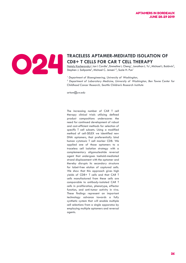

### **TRACELESS APTAMER-MEDIATED ISOLATION OF CD8+ T CELLS FOR CAR T CELL THERAPY**<br>
Stephen J. Salipante<sup>2</sup>, Michael C. Jensen<sup>1,3</sup>, Suzie H. Pun<sup>1</sup><br>
Stephen J. Salipante<sup>2</sup>, Michael C. Jensen<sup>1,3</sup>, Suzie H. Pun<sup>1</sup> **CD8+ T CELLS FOR CAR T CELL THERAPY**

Nataly Kacherovsky<sup>1</sup>, Ian I. Cardle<sup>1</sup>, Emmeline L. Cheng<sup>1</sup>, Jonathan L. Yu<sup>1</sup>, Michael L. Baldwin<sup>3</sup>, Stephen J. Salipante<sup>2</sup>, Michael C. Jensen<sup>1,3</sup>, Suzie H. Pun<sup>1</sup>

*1 Department of Bioengineering, University of Washington,* 

<sup>2</sup> Department of Laboratory Medicine, University of Washington, Ben Towne Center for *Childhood Cancer Research, Seattle Children's Research Institute*

*artom@uw.edu*

The increasing number of CAR T cell therapy clinical trials utilizing defined product compositions underscores the need for continued development of robust and cost-efficient methods for selection of specific T cell subsets. Using a modified method of cell-SELEX we identified new DNA aptamers, that preferentially bind human cytotoxic T cell marker CD8. We applied one of those aptamers to a traceless cell isolation strategy with a complementary oligonucleotide reversal agent that undergoes toehold-mediated strand displacement with the aptamer and thereby disrupts its secondary structure for label-free elution of captured cells. We show that this approach gives high yields of CD8+ T cells and that CAR T cells manufactured from these cells are comparable to antibody-isolated CAR T cells in proliferation, phenotype, effector function, and anti-tumor activity in vivo. These findings represent an important technology advance towards a fully synthetic system that will enable multiple cell selections from a single apparatus by employing multiple aptamers and reversal agents.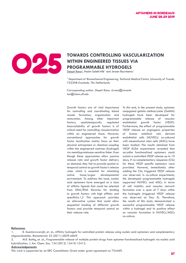

#### **TOWARDS CONTROLLING VASCULARIZATION WITHIN ENGINEERED TISSUES VIA**<br>PROGRAMMABLE HYDROGELS **WITHIN ENGINEERED TISSUES VIA PROGRAMMABLE HYDROGELS**

Deepti Rana<sup>1</sup>, Nasim Salehi-Nik<sup>1</sup> and Jeroen Rouwkema<sup>1</sup>

<sup>1</sup> Department of Biomechanical Engineering, Technical Medical Centre, University of Twente, *7522NB Enschede, The Netherlands* 

*Corresponding author: Deepti Rana, d.rana@utwente tan@chem.ufl.edu*

Growth factors are of vital importance for controlling and coordinating blood vessels formation, organization and maturation. Among other important factors, spatiotemporally regulated bioavailability of growth factors is of critical need for controlling vascularization within an engineered tissue. However, conventional approaches for growth factor localization mainly focus on their physical entrapment or chemical coupling within the engineered matrices (hydrogel) via metalloproteinase-sensitive linker. Even though these approaches allow passive release rate and growth factor delivery on demand, they fail to provide spatial or temporal control on growth factor's release rates which is essential for mimicking native tissue/organ developmental environment. To address this issue, nucleic acid aptamers have emerged as a class of affinity ligands that could be selected from DNA/RNA libraries for binding to growth factors with high affinity and specificity.1,2 This approach provides an alternative system that could allow sequential loading of different growth factors and provide temporal control on their release rate.

To this end, in the present study, aptamer conjugated gelatin methacrylate (GelMA) hydrogels have been developed for programmable release of vascular endothelial growth factor (VEGF). Furthermore, the effect of programmable VEGF release on angiogenic properties of human umbilical vein derived endothelial cells (HUVECs) co-cultured with mesenchymal stem cells (MSCs) have been studied. The results obtained from VEGF ELISA experiments revealed that acrydite functionalized aptamers could sustain a controlled VEGF release up to 10 days, if no complementary sequence (CSs) for these VEGF specific aptamers were provided. However, immediately after adding the CSs, triggered VEGF release was observed. In co-culture experiments, the developed programmable hydrogels supported HUVECs and MSCs in terms of cell viability and vascular network formation over a span of 7 days within the hydrogels (triggered VEGF release was observed on Day 5). Therefore, the results of this study demonstrated a successful programmable VEGF release within a hydrogel and its positive effect on vascular formation in HUVECs/MSCs co-culture.

**References**

#### **Acknowledgements**

This work is supported by an ERC Consolidator Grant under grant agreement no 724469.

<sup>1.</sup> B. Soontornworajit, et. al., Affinity hydrogels for controlled protein release using nucleic acid aptamers and complementary oligonucleotides. Biomaterials 32 (2011) 6839-6849.

<sup>2.</sup> M.R. Battig, et. al., Programmable release of multiple protein drugs from aptamer-functionalized hydrogels via nucleic acid hybridization. J. Am. Chem. Soc. 134 (2012) 12410-12413.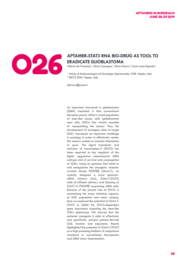

### **ERADICATE GLIOBLASTOMA**

Vittorio de Franciscis<sup>1</sup>, Silvia Catuogno<sup>1</sup>, Silvia Nuzzo<sup>2</sup>, Carla Lucia Esposito<sup>1</sup>

*1 Istituto di Endocrinologia ed Oncologia Sperimentale, CNR, Naples, Italy 2 IRCCS SDN, Naples, Italy*

*defranci@unina.it*

An important drawback in glioblastoma (GBM) treatment is that conventional therapies poorly affect a small population of stem-like cancer cells (glioblastoma stem cells, GSCs) that remain capable of repopulating the tumour. Thus, the development of strategies able to target GSCs represents an important challenge in oncology in order to effectively render the tumours unable to maintain themselves or grow. The signal transducer and activator of transcription-3 (STAT3) has been reported as key regulator of the highly aggressive mesenchymal GBM subtype and of survival and propagation of GSCs. Using an aptamer that binds to and antagonizes the oncogenic receptor tyrosine kinase PDGFRβ (Gint4.T), we recently designed a novel aptamersiRNA chimera (AsiC, Gint4.T-STAT3) able of efficient delivery and silencing of STAT3 in PDGFRβ expressing GBM cells. Because of the pivotal role of STAT3 in maintaining the tumor initiating capacity of GSC population and tumor relapse, here we explored the potential of Gint4.T-STAT3 to inhibit the STAT3-dependent gene expression impairing the stem-like GSCs phenotype. We showed that the aptamer conjugate is able to effectively and specifically prevent patient-derived GSC function and expansion. Results highlighted the potential of Gint4.T-STAT3 as a high promising inhibitor of adaptative resistance to conventional therapeutics and GBM tumor dissemination.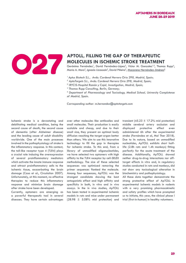

### **MOLECULES IN ISCHEMIC STROKE TREATMENT**

Gerónimo Fernández<sup>1</sup>, David Fernández-López<sup>2</sup>, Víctor M. Gonzalez<sup>1,3</sup>, Thomas Rupp<sup>4</sup>, Maria A. Moro<sup>5</sup>, Ignacio Lizasoain<sup>5</sup>, David Piñeiro<sup>2</sup>, <u>Macarena Hernández-Jiménez<sup>2</sup></u>

*<sup>1</sup>Aptus Biotech S.L., Avda. Cardenal Herrera Oria 298, Madrid, Spain;* 

*2 AptaTargets S.L., Avda. Cardenal Herrera Oria 298, Madrid, Spain;* 

*3 IRYCIS-Hospital Ramón y Cajal, Investigation, Madrid, Spain;* 

*4 Thomas Rupp Consulting, Berlin, Germany;* 

*5 Department of Pharmacology and Toxicology, Medical School, University Complutense of Madrid, Spain.*

*Corresponding author: m.hernandez@aptatargets.com*

Ischemic stroke is a devastating and debilitating medical condition, being the second cause of death, the second cause of dementia (after Alzheimer disease) and the leading cause of adult disability worldwide. One of the main processes involved in the pathophysiology of stroke is the inflammatory response. In this context, the toll-like receptor type 4 (TLR4) plays a crucial role inducing the overexpression of several proinflammatory mediators which activate the innate immune response and attract proinflammatory cells to the ischemic tissue, exacerbating the brain damage (Caso et al., Circulation 2007). Unfortunately, at this moment, no effective therapies to reduce this inflammatory response and minimize brain damage after stroke have been developed.

Currently, aptamers are emerging as a powerful therapeutic tool in several diseases. They have certain advantages over other molecules like antibodies and small molecules. Their production is easily scalable and cheap, and due to their small size, they present an optimal body diffusion reaching the target organ better than others. We aim to use this innovative technology to fill the gap in therapies for ischemic stroke. To this end, from a library of unmodified oligonucleotides, we have selected two aptamers with high affinity to the TLR4 receptor by cell-SELEX methodology. The size of these selected sequences was optimized removing the primer sequences flanked the molecule. Among four sequences, ApTOLL was the strongest candidate showing the best antagonistic effect and high affinity and specificity in both, in vitro and in vivo assays. In the in vivo studies, ApTOLL has been tested in experimental ischemic models in rats and mice under permanent (28.98  $\pm$  5.08% mid protection) and

transient (45.23  $\pm$  17.2% mid protection) middle cerebral artery occlusion and displayed protective effect even administered 6h after the experimental stroke (Fernández et al, Mol Ther 2018). Due to its nature, based on unmodified nucleotides, ApTOLL exhibits short halflife (2.8h rats and 1.4h monkeys) fitting perfectly for the acute treatment of the disease. Additionally, ApTOLL showed neither drug-to-drug interactions nor offtarget effects in vitro and, in regulatory studies conducted in rats and monkeys, did not show any toxicological alteration in biochemistry and pathophysiology.

All these data together demonstrate the strong protective effect of ApTOLL in experimental ischemic models in rodents with a very promising pharmacokinetic and safety profiles which have prompted us to initiate, this year, the clinical phase I trial (first-in-human) in healthy volunteers.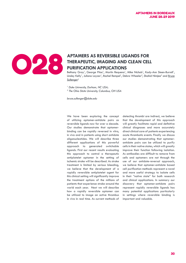

### **APTAMERS AS REVERSIBLE LIGANDS FOR THERAPEUTIC, IMAGING AND CLEAN CELL PURIFICATION APPLICATIONS THERAPEUTIC, IMAGING AND CLEAN CELL PURIFICATION APPLICATIONS**

Bethany Gray<sup>1</sup>, George Pitoc<sup>1</sup>, Martin Requena<sup>1</sup>, Mike Nichols<sup>1</sup>, Kady-Ann Steen-Burrell<sup>1</sup>, Linsley Kelly<sup>1</sup>, Juliana Layzer<sup>1</sup>, Rachel Rempel<sup>1</sup>, Debra Wheeler<sup>2</sup>, Shahid Nimjee<sup>2</sup> and <u>Bruce</u> Sullenger<sup>1</sup>

*1 Duke University, Durham, NC USA; 2 The Ohio State University, Columbus, OH USA*

*bruce.sullenger@duke.edu*

We have been exploring the concept of utilizing aptamer-antidote pairs as reversible ligands now for over a decade. Our studies demonstrate that aptamerbinding can be rapidly reversed in vitro, in vivo and in patients using short antidote oligonucleotides. We will describe three different applications of this powerful approach to generated switchable ligands. First our recent results evaluating this approach to control a therapeutic antiplatelet aptamer in the setting of ischemic stroke will be described. As stroke treatment is limited by serious bleeding, we believe that the development of a rapidly reversible antiplatelet agent for this clinical setting will significantly improve the treatment options of the millions of patients that experience stroke around the world each year. Next we will describe how a rapidly reversible aptamer can be utilized to image an active thrombus in vivo in real time. As current methods of

detecting thrombi are indirect, we believe that the development of this approach will greatly facilitate rapid and definitive clinical diagnoses and more accurately direct clinical care of patients experiencing acute thrombotic events. Finally we discuss our studies demonstrating that aptamerantidote pairs can be utilized to purify cells in their native states, which will greatly improve their function following isolation. As antibodies are difficult to remove from cells and aptamers are not through the use of our antidote-reversal approach, we believe that aptamer-antidote based cell purification methods represent a novel and more useful strategy to isolate cells in their "native state" for both research and clinical applications. In summary our discovery that aptamer-antidote pairs represent rapidly reversible ligands has many potential applications particularly in settings where reversible binding is important and valuable.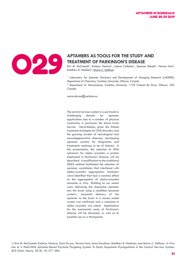

# **TREATMENT OF PARKINSON'S DISEASE**

Erin M. McConnell<sup>1</sup>, Katelyn Ventura<sup>2</sup>, Joshua Callahan<sup>1</sup>, Spencer Boisjoli<sup>1</sup>, Vernon Hunt<sup>1</sup>, Matthew R. Holahan<sup>2</sup>, <u>Maria C. DeRosa<sup>1</sup></u>

<sup>1</sup> Laboratory for Aptamer Discovery and Development of Emerging Research (LADDER), *Department of Chemistry, Carleton University, Ottawa, Canada* 

*2 Department of Neuroscience, Carleton University, 1125 Colonel By Drive, Ottawa, ON, Canada.*

*maria.derosa@carleton.ca*

The central nervous system is a particularly challenging domain for aptamer applications due to a number of physical constraints, in particular the blood brain barrier. Nevertheless, given the limited treatment strategies for CNS disorders and the growing burden of neurological and neurodegenerative diseases, developing aptamer systems for diagnostics and treatments continues to be of interest. In this presentation, the selection of DNA aptamers for alpha synuclein, a protein implicated in Parkinson's Disease, will be described. A modification to the traditional SELEX method facilitated the selection of aptamer candidates that interfered with alpha-synuclein aggregation. Aptamers were identified that had a marked effect on the aggregation of alpha-synuclein monomer in vitro. Building on our recent work delivering the dopamine aptamer into the brain using a modified liposome system1, successful delivery of the aptamer to the brain in a mouse model system was confirmed and a reduction in alpha synuclein was noted. Applications for the mechanistic study of Parkinson's disease will be discussed, as well as its possible use as a therapeutic.

1) Erin M. McConnell, Katelyn Ventura, Zach Dwyer, Vernon Hunt, Anna Koudrina, Matthew R. Holahan, and Maria C. DeRosa. In Vivo Use of a Multi-DNA Aptamer-Based Payload/Targeting System To Study Dopamine Dysregulation in the Central Nervous System. ACS Chem. Neuro. 2018, 10, 371-383.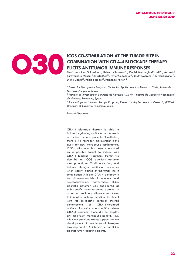

#### **OS CO-STIMULATION AT THE TUMOR SITE IN COMBINATION WITH CTLA-4 BLOCKADE THERENT COMBINATION WITH CTLA-4 BLOCKADE THERE COMBINATION WITH CTLA-4 BLOCKADE THERAPY ELICITS ANTITUMOR IMMUNE RESPONSES**

Mario Martínez Soldevilla<sup>1,2</sup>, Helena Villanueva<sup>1,2</sup>, Daniel Meraviglia-Crivelli<sup>1,2</sup>, Ashwathi Puravancara Menon<sup>1,2</sup>, Marta Ruiz<sup>2,3</sup>, Javier Cebollero<sup>1,2</sup>, Beatriz Moreno<sup>1,2</sup>, Teresa Lozano<sup>2,3</sup>, Diana Llopiz<sup>2,3</sup>, Pablo Sarobe<sup>2,3</sup>, Fernando Pastor<sup>1,2</sup>

<sup>1</sup> Molecular Therapeutics Program, Center for Applied Medical Research, CIMA, University of *Navarra, Pamplona, Spain*

*2 Instituto de Investigación Sanitaria de Navarra (IDISNA), Recinto de Complejo Hospitalario de Navarra, Pamplona, Spain.*

*3 Immunology and Immunotherapy Program, Center for Applied Medical Research, (CIMA), University of Navarra, Pamplona, Spain.*

*fpasrodri@unav.es* 

CTLA-4 blockade therapy is able to induce long-lasting antitumor responses in a fraction of cancer patients. Nonetheless, there is still room for improvement in the quest for new therapeutic combinations. ICOS costimulation has been underscored as a possible target to include with CTLA-4 blocking treatment. Herein we describe an ICOS agonistic aptamer that potentiates T-cell activation, and induces stronger antitumor responses when locally injected at the tumor site in combination with anti-CTLA-4 antibody in two different models of melanoma and hepatocarcinoma. Furthermore, ICOS agonistic aptamer was engineered as a bi-specific tumor targeting aptamer in order to reach any disseminated tumor lesions after systemic injection. Treatment with the bi-specific aptamer showed enhancement of CTLA-4-mediated antitumor immunity under conditions where CTLA-4 treatment alone did not display any significant therapeutic benefit. Thus, this work provides strong support for the development of combinatorial therapies involving anti-CTLA-4 blockade and ICOS agonist tumor-targeting agents.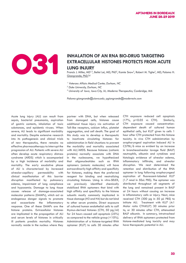

### INHALATION OF AN RNA BIO-DRUG TARGETING<br>EXTRACELLULAR HISTONES PROTECTS FROM ACU<br>LUNG INJURY **EXTRACELLULAR HISTONES PROTECTS FROM ACUTE LUNG INJURY**

Francis J. Miller, MD<sup>1,2</sup>, Beilei Lei, MD, PhD<sup>2</sup>, Kamie Snow<sup>2</sup>, Robert M. Tighe<sup>2</sup>, MD, Paloma H. Giangrande, PhD.<sup>3,4</sup>

*1 Veterans Affairs Medical Center, Durham, NC*

*2 Duke University, Durham, NC* 

*3 University of Iowa, Iowa City, IA; Moderna Therapeutics, Cambridge, MA*

*Paloma-giangrande@uiowa.edu; pgiangrande@modernatx.com*

Acute lung injury (ALI) can result from sepsis, bacterial pneumonia, aspiration of gastric contents, inhalation of toxic substances, and epidemic viruses. When severe, ALI leads to significant morbidity and mortality. Despite extensive research into its pathogenesis and clinical trials of new therapeutics, there remains no effective pharmacotherapy to interrupt the progression of ALI. Patients with severe ALI often develop acute respiratory distress syndrome (ARDS) which is accompanied by a high incidence of morbidity and mortality. The early exudative phase of ALI is characterized by increased alveolar-capillary permeability with clinical manifestation of this barrier disruption manifested by pulmonary edema, impairment of lung compliance and hypoxemia. Damage to lung tissue causes release of damage-associated molecular patterns (DAMPs), which act as endogenous danger signals to promote and exacerbate the inflammatory response. One of these DAMPs are the histone proteins. Extracellular histones are implicated in the propagation of ALI and serum levels of histones in critically ill patients predicts mortality. Histones normally reside in the nucleus where they partner with DNA, but when released from damaged cells, histones cause additional tissue injury via activation of Toll-like receptors, calcium influx, platelet aggregation, and cell death. The goal of this study was to develop a therapeutic to inactivate circulating histones for administration in field situations to prevent the morbidity and mortality associated with ALI/ARDS. Because histones (cationic proteins) normally associate with DNA in the nucleosome, we hypothesized that oligonucleotides such as RNA aptamers (anionic molecules) will have extraordinarily high affinity and specificity for histones, making them the preferred reagent for binding and neutralizing circulating histones. Using in vitro-SELEX, we previously identified chemically stabilized RNA aptamers that bind with high affinity and specificity to the histone subunits mostly commonly implicated in tissue damage (H3 and H4) but do not bind to other serum proteins. Direct exposure of cultured human endothelial cells to calf thymus-derived histones (CTH, 50 µg/ml) for 24 hours caused cell apoptosis (25%) as compared to the vehicle group  $(510\%)$ . Administration of a histone-targeted RNA aptamer (KU7) to cells 30 minutes after

CTH exposure reduced cell apoptosis (17%, p<0.05 vs CTH). Similarly, CTH exposure caused concentrationdependent death of cultured human epithelial cells, but KU7 given to cells 1 hour after CTH protected from this histone toxicity. In vivo CTH administration by oropharyngeal aspiration induced ALI in C57BL/6 mice as evident by an increase in broncheoalveolar lavage fluid (BALF) neutrophils, albumin and cytokines and histologic evidence of alveolar edema, inflammatory infiltrate, and alveolar disruption. We next determined the retention and distribution of the RNA aptamer in lung following oropharyngeal aspiration of fluorescent-labeled KU7 (1.7 nmol in 50uL PBS). The aptamer was distributed throughout all segments of the lung and remained present in BALF at 24 hours without causing an increase in inflammatory cells or injury. Next, mice received CTH (300 µg in 50 µL PBS) to initiate ALI. Treatment with KU7 (4:1 Molar ratio CTH:KU7) 30 minutes prior to, or 30 minutes after CTH, attenuated BALF albumin. In summary, intratracheal delivery of RNA aptamers protected from histone-mediated lung toxicity and may have therapeutic potential in ALI.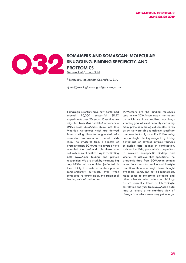

#### **SOMAMERS AND SOMASCAN: MOLECULAR SNUGGLING, BINDING SPECIFICITY, AND PROTEOMICS SNUGGLING, BINDING SPECIFICITY, AND PROTEOMICS**

<u>Nebojsa Janjic<sup>1</sup>, Larry Gold<sup>1</sup></u>

*1 SomaLogic, Inc. Boulder, Colorado, U. S. A.*

*njanjic@somalogic.com; lgold@somalogic.com*

SomaLogic scientists have now performed around 10,000 successful SELEX experiments over 20 years. Over time we migrated from RNA and DNA aptamers to DNA-based SOMAmers (Slow Off-Rate Modified Aptamers) which are derived from starting libraries augmented with molecular features natural nucleic acids lack. The structures from a handful of protein target: SOMAmer co-crystals have revealed the profound role these nonnatural chemical entities play in facilitating both SOMAmer folding and protein recognition. We are struck by the snuggling capabilities of nucleotides (reflected in their ability to create exquisitely precise complementary surfaces), even when compared to amino acids, the traditional binding units of antibodies.

SOMAmers are the binding molecules used in the SOMAscan assay, the means by which we have realized our longstanding goal of simultaneously measuring many proteins in biological samples. In this assay, we were able to achieve specificity comparable to high quality ELISAs using only a single binding reagent by taking advantage of several intrinsic features of nucleic acid ligands in combination, such as low Kd's, polyanionic competitors to minimize non-specific binding, and kinetics, to achieve that specificity. The proteomic data from SOMAscan contain more biomarkers for medical and lifestyle conditions than one might have thought available. Some, but not all biomarkers, make sense to molecular biologists and other scientists who understand biology as we currently know it. Interestingly, correlation analyses from SOMAscan data lead us toward a non-standard view of biology from which sense may yet emerge.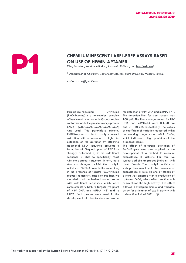# **CHEMILUMINESCENT LABEL-FREE ASSAYS BASED**<br> **ON USE OF HEMIN APTAMER**<br>
Oleg Bodulev<sup>1</sup>, Konstantin Burkin<sup>1</sup>, Anastasia Gribas<sup>1</sup>, and <u>Ivan Sakharov<sup>1</sup><br>
<sup>1</sup> Department of Chemistry, Lomonosov Moscow State University, Mosc</u> **ON USE OF HEMIN APTAMER**

Oleg Bodulev<sup>1</sup>, Konstantin Burkin<sup>1</sup>, Anastasia Gribas<sup>1</sup>, and <u>Ivan Sakharov<sup>1</sup></u>

<sup>1</sup> Department of Chemistry, Lomonosov Moscow State University, Moscow, Russia.

*sakharovivan@gmail.com*

Peroxidase-mimicking DNAzyme (PMDNAzyme) is a noncovalent complex of hemin and its aptamer in G-quadruplex conformation. In the present work, aptamer EAD2 (CTGGGAGGGAGGGAGGGA) was used. This peroxidase mimetic, PMDNAzyme is able to catalyze luminol oxidation with a formation of light. An extension of the aptamer by attaching additional DNA sequence prevents a formation of G-quadruplex of EAD2 or strongly deformed it, if the additional sequence is able to specifically react with the aptamer sequence. In turn, these structural changes diminish the catalytic activity of PMDNAzyme. In the same time, in the presence of targets PMDNAzyme reduces its activity. Based on this fact, we modeled and synthesized some probes with additional sequences which were complementary both to targets (fragment of HBV DNA and miRNA-141) and to EAD2. Such probes were used in the development of chemiluminescent assays

for detection of HIV DNA and miRNA-141. The detection limit for both targets was 100 pM. The linear range values for HIV DNA and miRNA-141were 0.1-50 nM and 0.1–10 nM, respectively. The values of coefficient of variation measured within the working range varied within 2-4%, which indicates a high precision of the proposed assays.

The effect of allosteric activation of PMDNAzyme was also applied in the development of a method to measure exonuclease III activity. For this, we synthesized similar probes (hairpins) with blunt 3'-ends. The catalytic activity of such probes was low. In the presence of exonuclease III (exo III) one of stands of a stem was digested with a production of aptamer EAD2, which after reaction with hemin shows the high activity. This effect allowed developing simple and versatile assay for estimation of exo III activity with a detection limit of 0.01 U/µL.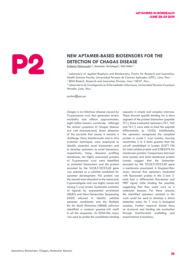### **NEW APTAMER-BASED BIOSENSORS FOR THE DETECTION OF CHAGAS DISEASE DETECTION OF CHAGAS DISEASE**

<u>Katherin Peñaranda<sup>12</sup>,</u> Manuela Verástegui<sup>3</sup>, Pohl Milón<sup>12</sup>

<sup>1</sup> Laboratory of Applied Biophysic and Biochemistry, Centre for Research and Innovation, *Health Sciences Faculty, Universidad Peruana de Ciencias Aplicadas (UPC), Lima, Peru ; 2 BDM Biotech, Research and Innovation Division, Lima 15047, Peru ;* 

*3 Laboratorio de Investigación en Enfermedades Infecciosas, Universidad Peruana Cayetano Heredia, Lima, Peru.*

*pmilon@upc.pe*

Chagas is an infectious disease caused by Trypanosoma cruzi that generates severe morbidity and affects approximately eight million humans worldwide. Although the clinical symptoms of Chagas disease are well characterized, direct detection of the parasite that causes it remains a challenge. Here, bioinformatic and in vitro evolution techniques were employed to identify potential novel biomarkers and to develop aptamers as novel biosensors, respectively. Using ribosome profiling databases, ten highly expressed proteins of Trypanosoma cruzi were identified as potential biomarkers and the protein encoded by the TcCLB.510323.60 gene was selected as a suitable candidate for aptamer development. This protein was the second most abundant in the metacyclic trypomastigote and was highly conserved among T. cruzi strains. Systematic evolution of ligands by exponential enrichment (SELEX) and Next-Generation Sequencing (NGS) allowed to identify suitable aptamer candidates and the Multiple Em for Motif Elicitation (MEME) software identified a common guanine-rich motif in all the sequences. An ELISA-like assay was used to probe the candidates binding capacity in simple and complex matrixes. These showed specific binding for a short segment of the protein biomarker (peptide TC1), three evaluated aptamers (TA1, TA2 and TA11) were able to bind the peptide differentially (p <0.05). Additionally, the aptamers recognized the complete protein in crude T. cruzi lysates, showing reactivities 2 to 3 times greater than the cut-off established in lysates (0.071196 for total soluble protein and 0.082576 for membrane protein). Comparisons between total protein and total membrane protein lysates suggest that the biomarker encoded by the TcCLB.510323.60 gene is membrane associated. A Stopped-flow assay showed that aptamers incubated with fluorescent probes in the 5'and 3' ends had a differential fluorescent and FRET signal while binding the peptide, suggesting that they could work as a molecular beacon. For these reasons, the identified aptamers isolated in this work could be used to develop a direct detection assay for T. cruzi in biological samples. Further research should focus on structural and binding site evaluation through bioinformatic modelling and experimental truncations.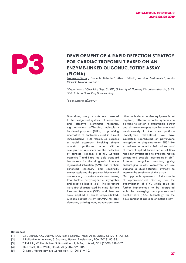

# **DEVELOPMENT OF A RAPID DETECTION STRATEGY<br>
FOR CARDIAC TROPONIN T BASED ON AN<br>
ENZYME-LINKED OLIGONUCLEOTIDE ASSAY<br>
(ELONA)**<br>
Francesca Torrini<sup>1</sup>, Pasquale Palladino<sup>1</sup>, Alvaro Brittoli<sup>1</sup>, Veronica Baldoneschi<sup>1v</sup>, Mari **FOR CARDIAC TROPONIN T BASED ON AN ENZYME-LINKED OLIGONUCLEOTIDE ASSAY (ELONA)**

Francesca Torrini<sup>1</sup>, Pasquale Palladino<sup>1</sup>, Alvaro Brittoli<sup>1</sup>, Veronica Baldoneschi<sup>1</sup><sup>,</sup> Maria Minunni<sup>1</sup>, Simona Scarano<sup>1,\*</sup>

<sup>1</sup>*Department of Chemistry "Ugo Schiff", University of Florence, Via della Lastruccia, 3-13, 50019 Sesto Fiorentino, Florence, Italy.* 

*\* simona.scarano@unifi.it*

Nowadays, many efforts are devoted to the design and synthesis of innovative and effective biomimetic receptors, e.g. aptamers, affibodies, molecularly imprinted polymers (MIPs), as promising alternative to antibodies used in clinical immunoassays [1-2]. Herein, we purpose a rapid approach involving simple analytical platforms coupled with a new pair of aptamers for the detection of cardiac Troponin T (cTnT). Cardiac troponins T and I are the gold standard biomarkers for the diagnosis of acute myocardial infarction (AMI), due to their enhanced sensitivity and specificity, almost replacing the previous biochemical markers, e.g. aspartate aminotransferase, total lactate dehydrogenase, myoglobin and creatine kinase [3-5]. The aptamers were first characterized by using Surface Plasmon Resonance (SPR), and then we have applied a direct Enzyme-Linked-OligoNucleotide Assay (ELONA) for cTnT detection, offering many advantages over

other methods: expensive equipment is not required; different reporter systems can be used to obtain a quantifiable output and different samples can be analyzed simultaneously in the same platform (polystyrene microplate). We have successfully reproduced, on polystyrene microplate, a single-aptamer ELISA-like experiment to quantify cTnT and, as proof of concept, spiked human serum solutions has been investigated to evaluate matrix effects and possible interferents in cTnT-Aptamer recognition reaction, giving encouraging results. Moreover, we are studying a dual-aptamers strategy to improve the sensitivity of the assay.

Our approach represents a first example of aptamer-based bioassay for the quantification of cTnT, which could be further implemented to be integrated with the emerging smartphone-based point-of-care (POC) technology for the development of rapid colorimetric assay.

### **References**

- [2] P. Palladino, M. Minunni, S. Scarano, Biosens. Bioelectron., 106 (2018) 93-98.
- [3] T. Reichlin, W. Hochholzer, S. Bassetti, et al., N Engl J Med., 361 (2009) 858-867.
- [4] J.K. French, H.D. White, Heart, 90 (2004) 99–106.
- [5] G. Lippi, Nature Reviews Cardiology, 13 (2016) 9-10.

<sup>[1]</sup> C.I.L. Justino, A.C. Duarte, T.A.P. Rocha-Santos., Trends Anal. Chem., 65 (2015) 73–82.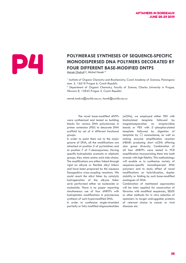# POLYMERASE SYNTHESES OF SEQUENCE-SPECIFIC<br>
MONODISPERSED DNA POLYMERS DECORATED BY<br>
FOUR DIFFERENT BASE-MODIFIED DNTPS<br>
Marek Ondruš<sup>1,2</sup>, Michal Hocek<sup>1,2</sup> **MONODISPERSED DNA POLYMERS DECORATED BY FOUR DIFFERENT BASE-MODIFIED DNTPS**

Marek Ondruš<sup>1,2</sup>, Michal Hocek<sup>1,2</sup>

<sup>1</sup> Institute of Organic Chemistry and Biochemistry, Czech Academy of Sciences, Flemingovo *nam. 2, 16610 Prague 6, Czech Republic*

<sup>2</sup> Department of Organic Chemistry, Faculty of Science, Charles University in Prague, *Hlavova 8, 12843 Prague 2, Czech Republic*

*marek.ondrus@uochb.cas.cz; hocek@uochb.cas.cz*

The novel base-modified dNTPs were synthesized and tested as building blocks for various DNA polymerases in primer extension (PEX) to decorate DNA scaffold by set of 4 different functional groups.

In order to point them out to the major groove of DNA, all the modifications are attached at position 5 of pyrimidines and at position 7 of 7-deazapurines. Having specific hydrophobic aromatic or aliphatic groups, they mimic amino acid side-chains. The modifications are either linked through rigid an alkyne or flexible alkyl linkers and have been prepared by the aqueous Sonogashira cross-coupling reactions. We could reach the alkyl linker by catalytic hydrogenation of the alkyne linker serie performed either on nucleoside or nucleotide. There is no paper reporting simultaneous use of four dNRTPs with hydrophobic modifications in polymerase synthesis of such hypermodified DNA.

In order to synthesize single-stranded partially or fully modified oligonucleotides (ssONs), we employed either PEX with biotinylated template followed by magnetoseparation on streptavidine beads or PEX with 5´-phosphorylated template followed by digestion of template by  $\Box$  exonuclease, as well as nicking enzyme amplification reaction (NEAR) producing short ssONs offering also great diversity. Combination of all four dNRTPs were tested in PCR amplification incorporating them into both strands with high fidelity. This methodology will enable us to synthesize variety of sequence-specific monodispersed DNA polymers and to study effect of novel modifications on hybridization, duplex stability or folding by such base-modified analogues of DNA.

Combination of mentioned approaches will be later applied for construction of libraries with modified sequences, SELEX or other methods for in vitro selection of aptamers to target undruggable proteins of relevant choice to cancer or viral diseases etc.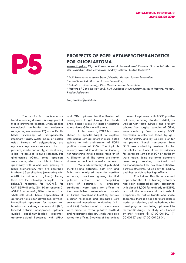# **PROSPECTS OF EGFR APTAMEROTHERANOSTICS**<br> **FOR GLIOBLASTOMA**<br>
<u>Alexey Kopylov<sup>1</sup>, Olga Antipova</u><sup>1</sup>, Anastasia Novoseltseva<sup>1</sup>, Ekaterina Savchenko<sup>2</sup>, Alex<br>
der Revishchin<sup>3</sup>, Elena Zavyalova<sup>1</sup>, Andrey Golovin<sup>1</sup>, Galina **FOR GLIOBLASTOMA**

<u>Alexey Kopylov<sup>1</sup>,</u> Olga Antipova<sup>1</sup>, Anastasia Novoseltseva<sup>1</sup>, Ekaterina Savchenko<sup>2</sup>, Alexander Revishchin<sup>3</sup>, Elena Zavyalova<sup>1</sup>, Andrey Golovin<sup>1</sup>, Galina Pavlova<sup>3,4</sup>

<sup>1</sup> M.V. Lomonosov Moscow State University, Moscow, Russian Federation,

*2 Apto-Pharm Ltd, Moscow, Russian Federation,*

*3 Institute of Gene Biology, RAS, Moscow, Russian Federation,*

*4 Institute of Gene Biology, RAS; N.N. Burdenko Neurosurgery Research Institute, Moscow, Russian Federation*

*kopylov.alex@gmail.com*

Theranostics is a contemporary trend in treating diseases. A large part of that is immunotheranostics, which applies monoclonal antibodies as molecular recognizing elements (MoRE) to specifically block functioning of therapeutically important target. MoRE made of nucleic acids, instead of polypeptides, are aptamers. Aptamers are more robust to produce, handle and apply, not mentioning a lack to provoke immune response. For glioblastoma (GBM), some aptamers were made, which are able to interact specifically with glioma cells gaining to block proliferation; they are described in about 65 publications (comparing with 6,440 for antibody to glioma). Among them are the following examples: for EphB2/3 receptors, for PDGFRβ, for U87-EGFRvIII cells, GBI-10 to tenascin-C, AS1411 to nucleolin, DNA aptamers from whole-cell SELEX. Some applications of aptamers have been developed: surfaceimmobilized aptamers for cancer cell isolation and cytology, quantum dot (QD) labeled aptamer nanoprobes, aptamer guided gadolinium-loaded liposomes, aptamer-guided liposomes with siRNA

and QDs, aptamer functionalization of nanosystems to get through the bloodbrain barrier, microRNA-based targeting to eradicate GBM stem-like cells.

In this research, EGFR has been chosen as specific target to explore interactions with aptamers in more detail gaining to halt proliferation of EGFR positive clones of GBM. The topic is already covered in a dozen publications, not mentioning initial classical research of A. Ellington et al. The results are rather diverse and could not be easily compared.

We made inventory of published EGFR-binding aptamers, both RNA and DNA, and analyzed them for possible secondary structures, gaining to find putative scaffold and recognizing parts of aptamers. All promising candidates were tested for affinity to the immobilized extracellular domain of human recombinant EGFR by surface plasmon resonance and compared with commercial monoclonal antibodies (H11 and 225). Derivatives of active aptamers were made to reveal putative scaffold and recognizing domain, which were also tested for affinity. Studying of interactions

of several aptamers with EGFR positive cell lines, including standard A431, as well as with tissue cultures, and primary cultures from surgical samples of GBM, were made by flow cytometry. EGFR expression in cells was tested by qRT-PCR for mRNA and by western blot for the protein. Signal transduction from EGFR was studied by western blot for phosphokinase. Competitive experiments for aptamers with either EGF or antibody were made. Some particular aptamers have very promising structural and functional properties. They show distinctive putative structures, which easy to modify, and they exhibit rather high affinity.

Conclusions. Despite a hundred papers for the EGFR binding aptamers had been described till now (comparing with about 18,000 for antibody to EGFR), most of the aptamers do not exhibit properties for further translational study. Therefore, there is a need for more success stories of selection, and methodology for developing and translating aptamers into theranostic drugs. The study was funded by RFBR Projects № 17-00-00160, 17- 00-00157 and 17-00-00162 (K).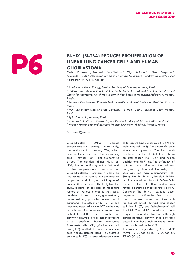# **BI-HD1 (BI-TBA) REDUCES PROLIFERATION OF<br>
LINEAR LUNG CANCER CELLS AND HUMAN<br>
GLIOBLASTOMA**<br>
Gling Pavlova<sup>1,2,3</sup>, Nadezda Samoilenkova<sup>5</sup>, Olga Antipova<sup>4</sup>, Elena Zav<br>
Alexander Gulin<sup>6</sup>, Alexander Revisionin<sup>1</sup>, Varvara **LINEAR LUNG CANCER CELLS AND HUMAN GLIOBLASTOMA**

 $\overline{\textsf{Galina Pavlova}^{\text{l},2,3}}$ , Nadezda Samoilenkova $^5$ , Olga Antipova $^4$ , Elena Zavyalova<sup>4</sup>, Alexander Gulin<sup>6</sup>, Alexander Revishchin<sup>1</sup>, Varvara Kolesnikova<sup>7</sup>, Andrey Golovin<sup>3,4</sup>, Victor Nadtochenko<sup>6</sup>, Alexey Kopylov<sup>4</sup>

<sup>1</sup> 1 Institute of Gene Biology, Russian Academy of Sciences, Moscow, Russia.

*<sup>2</sup>Federal State Autonomous Institution «N.N. Burdenko National Scientific and Practical Center for Neurosurgery» of the Ministry of Healthcare of the Russian Federation, Moscow, Russia.*

*3 Sechenov First Moscow State Medical University, Institute of Molecular Medicine, Moscow, Russia*

*<sup>4</sup>M.V. Lomonosov Moscow State University, 119991, GSP-1, Leninskie Gory, Moscow, Russia.*

*<sup>5</sup>Apto-Pharm Ltd, Moscow, Russia.*

*<sup>6</sup>Semenov Institute of Chemical Physics, Russian Academy of Sciences, Moscow, Russia.*

*<sup>7</sup>Pirogov Russian National Research Medical University (RNRMU), Moscow, Russia.*

*lkorochkin@mail.ru*

G-quadruplex DNAs possess antiproliferative activity. Interestingly, the antithrombin aptamer, TBA, which also has the structure of a G-quadruplex, also showed an anti-proliferative effect. The covalent dimer HD1, bi-HD1, has an anticoagulant effect and its structure presumably consists of two G-quadruplexes. Therefore, it would be interesting if it retains antiproliferative properties. And if so, on which type of cancer it acts most effectively.For the study, a panel of cell lines of malignant tumors of various etiologies was used, consisting of breast cancer, glioblastoma, neuroblastoma, prostate cancer, rectal carcinoma. The effect of bi-HD1 on cell lines was assessed by the MTT method as an indicator of a decrease in proliferative potential. bi-HD1 reduces proliferative activity in a number of cell lines of different tissue specificity: human embryonic fibroblasts cells (hEF), glioblastoma cell line (U87), epithelioid cervix carcinoma cells (HeLa), colon cells (HCT116), prostate cancer cells (PC3), breast adenocarcinoma cells (MCF7), lung cancer cells (RL-67) and melanoma cells (mS). The antiproliferative effect was cytostatic. The best antiproliferative effect of bi-HD1 was shown on lung cancer line RL-67 and human glioblastoma U87 line. The efficiency of aptamer penetration into the cell was analyzed by flow cytofluorimetry and secondary ion mass spectrometry (ToF-SIMS). For this bi-HD1, labeled TAMRA or J2 was used. Addition of ExGen DNA carrier to the cell culture medium was found to enhance antiproliferative action. Conclusions.The bi-HD1 exhibits dosedependent antiproliferative activity toward several cancer cell lines, with the highest activity toward lung cancer cell line RL-67, and 'glioblastoma' cell line U87. The bi-HD1 turned out to be a unique two-modular structure with high antiproliferative activity that illustrates possibility to build multi-functional nanoconstructs based on the GQ.

The work was supported by Grant RFBR KOMFI 17-00-00162 (K), 17-00-00157, 17-00-00160.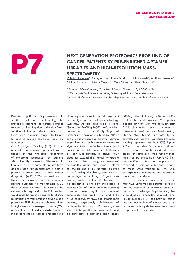### NEXT GENERATION PROTEOMICS PROFILING OF CANCER PATIENTS BY PRE-ENRICHED APTAMER<br>LIBRARIES AND HIGH-RESOLUTION MASS-**CANCER PATIENTS BY PRE-ENRICHED APTAMER LIBRARIES AND HIGH-RESOLUTION MASS-SPECTROMETRY**

Valeriy Domenyuk<sup>1</sup>, Xianghua Liu<sup>1</sup>, Adam Stark<sup>1</sup>, Patrick Kennedy<sup>1</sup>, Matthew Rosenow<sup>1</sup>, Michael Famulok<sup>1,2,3</sup>, Günter Mayer<sup>1,2,3</sup>, Mark Miglarese<sup>1</sup>, David Spetzler<sup>1</sup>

*<sup>1</sup>Research &Development, Caris Life Sciences, Phoenix, AZ, 85040, USA*

*3 Center of Aptamer Research and Development, University of Bonn, Bonn, Germany*

Despite significant improvements in sensitivity of mass-spectrometry, the proteomics profiling of clinical samples remains challenging due to the significant fraction of low abundant proteins and their wide dynamic range, limitations to analyze protein complexes and low throughput.

Our Poly-Ligand Profiling (PLP) platform generates and employs aptamer libraries trained in the unbiased recognition of molecular complexes from patients with clinically relevant differences in health or drug response status. We have demonstrated PLP applications in both a plasma exosome-based breast cancer diagnostic (AUC 0.73) as well as a tissue-based classifier for breast cancer patient outcomes to trastuzumab (300 days survival increase). To uncover the molecular background of the PLP profiles, we utilized the trained libraries to affinity purify proteins from patient-derived blood plasma or FFPE tissue and subjected them to high-resolution mass-spectrometry (MS). MS identified proteins known to be involved in cancer related biological processes and

drug response as well as novel targets not previously associated with cancer biology. Currently, we are developing a Next-Generation Profiling (NGP) platform which capitalizes on dramatically improved proteomics resolution enabled by PLP on a per patient basis and machine-learning algorithms to assemble complex molecular signatures that underlie the nature, natural course and predicted response to therapy of individual cancers. To ensure NGP does not exceed the typical turnaround time for a clinical assay, we developed a high-throughput one round protocol for the training of PLP-libraries on FFPE tissue. Starting with library, containing >1 copy/oligo and utilizing stringent postbinding washes/dilutions, the training can be completed in one day and scaled to process 100's of patient samples. Resulting libraries have significantly reduced complexity and ability to bind FFPE tissue as shown by NGS and chromogenic staining, respectively. Enrichment of proteins for MS from FFPE tissue lysates via affinity purification was performed on pancreatic, breast and colon cancer,

utilizing the following criteria: 99% protein threshold; minimum 2 peptides per protein with 95% threshold; at least 2-fold change for precursor ion intensity between trained and untrained starting library, "No library" and total lysate controls; coefficient of variation between binding replicates less than 25%. Up to 70% of the identified cancer related targets were previously described based on cell line analyses, while PLP enriched them from patient samples. Up to 40% of the identified proteins had no previously reported association with cancer; many of these were verified by IHC with corresponding antibodies and represent biomarker-candidates.

In summary, our data indicate that NGP using trained aptamer libraries has the potential to overcome some of the current challenges in proteomics, like wide dynamic range, low sensitivity and low throughput. NGP can provide insight into the mechanisms of cancer and drug response, and may deliver new biomarkers for personalized medicine.

*<sup>2</sup> Life and Medical Sciences Institute, University of Bonn, Bonn, Germany*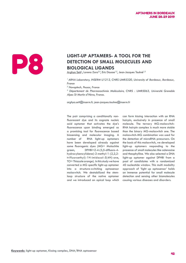### LIGHT-UP APTAMERS- A TOOL FOR THE DETECTION OF SMALL MOLECULES AND BIOLOGICAL LIGANDS **DETECTION OF SMALL MOLECULES AND BIOLOGICAL LIGANDS**

Arghya Sett<sup>1</sup>, Lorena Zara<sup>2,3</sup>, Eric Dausse<sup>1,2</sup>, Jean-Jacques Toulmé<sup>1,2</sup>

*<sup>1</sup>ARNA Laboratory, INSERM U1212, CNRS UMR5320, University of Bordeaux, Bordeaux, France* 

*2 Novaptech, Pessac, France*

*3 Département de Pharmacochimie Moléculaire, CNRS : UMR5063, Université Grenoble Alpes St Martin d'Hères, France.*

*arghya.sett@inserm.fr, jean-jacques.toulme@inserm.fr*

The pair comprising a conditionally nonfluorescent dye and its cognate nucleic acid aptamer that activates the dye's fluorescence upon binding emerged as a promising tool for fluorescence based biosensing and molecular imaging. A number of RNA light-up aptamers have been developed already against some fluorogenic dyes (MG= Malachite green, DFHBI=Z-4-(3,5-difluoro-4 hydroxybenzylidene)-2-methyl-1-(2,2,2 trifluoroethyl)-1H-imidazol-5(4H)-one, TO= Thiazole orange). In this study we have converted a MG specific light-up aptamer into a structure-switching aptasensor malaswitch. We destabilized the stemloop structure of the native aptamer and we introduced an apical loop which can form kissing interaction with an RNA hairpin, exclusively in presence of small molecule. The ternary MG-malaswitch-RNA hairpin complex is much more stable than the binary MG-malaswitch one. The malaswitch-MG combination was used for the detection of microRNA precursors. On the basis of this malaswitch, we developed light-up aptamers responding to the presence of small molecules like adenosine and theophylline. We also selected a DNA light-up aptamer against DFHBI from a pool of candidates with a randomized 40 nucleotide window. This multi modality approach of 'light up aptasensor' holds an immense potential for small molecule detection and sensing other biomolecules causing various diseases and disorders.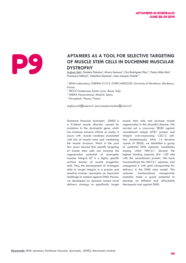# **APTAMERS AS A TOOL FOR SELECTIVE TARGETING**<br> **OF MUSCLE STEM CELLS IN DUCHENNE MUSCULAR**<br> **DYSTROPHY**<br>
Arghya Sett<sup>1</sup>, Daniela Palacios<sup>2</sup>, Alvaro Somoza<sup>3</sup>, Ciro Rodriguez Diaz<sup>3</sup>, Paula Milán Rois<sup>3</sup><br>
Francesco Millozzi **OF MUSCLE STEM CELLS IN DUCHENNE MUSCULAR DYSTROPHY**

<u>Arghya Sett<sup>1</sup>,</u> Daniela Palacios<sup>2</sup>, Alvaro Somoza<sup>3</sup>, Ciro Rodriguez Diaz <sup>3</sup>, Paula Milán Rois<sup>3</sup> Francesco Millozzi<sup>2</sup>, Valentina Saccone<sup>2</sup>, Jean-Jacques Toulmé<sup>1,4</sup>

*<sup>1</sup>ARNA Laboratory, INSERM U1212, CNRS UMR5320, University of Bordeaux, Bordeaux, France*

*2 IRCCS Fondazione Santa Lucia, Rome, Italy.*

*3 IMDEA Nanosciences, Madrid, Spain.*

*4 Novaptech, Pessac, France*

*arghya.sett@inserm.fr, jean-jacques.toulme@inserm.fr*

Duchenne Muscular dystrophy (DMD) is a X-linked muscle disorder caused by mutations in the dystrophin gene, which has immense adverse effects on males. It occurs with muscle weakness associated with loss of muscle mass and weakening the muscle structure. Work in the past few years showed that specific targeting of muscle stem cells can increase the regeneration potential of dystrophic muscles. Integrin α7 is a highly specific surface marker of muscle progenitor cells. Thus, the development of strategies able to target integrin in a precise and sensitive manner represents an important challenge to combat against DMD. Herein, we developed an aptamer based novel delivery strategy to specifically target muscle stem cells and increase muscle regeneration in this dreadful disease. We carried out a cross-over SELEX against recombinant integin α7β1 protein and integrin over-expressing C2C12 cellline simultaneously. After 14 iterative rounds of SELEX, we identified a group of potential DNA aptamer candidates among which NM15.1 showed the highest binding capacity (Kd -130 nM) with the recombinant protein. We have functionalized the NM15.1 aptamer and conjugated it with gold nanoparticle for delivery in the DMD mice model. This aptamer functionalized nanoparticle modality holds a great potential to develop an efficient and affordable therapeutic tool against DMD.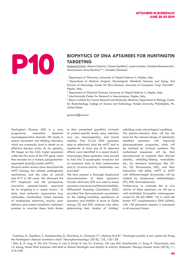# **BIOPHYSICS OF DNA APTAMERS FOR HUNTINGTIN<br>
TARGETING<br>
Federica D'Aria<sup>1</sup>, Marco Caterino<sup>1</sup>, Tiziana Squillaro<sup>2</sup>, Jussara Amato<sup>1</sup>, Daniela Montesarchio<sup>3</sup>,<br>
Mariarosaria Anna Beatrice<sup>2,4,5</sup>, Concetta Giancola<sup>1</sup> TARGETING**

<u>Federica D'Aria</u><sup>1</sup>, Marco Caterino<sup>1</sup>, Tiziana Squillaro<sup>2</sup>, Jussara Amato<sup>1</sup>, Daniela Montesarchio<sup>3</sup>, Mariarosaria Anna Beatrice<sup>2,4,5</sup>, Concetta Giancola<sup>1</sup>

<sup>1</sup> Department of Pharmacy, University of Napoli Federico II, Naples, Italy;

<sup>2</sup> Department of Medical, Surgical, Neurological, Metabolic Sciences, and Aging, 2nd *Division of Neurology, Center for Rare Diseases, University of Campania "Luigi Vanvitelli", Naples, Italy;* 

*3 Department of Chemical Sciences, University of Napoli Federico II, Naples, Italy;* 

*4 InterUniversity Center for Research in Neurosciences, Naples, Italy;* 

*5 Sbarro Institute for Cancer Research and Molecular Medicine, Department of Biology, Center for Biotechnology, College of Science and Technology, Temple University, Philadelphia, PA, United States*

*giancola@unina.it*

Huntington's Disease (HD) is a rare, progressive, autosomal dominant neurodegenerative disorder. HD results in severe movement and thinking disorders, which can eventually lead to death as no effective therapy exists. As for genetics, HD hinges on the CAG triplet expansion within the first exon of the HTT gene, which then encodes for a mutant, polyglutamineexpanded (polyQ) protein (mHTT).

Several recent reviews have described the mHTT biology, the related pathogenesis mechanisms, and the roles of polyQ and N17 in HD onset. We discussed the HTT biophysics and the perspective, innovative aptamer-based approach for its targeting in a recent review<sup>1</sup>. To date, most molecular approaches (e.g. antibodies, intrabodies) failed because of inadequate selectivity, toxicity, poor delivery, and system complexity. Aptamers promise to override these limits thanks

to their unmatched specificity (virtually at patient-specific level), easy selection, very low immunogenicity, and broad stability. Four G-rich DNA aptamers able to selectively bind the mHTT and to ameliorate at least one of its aberrant effects were identified in a recent study2. Interestingly, these aptamers were proved to fold into G-quadruplex structures but no conclusive data on their conformation and/or structure-activity relationship was provided<sup>2</sup>.

We here present a thorough biophysical characterization of these aptamers. Circular dichroism (CD) was used to assess secondary structures and thermal stabilities. Differential Scanning Calorimetry (DSC) provided fine thermodynamic parameters on the folding/unfolding equilibrium of aptamers and stability in terms of Gibbs energy. CD and DSC analyses also allow determining their kinetics of folding/ unfolding under physiological conditions. The physico-chemical data will lay the basis for the rational design of chemically modified aptamers with improved pharmacokinetic properties, which will be realized by in-house synthesis. The synthetized sequences will be then characterized to evaluate their thermal stability, unfolding/folding reversibility etc., by standard techniques like UV-Vis, CD, fluorescence, DSC, and their interaction with either wtHTT or mHTT with different-length Q-stretches will be studied by biophysical methodologies (ITC, SPR, thermophoresis).

Furthermore, to evaluate the in vivo activity of these aptamers, we will use a well stablished Drosophila melanogaster model for HD (Q128HD - FL) in which the human HTT complementary DNA (cDNA), with 128 glutamine repeats, is expressed in all neuronal tissues.

<sup>&</sup>lt;sup>1</sup> Caterino, M., Squillaro, T., Montesarchio, D., Giordano, A., Giancola C<sup>\*</sup>., Melone, M.A.B<sup>\*</sup>. "Huntingtin protein: A new option for fixing the Huntington's disease countdown clock" Neuropharmacology (2018), 135, 126-138

<sup>2</sup> Shin, B., R. Jung, H. Oh, G.E. Owens, H. Lee, S. Kwak, R. Lee, S.L. Cotman, J.M. Lee, M.E. MacDonald, J.J. Song, R. Vijayvargia, and I.S. Seong, Novel DNA Aptamers that Bind to Mutant Huntingtin and Modify Its Activity. Molecular Therapy-Nucleic Acids (2018), 11, 416-428.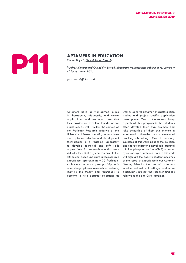# **APTAMERS IN EDUCATION**<br>Vincent Huynh<sup>1</sup>, <u>Gwendolyn M. Stovall<sup>11</sup><br><sup>1</sup> Andrew Ellington and Gwendolyn Stovall Labord<br>of Texas. Austin. USA:</u>

Vincent Huynh<sup>1</sup>, Gwendolyn M. Stovall<sup>1</sup>

<sup>1</sup> Andrew Ellington and Gwendolyn Stovall Laboratory, Freshman Research Initiative, University *of Texas, Austin, USA;* 

*gwenstovall@utexas.edu*

Aptamers have a well-earned place in therapeutic, diagnostic, and sensor applications, and we now show that they provide an excellent foundation for education, as well. Within the context of the Freshman Research Initiative at the University of Texas at Austin, students have used aptamer selection and development technologies in a teaching laboratory to develop technical and soft skills appropriate for research scientists from virtually their first days on campus. In the FRI, course-based undergraduate research experience, approximately 35 freshmansophomore students a year participate in a yearlong aptamer research experience, learning the theory and techniques to perform in vitro aptamer selections, as well as general aptamer characterization studies and project-specific application development. One of the extraordinary aspects of this program is that students often develop their own projects, and take ownership of their own science in what would otherwise be a conventional teaching lab setting. One of the many successes of this work includes the isolation and characterization a novel calf intestinal alkaline phosphatase (anti-CIAP) aptamer by an undergraduate researcher. This work will highlight the positive student outcomes of the research experience in our Aptamer Stream, identify the use of aptamers in other educational settings, and more particularly present the research findings relative to the anti-CIAP aptamer.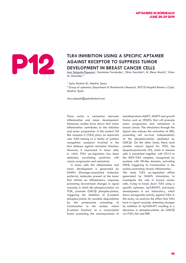

### TLR4 INHIBITION USING A SPECIFIC APTAMER AGAINST RECEPTOR TO SUPPRESS TUMOR<br>DEVELOPMENT IN BREAST CANCER CELLS **AGAINST RECEPTOR TO SUPPRESS TUMOR DEVELOPMENT IN BREAST CANCER CELLS**

<u>Ana Salgado-Figueroa<sup>1</sup>,</u> Gerónimo Fernández<sup>1</sup>, Silvia Sacristán<sup>2</sup>, M. Elena Martín<sup>2</sup>, Víctor M. González<sup>1,2</sup>

*1 Aptus Biotech SL, Madrid, Spain.* 

<sup>2</sup> Group of aptamers, Department of Biochemistry Research, IRYCIS-Hospital Ramón y Cajal, *Madrid, Spain*

*Ana.salgado@aptusbiotech.com*

There exists a connection between inflammation and tumor development. Numerous studies have shown that tumor inflammation contributes to the initiation and tumor progression. In this context Toll like receptor-4 (TLR4) plays an important role. TLR4 belong to a family of pattern recognition receptors involved in the host defense against microbial infection. However, it expressed in tumor cells, in which TLR4 up-regulation has been detected, correlating positively with cancer progression and metastasis.

 In tumor cells this inflammation and tumor development is generated by DAMPs (Damage-associated molecular patterns), molecules present at the tumor that initiate an inflammatory response, promoting downstream changes in signal cascade, in which Akt phosphorylation via PI3K, promote GSK3β phosphorylation, triggering the inhibition of β-catenin phosphorylation for possible degradation by the proteasome promoting its translocation to the nucleus where β-catenin functions as a transcription factor promoting the overexpression of metalloproteins MMP7, MMP9 and growth factors such as VEGFA, that will promote tumor progression and metastasis in breast cancer. The stimulation through the ligand also induces the activation of ERK, promoting cell survival, independently of the phosphorylation mediated by GSK3β. On the other hand, there exist another natural ligand for TLR4, the lipopolysaccharide LPS, which in immune cells is presented together with CD14 to the MD2-TLR4 complex, recognized by proteins with TIR-like domains, activating NFKB, triggering its translocation in the nucleus promoting chronic inflammation. We study TLR4 up-regulation effect generated by DAMPs stimulation, to investigate the role in breast cancer cells, trying to knock down TLR4 using a specific aptamer, ApTLR#4FT, previously development in our laboratory, which shows antagonistic activity against TLR4. In this study, we analyze the effect that TLR4 have in signal cascade, detecting changes by addition of ApTLR#4FT, resulting in a decrease in phosphorylation de GSK3β via PI3K/Akt and ERK.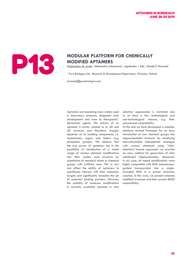

# **MODULAR PLATFORM FOR CHEMICALLY<br>MODIFIED APTAMERS**<br>Przemysław M. Jurek<sup>1</sup>, Aleksandra Adamowicz<sup>1</sup>, Agnieszka J. Sok<sup>1</sup>, Macie **MODIFIED APTAMERS**

<u>Przemysław M. Jurek<sup>1</sup>,</u> Aleksandra Adamowicz<sup>1</sup>, Agnieszka J. Sok<sup>1</sup>, Maciej P. Mazurek<sup>1</sup>

<sup>1</sup> Pure Biologics Ltd., Research & Development Department, Wrocław, Poland

*przemek@purebiologics.com*

Aptamers are becoming more widely used in laboratory research, diagnostic tools development and even as therapeutic/ theranostic agents. The activity of an aptamer is strictly related to its 2D and 3D structure and therefore strongly depends on its building components, i.e. nucleobases, sugars and linkers (e.g. phosphate groups). We believe that the true power of aptamers lies in the possibility of introduction of a whole range of various chemical modifications into their nucleic acid structure by substitution of standard atoms or chemical groups with artificial ones. This in turn can affect the ability of aptamers to specifically interact with their molecular targets and significantly broaden the set of potential binding partners. However, the usability of numerous modifications in currently available aptamer in vitro

selection approaches is restricted due to at least a few technological and non-technological reasons, e.g. their polymerase compatibility.

To this end we have developed a modular platform termed PureApta for an easy introduction of new chemical groups into oligonucleotides structure. By modifying deoxythymidine triphosphate analogue with various chemicals using "clickchemistry"-based approach we provide an easy method for generation of fully substituted oligonucleotides. Moreover, in our case, all tested modifications were highly compatible with DNA polymeraseguided incorporation into a singlestranded DNA in a primer extension reaction. In this work, we present selected modified structures and their proven SELEX compatibility.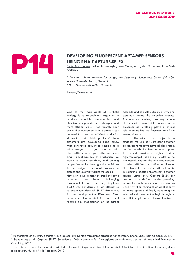# **DEVELOPING FLUORESCENT APTAMER SENSORS**<br>USING RNA CAPTURE-SELEX<br>Andersen<sup>1</sup>, Adrien Boussebayle<sup>1</sup>, Ilenia Manuguerra<sup>1</sup>, Vera Schramke<sup>2</sup>, El **USING RNA CAPTURE-SELEX**

Bente Kring Hansen<sup>1</sup>, Adrien Boussebayle<sup>1</sup>, Ilenia Manuguerra<sup>1</sup>, Vera Schramke<sup>2</sup>, Ebbe Sloth Andersen<sup>1</sup>

<sup>1</sup> Andersen Lab for biomolecular design, Interdiscplinary Nanoscience Center (iNANO), *Aarhus University, Aarhus, Denmark ;* 

*2 Novo Nordisk A/S, Måløv, Denmark.*

*bentekh@inano.au.dk*

One of the main goals of synthetic biology is to re-engineer organisms to produce valuable biomolecules and chemical compounds in a cheaper and more efficient way. It has recently been shown that fluorescent RNA aptamers can be used to screen for efficient production strains in a microfluidic platform<sup>1</sup>. These aptamers are developed using SELEX that generates sequences binding to a wide range of target molecules with high affinity and specificity. Aptamers small size, cheap cost of production, low batch to batch variability and binding properties make them good candidates for the design of functional biosensors to detect and quantify target molecules.

However, development of small molecule aptamers has been challenging throughout the years. Recently, Capture-SELEX was developed as an alternative to circumvent classical SELEX drawbacks for the development of  $DNA<sup>2</sup>$  and  $RNA<sup>3</sup>$ aptamers. Capture-SELEX does not require any modification of the target

molecule and can select structure-switching aptamers during the selection process. This structure-switching property is one of the main characteristic to develop a biosensor as refolding plays a critical role in controlling the fluorescence of the sensing domain.

The aim of this project is to establish the use of fluorescent aptamer biosensors to measure extracellular protein and/or metabolite titers in nanodroplets. This would provide a highly flexible high-throughput screening platform to significantly shorten the timelines needed to select efficient production cell lines at Novo Nordisk. The project will first consist in selecting specific fluorescent aptamer sensors using RNA Capture-SELEX for one or more defined model proteins/ metabolites in the Andersen Lab at Aarhus University, then testing their applicability in nanodroplets and finally validating the selected cell lines in the high-throughput microfluidics platform at Novo Nordisk.

<sup>1</sup> Abatemarco et al., RNA-aptamers-in-droplets (RAPID) high-throughput screening for secretory phenotypes. Nat. Commun, 2017.

<sup>&</sup>lt;sup>2</sup> Stoltenburg et al., Capture-SELEX: Selection of DNA Aptamers for Aminoglycoside Antibiotics, Journal of Analytical Methods in Chemistry, 2012.

 $^3$  Boussebayle et al., Next-level riboswitch development—implementation of Capture-SELEX facilitates identification of a new synthetic riboswitch, Nucleic Acids Research, 2019.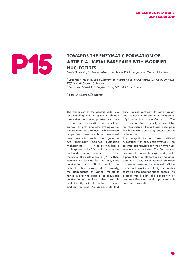## **TOWARDS THE ENZYMATIC FORMATION OF ARTIFICIAL METAL BASE PAIRS WITH MODIFINE STATE OF A RESERVED AND RESERVED AND RESERVED AND RESERVED AND RESERVED AND RESERVED AND RESERVED AND RESERVED AND RESERVED AND RESERVED AND RES ARTIFICIAL METAL BASE PAIRS WITH MODIFIED NUCLEOTIDES**

 $\underline{\mathsf{Marie}~\mathsf{Flamme}^{1,2}}$ , Fabienne Levi-Acobas<sup>1</sup>, Pascal Röthlisberger<sup>1</sup> and Marcel Hollenstein<sup>1</sup>\*

<sup>1</sup> Laboratory for Bioorganic Chemistry of Nucleic Acids, Institut Pasteur, 28 rue du Dr. Roux, *75724 Paris Cedex 15, France.*

*2 Sorbonne Université, Collège doctoral, F-75005 Paris, France.*

*\* marcel.hollenstein@pasteur.fr*

The expansion of the genetic code is a long-standing aim in synthetic biology that strives to create proteins with new or enhanced properties and structures as well as providing new strategies for the isolation of aptamers with enhanced properties. Here, we have developed new synthetic routes to generate two chemically modified nucleoside triphosphates: 4-carboxyimidazole triphosphate (dImcTP) and an adenine nucleotide analog bearing a pyridine moiety on the nucleobase (dPyATP). Their potency at serving for the enzymatic construction of artificial metal base pairs has been evaluated. Particularly, the dependence of various metals is tested in order to improve the enzymatic construction of the Nu-Mn+-Nu base pair and identify suitable metals cofactors and polymerases. We demonstrate that

dImcTP is incorporated with high efficiency and selectivity opposite a templating dPyA nucleotide by the Vent exo<sup>□</sup>. The presence of Ag+ is strictly required for the formation of the artificial base pair. The latter can also be by-passed by the polymerase.

The compatibility of those artificial nucleotides with enzymatic synthesis is an essential prerequisite for their further use in selection experiments. The final aim of this project is to use this expanded genetic alphabet for the elaboration of modified aptamers. Thus, combinatorial selection process in presence of cancer cells will be carried out on a library of oligonucleotides containing the modified triphosphates. This process would allow the generation of new selective therapeutic aptamers with enhanced properties.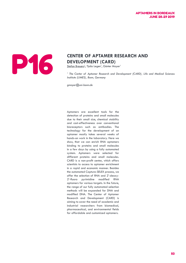### APTAMERS IN BORDEAUX JUNE 28-29 2019



# **CENTER OF APTAMER RESEARCH AND DEVELOPMENT (CARD)**<br>Stefan Breuers<sup>1</sup>, Tjaša Legen<sup>1</sup>, Günter Mayer<sup>1</sup> **DEVELOPMENT (CARD)**

 $Stefan Brevers<sup>1</sup>$ , Tjaša Legen $^1$ , Günter Mayer $^1$ 

<sup>1</sup> The Center of Aptamer Research and Development (CARD), Life and Medical Sciences *Institute (LIMES), Bonn, Germany*

*gmayer@uni-bonn.de*

Aptamers are excellent tools for the detection of proteins and small molecules due to their small size, chemical stability and cost-effectiveness over conventional bioreceptors such as antibodies. The technology for the development of an aptamer mostly takes several weeks of hands-on work in the laboratory. Here we show, that we can enrich RNA aptamers binding to proteins and small molecules in a few days by using a fully automated system. Aptamers were selected for different proteins and small molecules. CARD is a non-profit center, which offers scientists to access to aptamer enrichment in a rapid and economic manner. Besides the automated Capture-SELEX process, we offer the selection of RNA and 2'-deoxy-2'-fluoro pyrimidine modified RNA aptamers for various targets. In the future, the range of our fully automated selection methods will be expanded for DNA and modified DNA. The Center of Aptamer Research and Development (CARD) is aiming to cover the need of academic and industrial researchers from biomedical, pharmaceutical, and environmental fields for affordable and customized aptamers.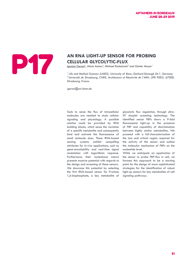

# **AN RNA LIGHT-UP SENSOR FOR PROBING<br>CELLULAR GLYCOLYTIC-FLUX<br>Ignazio Geraci<sup>1</sup>, Alexis Autour<sup>2</sup>, Michael Ryckelynck<sup>2</sup> and Günter Mayer<sup>1</sup> CELLULAR GLYCOLYTIC-FLUX**

<u>lgnazio Geraci<sup>1</sup>,</u> Alexis Autour<sup>2</sup>, Michael Ryckelynck<sup>2</sup> and Günter Mayer<sup>1</sup>

*1 Life and Medical Sciences (LIMES), University of Bonn, Gerhard-Domagk-Str.1, Germany <sup>2</sup>Université de Strasbourg, CNRS, Architecture et Réactivité de l'ARN, UPR 9002, 67000, Strasbourg, France.*

*igeraci@uni-bonn.de*

Tools to sense the flux of intracellular molecules are needed to study cellular signaling and physiology. A possible solution could be provided by RNA building blocks, which sense the variation of a specific metabolite and consequently bind and activate the fluorescence of small molecule dyes. These RNA-based sensing systems exhibit compelling attributes for in-vivo applications, such as gene-encodability and real-time signal modulation with logarithmic response. Furthermore, their nucleobase nature presents massive potential with regards to the design and screening of these sensors. We showcase this potential by selecting the first RNA-based sensor for Fructose 1,6-bisphosphate, a key metabolite of glycolytic flux regulation, through ultra-HT droplet screening technology. The identified sensor FBPs shows a 9-fold fluorescence light-up in the presence of FBP and capability of discrimination between highly similar metabolites. We proceed with a full-characterization of the ions and critical region required for the activity of the sensor and outline the molecular mechanism of FBPs on the nucleotide level.

While we anticipate an application of the sensor to probe FBP-flux in cell, we foresee this approach to be a starting point for the design of more sophisticated strategies for the identification of robust light-up sensors for key metabolites of cell signaling pathways.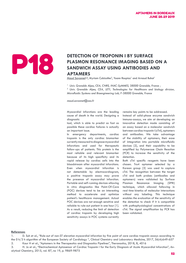### **DETECTION OF TROPONIN I BY SURFACE PLASMON RESONANCE IMAGING BASED<br>SANDWICH ASSAY USING ANTIBODIES A PLASMON RESONANCE IMAGING BASED ON A SANDWICH ASSAY USING ANTIBODIES AND APTAMERS**

Maud Savonnet<sup>1,2</sup>, Myriam Cubizolles<sup>2</sup>, Yoann Roupioz<sup>1</sup> and Arnaud Buhot<sup>1</sup>

<sup>1</sup> Univ. Grenoble Alpes, CEA, CNRS, INAC-SyMMES, 38000 Grenoble, France ;

*2 Univ. Grenoble Alpes, CEA, LETI, Technologies for Healthcare and biology division, Microfluidic Systems and Bioengineering Lab, F-38000 Grenoble, France* 

*maud.savonnet@cea.fr* 

Myocardial infarctions are the leading cause of death in the world. Designing a diagnostic

tool, which is able to predict as fast as possible these cardiac failures is actually an important issue.

In emergency departments, cardiac troponin is the only cardiac biomarker currently measured to diagnose myocardial infarctions and used for therapeutic follow-ups of patients. This protein is the most reliable and relevant biomarker because of its high specificity and its rapid release by cardiac cells into the bloodstream after myocardial infarctions. Even when myocardial infarction is not detectable by electrocardiogram, a positive troponin assay may prove the presence of myocardial infarction. Portable and self-running devices allowing in vitro diagnostics like Point-Of-Care (POC) devices tend to be an interesting method to accelerate and optimize patient's healthcare management. Actual POC devices are not enough sensitive and reliable to rule-out patient in one hour [1]. As a result, reducing the limit of detection of cardiac troponin by developing high sensitivity assays in POC systems currently

remains key points to be addressed.

Instead of solid-phase enzyme sandwich immuno-assays, we aim at developing an innovative detection mode consisting of an assay based on a molecular sandwich between cardiac troponin I (cTnI), aptamers and antibodies. We take advantage of the stability of aptamers, their ease of integration into portable microfluidic devices [2], and their capability to be amplified by Polymerase Chain Reaction (PCR) to increase the sensitivity of the detection.

Both cTnI specific reagents have been chosen. Tro4 aptamer selected by a Korean group [3] was used to capture cTnI. The recognition between the target cTnI and both probes (antibodies and aptamers) were validated by Surface Plasmon Resonance Imaging (SPRi) technique, which allowed following in real time kinetics of molecular interactions without any labeling. This technique enables the evaluation of the sensitivity of the detection to check if it is compatible with pathophysiological concentrations of cTnI. The signal amplification by PCR has been validated.

### **References**

1. D. Suh et al., "Rule-out of non-ST elevation myocardial infarction by five point of care cardiac troponin assays according to the 0 h/3 h algorithm of the European Society of Cardiology ", Clinical Chemistry and Laboratory Medicine, 2017, 56(4):649-657 2. Kaur H et al., "Aptamers in the Therapeutics and Diagnostics Pipelines", Theranostics, 2018, 8, 4016

3. H. Jo et al., "Electrochemical Aptasensor of Cardiac Troponin I for the Early Diagnosis of Acute Myocardial Infarction", Analytical Chemistry, 2015, vol. 87, no 19, p. 9869-9875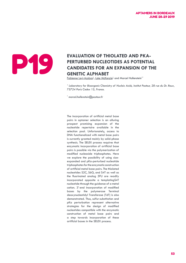# **EVALUATION OF THIOLATED AND PKA-<br>
PERTURBED NUCLEOTIDES AS POTENTIA<br>
CANDIDATES FOR AN EXPANSION OF T<br>
GENETIC ALPHABET<br>
Fabienne Levi-Acobas<sup>1</sup>, Luke McKenzie<sup>1</sup> and Marcel Hollenstein<sup>1\*</sup> PERTURBED NUCLEOTIDES AS POTENTIAL CANDIDATES FOR AN EXPANSION OF THE GENETIC ALPHABET**

Fabienne Levi-Acobas<sup>1</sup>, Luke McKenzie<sup>1</sup> and Marcel Hollenstein<sup>1</sup>\*

<sup>1</sup> Laboratory for Bioorganic Chemistry of Nucleic Acids, Institut Pasteur, 28 rue du Dr. Roux, *75724 Paris Cedex 15, France.*

*\* marcel.hollenstein@pasteur.fr*

The incorporation of artificial metal base pairs in aptamer selection is an alluring prospect promising expansion of the nucleotide repertoire available in the selection pool. Unfortunately, access to DNA functionalized with metal base pairs is currently granted mainly by solid-phase synthesis. The SELEX process requires that enzymatic incorporation of artificial base pairs is possible via the polymerization of modified nucleoside triphosphates. Here we explore the possibility of using sizeexpanded and pKa-perturbed nucleotide triphosphates for the enzymatic construction of artificial metal base pairs. The thiolated nucleotides S2C, S6G, and S4T as well as the fluorinated analog 5FU are readily incorporated opposite a templatingS4T nucleotide through the guidance of a metal cation. 3'-end incorporation of modified bases by the polymerase Terminal deoxynucleotidyl Transferase (TdT) is also demonstrated. Thus, sulfur-substitution and pKa perturbation represent alternative strategies for the design of modified nucleotides compatible with the enzymatic construction of metal base pairs and a step towards incorporation of these artificial bases in the SELEX process.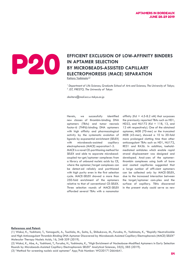

### **EFFICIENT EXCLUSION OF LOW-AFFINITY BINDERS**<br>BY MICROBEADS-ASSISTED CAPILLARY **IN APTAMER SELECTION BY MICROBEADS-ASSISTED CAPILLARY ELECTROPHORESIS (MACE) SEPARATION**

Keitaro Yoshimoto<sup>1,2</sup>

<sup>1</sup> Department of Life Sciences, Graduate School of Arts and Sciences, The University of Tokyo; *2 JST, PRESTO, The University of Tokyo*

*ckeitaro@mail.ecc.u-tokyo.ac.jp*

Herein, we successfully identified new classes of thrombin-binding DNA aptamers (TBAs) and tumor necrosis factor-α (TNFα)-binding DNA aptamers with high affinity and pharmacological activity by the systematic evolution of ligands by exponential enrichment (SELEX) with microbeads-assisted capillary electrophoresis (MACE) separation1-3. MACE is a novel CE-partitioning method for SELEX and able to separate microbeadcoupled tar-get/aptamer complexes from a library of unbound nucleic acids by CE, where the aptamer/target complexes can be detect-ed reliably and partitioned with high purity even in the first selection cycle. MACE-SELEX showed a more than 250-fold enrichment of the aptamers relative to that of conventional CE-SELEX. Three selection rounds of MACE-SELEX afforded several TBAs with a nanomolar

affinity (Kd =  $4.5 - 8.2$  nM) that surpasses the previously reported TBAs such as HD1, HD22, and NU172 (Kd = 118, 13, and 12 nM respectively). One of the obtained aptamer, M08 (70-mer) or the truncated M08 (43-mer), showed a 10 to 20-fold more prolonged clotting time than other anticoagulant TBAs such as HD1, NU172, RE31 and RA36. In addition, toeholdmediated antidotes which enable rapid strand displacement was designed and developed. Anal-yses of the aptamerthrombin complexes using both of bare and coated capillaries suggested that a large number of effi-cient aptamers can be collected only by MACE-SELEX, due to the increased interaction between the target/aptamer com-plex and the surface of capillary. TBAs discovered in the present study could serve as new

### **References and Patent:**

(1) Wakui, K., Yoshitomi, T., Yamaguchi, A., Tsuchida, M., Saito, S., Shibukawa, M., Furusho, H., Yoshimoto, K., "Rapidly Neutralizable and High Anticoagulant Thrombin-Binding DNA Aptamer Discovered by Microbeads-Assisted Capillary Electrophoresis (MACE) SELEX" Molecular Therapy Nucleic Acids, 16, 348-359 (2019).

(2) Wakui, K., Abe, A., Yoshitomi, T., Furusho, H., Yoshimoto, K., "High Enrichment of Nucleobase-Modified Aptamers in Early Selection Rounds by Microbeads-Assisted Capillary Electrophoresis SELEX" Analytical Sciences, 35(5), 585 (2019).

(3) "Method for screening nucleic acid aptamer" App/Pub Number: WO2017126646A1.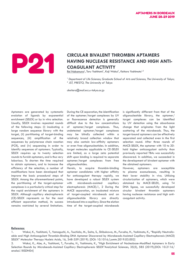## **CIRCULAR BIVALENT THROMBIN APTAMERS HAVING NUCLEASE RESISTANCE AND HIGH COAGULANT ACTIVITY HAVING NUCLEASE RESISTANCE AND HIGH ANTI-COAGULANT ACTIVITY**

Rei Nakamura<sup>1</sup>, Toru Yoshitomi<sup>1</sup>, Koji Wakui<sup>1</sup>, Keitaro Yoshimoto<sup>1,2</sup>

<sup>1</sup> Department of Life Sciences, Graduate School of Arts and Sciences, The University of Tokyo; *2 JST, PRESTO, The University of Tokyo*

*ckeitaro@mail.ecc.u-tokyo.ac.jp*

Aptamers are generated by systematic evolution of ligands by exponential enrichment (SELEX) or by in vitro selection. Usually, SELEX involves repeated rounds of the following steps: (i) incubating a large random sequence library with the target, (ii) partitioning of target-binding sequences, (iii) amplification of the sequences by polymerase chain reaction (PCR), and (iv) sequencing in order to identify sequences of aptamers. Typically, SELEX requires up to twenty selection rounds to furnish aptamers, and is thus very laborious. To shorten the time required to obtain aptamers, and to increase the efficiency of the selection, a number of modifications have been developed that improve the basic procedural steps of SELEX. Among the aforementioned points, the partitioning of the target-aptamer complexes is a particularly critical step for the rapid enrichment of the aptamers in SELEX. Although capillary electrophoresis (CE)-SELEX represents so far the most efficient separation method, its success remains restricted by several limitations.

During the CE separation, the identification of the aptamer/target complexes by UV or fluorescence detection is generally difficult due to the low concentrations of aptamer/target complexes. Thus, undetected aptamer/target complexes may be blindly collected within a relatively broad collection window that may also contain low-affinity aptamers or even free oligonucleotides. In addition, target molecules applicable to CE-SELEX are limited, as a large zeta potential shift upon binding is required to separate aptamer/target complexes from free oligonucleotides.

Herein, to acquire thrombin-binding aptamer candidates with higher affinity for anticoagulant therapy rapidly, we have developed a robust SELEX system with microbeads-assisted capillary electrophoresis (MACE).1, 2 During the MACE separation, an incubated mixture of target-coupled microbeads and an oligonucleotide library are directly introduced into a capillary. Since the elution time of the target-coupled microbeads is significantly different from that of the oligonucleotide library, the aptamer/ target complexes can be identified by UV detection using the absorbance change that originates from the light scattering of the microbeads. Thus, the target-bound aptamers can be effectively separated and collected even in the first selection round. After three rounds of MACE-SELEX, the aptamer with 10 to 20 hold higher anticoagulant activity than previously reported TBAs was successfully discovered. In addition, we succeeded in the development of bivalent aptamer with the obtained aptamers.

However, aptamers are susceptible to plasma exonucleases, resulting in their lower stability in vivo. Utilizing circularization of aptamers, which were obtained by MACE-SELEX, using T4 DNA ligase, we successfully developed circular bivalent thrombin aptamers having nuclease resistance and high anticoagulant activity.

### **Reference:**

<sup>1.</sup> Wakui, K., Yoshitomi, T., Yamaguchi, A., Tsuchida, M., Saito, S., Shibukawa, M., Furusho, H., Yoshimoto, K., "Rapidly Neutralizable and High Anticoagulant Thrombin-Binding DNA Aptamer Discovered by Microbeads-Assisted Capillary Electrophoresis (MACE) SELEX" Molecular Therapy Nucleic Acids, 16, 348-359 (2019). [DOI: 10.1016/j.omtn.2019.03.002]

<sup>2.</sup> Wakui, K., Abe, A., Yoshitomi, T., Furusho, H., Yoshimoto, K., "High Enrichment of Nucleobase-Modified Aptamers in Early Selection Rounds by Microbeads-Assisted Capillary Electrophoresis SELEX"Analytical Sciences, 35(5), 585 (2019).[DOI: 10.2116/ analsci.18SDN04]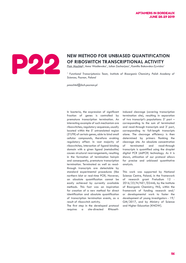

# NEW METHOD FOR UNBIASED QUANTIFICATION<br>OF RIBOSWITCH TRANSCRIPTIONAL ACTIVITY<br>Piotr Machtel<sup>L</sup>, Anna Wasilewska<sup>1</sup>, Julian Zacharjasz<sup>1</sup>, Kamilla Bakowska-Zywicka<sup>1</sup> **OF RIBOSWITCH TRANSCRIPTIONAL ACTIVITY**

<u>Piotr Machtel<sup>1</sup>,</u> Anna Wasilewska<sup>1</sup>, Julian Zacharjasz<sup>1</sup>, Kamilla Bakowska-Zywicka<sup>1</sup>

<sup>1</sup> Functional Transcriptomics Team, Institute of Bioorganic Chemistry, Polish Academy of *Sciences, Poznan, Poland*

*pmachtel@ibch.poznan.pl*

In bacteria, the expression of significant fraction of genes is controlled by premature transcription termination. An interesting example of such mechanism are riboswitches; regulatory sequences, usually located within the 5' untranslated region (5'UTR) of certain genes, able to bind small cellular compounds, therefore evoking regulatory effect. In vast majority of riboswitches, interaction of ligand-binding domain with a given ligand (metabolite) causes structural rearrangements, resulting in the formation of termination hairpin and consequently, premature transcription termination. Terminated as well as readthrough transcripts are detectable by standard experimental procedures (like northern blot or real-time PCR). However, an absolute quantification cannot be easily achieved by currently available methods. This fact was an inspiration for creation of a new method for direct identification and absolute quantification of transcription termination events, as a result of riboswitch activity.

The first step in the developed protocol requires a site-directed RNaseH-

induced cleavage (covering transcription termination site), resulting in separation of two transcript's populations: 5' part – corresponding to the sum of terminated and read-through transcripts and 3' part, corresponding to full-length transcripts alone. The cleavage efficiency is then determined by primers flanking the cleavage site. An absolute concentration of terminated and read-through transcripts is quantified using the droplet digital PCR (ddPCR) technology. As it is shown, utilization of our protocol allows for precise and unbiased quantitative analysis.

This work was supported by National Science Centre, Poland, in the framework of research grant Preludium 12 - 2016/23/N/NZ1/02446, by the Institute of Bioorganic Chemistry, PAS, within the framework of funding research and/ or developmental work to foster the development of young investigators - 19/ GM/2017, and by Ministry of Science and Higher Education [KNOW].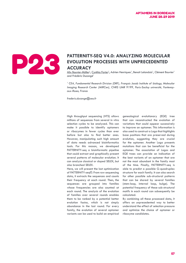

### **PATTERNITY-SEQ V4.0: ANALYZING MOLECULAR<br>ACCURACY<br>ACCURACY EVOLUTION PROCESSES WITH UNPRECEDENTED ACCURACY**

<u>Alix Bouvier-Müller<sup>1</sup>, Cynthia Forier<sup>1</sup>,</u> Adrien Henriques', Benoit Lelandais', Clément Bouvier' and Frédéric Ducongé<sup>1</sup>

<sup>1</sup> CEA, Fundamental Research Division (DRF), François Jacob Institute of biology, Molecular *Imaging Research Center (MIRCen), CNRS UMR 9199, Paris-Saclay université, Fontenayaux-Roses, France*

*frederic.duconge@cea.fr*

High throughput sequencing (HTS) allows millions of sequences from several in vitro selection cycles to be analyzed. This can make it possible to identify aptamers or ribozymes in fewer cycles than ever before but also to find better ones. However, manipulating such high amount of data needs advanced bioinformatics tools. For this reason, we developed PATTERNITY-seq a bioinformatic pipeline that could extract and graphically present several patterns of molecular evolution. It can analyze classical or doped SELEX, but also branched SELEX.

Here, we will present the last optimization of PATTERNITY-seq©. From raw sequencing data, it extracts the sequences and counts their frequency at each round. Then, the sequences are grouped into families whose frequencies are also counted at each round. The analysis of the evolution of families over several rounds enables them to be ranked by a potential better evolution factor, which is not simply abundance in the last round. For every family, the evolution of several aptamer variants can be used to build an empirical

genealogical evolutionary (EGE) tree that can reconstructed the evolution of variations that could appear successively to improve an aptamer. This information is also used to construct a Logo that highlights base positions that are preserved during evolution, suggesting they are crucial for the aptamer. Another Logo presents mutations that can be beneficial for the aptamer. The association of Logos and EGE trees can provide an indication of the best variants of an aptamer that are not the most abundant in the family most of the time. Finally, PATTERNITY-seq is able to predict a possible G-quadruplex structure for each family. It can also search for other possible sub-structural patterns that can be shared by several families (stem-loop, internal loop, bulge). The potential frequency of these sub-structural motifs in each round can subsequently be calculated.

By combining all these processed data, it offers an unprecedented way to better understand the effect of selection pressure and optimize the choice of aptamer or ribozyme candidates.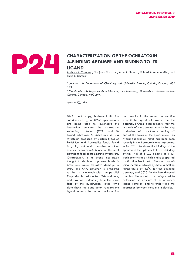

### **CHARACTERIZATION OF THE OCHRATOXIN A-BINDING APTAMER AND BINDING TO ITS LIGAND A-BINDING APTAMER AND BINDING TO ITS LIGAND**

Zachary R. Churcher<sup>1</sup>, Sladjana Slavkovic<sup>1</sup>, Aron A. Shoara<sup>1</sup>, Richard A. Manderville<sup>2</sup>, and Philip E. Johnson<sup>1</sup>

*1 Johnson Lab, Department of Chemistry, York University, Toronto, Ontario, Canada, M3J 1P3.* 

*2 Manderville Lab, Departments of Chemistry and Toxicology, University of Guelph, Guelph, Ontario, Canada, N1G 2W1.*

*pjohnson@yorku.ca*

NMR spectroscopy, isothermal titration calorimetry (ITC), and UV-Vis spectroscopy are being used to investigate the interaction between the ochratoxin-A-binding aptamer (OTA) and its ligand ochratoxin-A. Ochratoxin A is a mycotoxin produced by certain types of Penicillium and Apsergillus fungi. Found in grain, pork and a number of other sources, ochratoxin-A is one of the most abundant food contaminating mycotoxins. Ochratoxin-A is a strong neurotoxin thought to deplete dopamine levels in brain and cause oxidative damage to DNA. The OTA aptamer is predicted to be a monomolecular antiparallel G-quadruplex with a two G-tetrad core, and two tails extending from the same face of the quadruplex. Initial NMR data shows the quadruplex requires the ligand to form the correct conformation but remains in the same conformation even if the ligand falls away from the aptamer. NOESY data suggests that the two tails of the aptamer may be forming a double helix structure extending off one of the faces of the quadruplex. This hybrid-quadruplex motif has been seen recently in the literature in other aptamers. Initial ITC data shows the binding of the ligand and the aptamer to have a binding affinity (Kd) of 6 µM, binding at a 1:1 stochiometric ratio which is also supported by titration NMR data. Thermal analysis using UV-Vis spectroscopy shows a melting temperature of 55°C for the unbound aptamer, and 50°C for the ligand-bound complex. These data are being used to determine the structure of the aptamerligand complex, and to understand the interaction between these two molecules.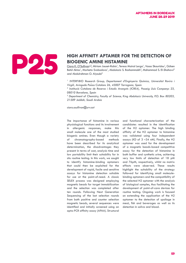

# **HIGH AFFINITY APTAMER FOR THE DETECTION OF BIOGENIC AMINE HISTAMINE**<br>
Ciara K. O'Sullivan<sup>1,2</sup>, Miriam Jauset-Rubio', Teresa Mairal Lerga', Vasso Skouridou', Güls<br>
Betül Aktas'. Marketa Svobodova'. Abdulaziz S. Bashammakh **BIOGENIC AMINE HISTAMINE**

 $\overline{\text{Ciara K. O'Sullivan}^{1,2}}$ , Miriam Jauset-Rubio<sup>1</sup>, Teresa Mairal Lerga<sup>1</sup>, Vasso Skouridou<sup>1</sup>, Gülsen Betül Aktas<sup>1</sup>, Marketa Svobodova<sup>1</sup>, Abdulaziz S. Bashammakh<sup>3</sup>, Mohammad S. El-Shahawi<sup>3</sup> and Abdulrahman O. Alyoubi<sup>3</sup>

<sup>1</sup> INTERFIBIO Research Group, Departament d'Enginyeria Química, Universitat Rovira i *Virgili, Avinguda Paısos Catalans 26, 43007 Tarragona, Spain* ̈

*2 Institució Catalana de Recerca i Estudis Avançats (ICREA), Passeig Lluís Companys 23, 08010 Barcelona, Spain*

*3 Department of Chemistry, Faculty of Science, King Abdulaziz University, P.O. Box 80203, 21589 Jeddah, Saudi Arabia*

*ciara.osullivan@urv.cat*

The importance of histamine in various physiological functions and its involvement in allergenic responses, make this small molecule one of the most studied biogenic amines. Even though a variety of chromatography-based methods have been described for its analytical determination, the disadvantages they present in terms of cost, analysis time and low portability limit their suitability for in situ routine testing. In this work, we sought to identify histamine-binding aptamers that could then be exploited for the development of rapid, facile and sensitive assays for histamine detection suitable for use at the point-of-need. A classic SELEX process was designed employing magnetic beads for target immobilization and the selection was completed after ten rounds. Following Next Generation Sequencing of the last selection rounds from both positive and counter selection magnetic beads, several sequences were identified and initially screened using an apta-PCR affinity assay (APAA). Structural

and functional characterization of the candidates resulted in the identification of the H2 aptamer. The high binding affinity of the H2 aptamer to histamine was validated using four independent assays (KD of 3 –34 nM). Finally, the H2 aptamer was used for the development of a magnetic beads-based competitive assay for the detection of histamine in both buffer and synthetic urine, achieving very low limits of detection of 18 pM and 76pM, respectively, whilst no matrix effects were observed. These results highlight the suitability of the strategy followed for identifying small moleculebinding aptamers and the compatibility of the selected H2 aptamer with the analysis of biological samples, thus facilitating the development of point-of-care devices for routine testing. Ongoing work is focused on extending the application of the H2 aptamer to the detection of spoilage in meat, fish and beverages as well as its detection in saliva and blood.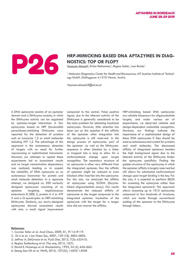

# **HRP-MIMICKING BASED DNA APTAZYMES IN DIAG-<br>
NOSTICS: TOP OR FLOP?<br>
Yasaman Ahmadi<sup>1</sup>, Krista Rathammer', Regina Soldo', Ivan Barisic<sup>1</sup> NOSTICS: TOP OR FLOP?**

<u>Yasaman Ahmadi<sup>1</sup>,</u> Krista Rathammer<sup>1</sup>, Regina Soldo<sup>1</sup>, Ivan Barisic<sup>1</sup>

<sup>1</sup> Molecular Diagnostics, Center for Health and Bioresources, AIT Austrian Institute of Technol*ogy GmbH, Giefinggasse 4,1210 Vienna, Austria* 

*Yasaman.ahmadi.fl@ait.ac.at*

A DNA aptazyme consists of an aptamer domain and a DNAzyme module, in which the DNAzyme activity can be regulated by aptamer-target interaction. A few aptazymes based on HRP (horseradish peroxidase)-mimicking DNAzyme were reported for the detection of proteins such as lysozyme 1,2 or small molecules including ATP 1,2. The advantage of this approach is the autonomous detection of targets with no need for further reprocessing or sophisticated instruments. However, our attempts to repeat those experiments led to inconsistent results and no target concentration dependency was realized; leading us to suspect the reliability of DNA aptazyme as an autonomous biomarker for protein and small molecule detection. In a separate attempt, we designed ca. 200 variously designed aptazymes consisting of an aptamer targeting staphylococcus enterotoxin B (SEB) 3, protein A 4 or ATP 5 and a G-quadruplex as HRP-mimicking DNAzyme. Similarly, our newly-designed aptazymes showed inconsistent results with only a small signal improvement

compared to the control. False positive signal, due to the inherent activity of the DNAzyme is generally considered to be the main problem for obtaining functional aptazymes. However, little attention has been put on this question if the affinity of the aptamer after integration into the aptazyme is still reserved. In the design process of aptazymes, part of the aptamer -as well as the DNAzymesequence is often blocked by a linker or trapped into a loop to allow for a conformational change upon target recognition. The secondary structure of an aptazyme is often very different from the integrated aptamer, thus the affinity of aptamer might be reduced or even blocked after insertion into the aptazyme. For this aim, we analyzed the affinity of aptazymes using ELONA (Enzymelinked oligonucleotide assay). Our results demonstrate the reduced affinity of aptazyme to the target compared to the integrated aptamer. Incubation of the aptazyme with the target for a longer time did not recover the affinity.

HRP-mimicking based DNA aptazymes are reliable biosensors for oligonucleotide targets, and under various set of experiments, we observed reliable and design-dependent nucleotide recognition. However, our findings indicate the importance of a sophisticated design of these DNA aptazymes if they should be used as autonomous test system for proteins and small molecules. The decreased affinity of integrated aptamers besides the high background signal due to the inherent activity of the DNAzyme hinder the aptazyme specificity. Finding the golden structure of the aptazyme, in which the aptamer affinity is largely reserved but still allows for substantial conformational change upon target binding is the key. For this aim, it is essential to perform SELEX for screening the aptazyme rather than the integrated aptamer6. This approach allows screening up to 1015 aptazymes compared to few hundreds of structures, which are made through conventional adding of the aptamer to the DNAzyme through linkers.

### **Reference**:

- 1. Carsten Teller et al. Anal Chem, 2009, 81, 9114–9119.
- 2. Di Li et al. J Am Chem Soc, 2007, 129 (18), 5804-5805.
- 3. Jeffrey A. DeGrasse et al. PLoS One, 2012, 7(3): e33410.
- 4. Regina Stoltenburg et al. Plos one, 2015, 10(7).
- 5. David E. Huizenga et al. Biochemistry, 1995, 34 (2), 656–665.
- 6. Seung Soo Oh et al. PANS, 2010, 107(32), 14053-14058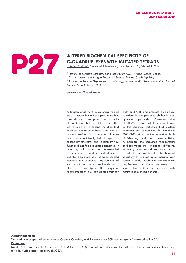

# **G-QUADRUPLEXES WITH MUTATED TETRADS**

Kateřina Švehlová<sup>1,2</sup>, Michael S. Lawrence<sup>3</sup>, Lucie Bednárová<sup>1</sup>, Edward A. Curtis<sup>1</sup>

<sup>1</sup> Institute of Organic Chemistry and Biochemistry ASCR, Prague, Czech Republic;

*2 Charles University in Prague, Faculty of Science, Prague, Czech Republic;*

<sup>3</sup> Cancer Center and Department of Pathology, Massachusetts General Hospital, Harvard *Medical School, Boston, USA* 

*edward.curtis@uochb.cas.cz*

A fundamental motif in canonical nucleic acid structure is the base pair. Mutations that disrupt base pairs are typically destabilizing, but stability can often be restored by a second mutation that replaces the original base pair with an isosteric variant. Such concerted changes are a way to identify helical regions in secondary structures and to identify new functional motifs in sequenced genomes. In principle, such analysis can be extended to noncanonical nucleic acid structures, but this approach has not been utilized because the sequence requirements of such structures are not well understood. Here we investigate the sequence requirements of a G-quadruplex that can

both bind GTP and promote peroxidase reactions in the presence oh hemin and hydrogen peroxide. Characterization of all 256 variants of the central tetrad in this structure indicates that certain mutations can compensate for canonical G-G-G-G tetrads in the context of both GTP-binding and peroxidase activity. Furthermore, the sequence requirements of these motifs are significantly different, indicating that tetrad sequence plays a role in determining the biochemical specificity of G-quadruplex activity. Our results provide insight into the sequence requirements of G-quadruplexes, and should also facilitate the analysis of such motifs in sequenced genomes.

### **Acknowledgment:**

This work was supported by Institute of Organic Chemistry and Biochemistry ASCR start-up grant ( awarded to E.A.C.). **Reference:**

Švehlová, K., Lawrence, M. S., Bednárová, L., & Curtis, E. A. (2016). Altered biochemical specificity of G-quadruplexes with mutated tetrads. Nucleic acids research, gkw987.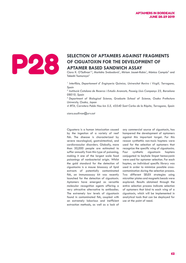

### SELECTION OF APTAMERS AGAINST FRAGMENTS OF CIGUATOXIN FOR THE DEVELOPMENT OF APTAMER BASED SANDWICH ASSAY **OF CIGUATOXIN FOR THE DEVELOPMENT OF APTAMER BASED SANDWICH ASSAY**

Ciara K. O'Sullivan<sup>1,2</sup>, Markéta Svobodová<sup>1</sup>, Miriam Jauset-Rubio<sup>1</sup>, Mònica Campàs<sup>3</sup> and Takeshi Tsumuraya4

*1 Interfibio, Departament d' Enginyeria Química, Universitat Rovira i Virgili, Tarragona, Spain* 

<sup>2</sup> Institució Catalana de Recerca i Estudis Avancats, Passeig Lluis Companys 23, Barcelona *08010, Spain* 

*3 Department of Biological Science, Graduate School of Science, Osaka Prefecture University, Osaka, Japan* 

*4 IRTA, Carretera Poble Nou km 5.5, 43540 Sant Carles de la Ràpita, Tarragona, Spain*

*ciara.osullivan@urv.cat*

Ciguatera is a human intoxication caused by the ingestion of a variety of reef fish. The disease is characterized by severe neurological, gastrointestinal, and cardiovascular disorders. Globally, more than 50,000 people are estimated to suffer annually from this type of poisoning, making it one of the largest scale food poisonings of nonbacterial origin. Whilst the gold standard for the detection of ciguatoxins is a mouse bioassay of lipid extracts of potentially contaminated fish, an immunoassay kit was recently launched for the detection of ciguatoxin. Aptamers have emerged as versatile molecular recognition agents offering a very attractive alternative to antibodies. The extremely low levels of ciguatoxin found in contaminated fish, coupled with an extremely laborious and inefficient extraction methods, as well as a lack of any commercial source of ciguatoxin, has hampered the development of aptamers against this important target. For this reason synthethic non-toxic haptens were used for the selection of aptamers that recognize the specific wing of ciguatoxins. Four synthetic ciguatoxin haptens conjugated to keyhole limpet hemocyanin were used for aptamer selection. For each hapten, an individual specific library was used in order to minimize possible crosscontamination during the selection process. Two different SELEX strategies using microtiter plates and magnetic beads were explored. Results obtained through the entire selection process indicate selection of aptamers that bind to each wing of a ciguatoxin, which will be implemented in analytical tools that can be deployed for use at the point of need.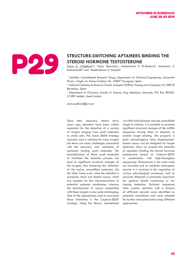

# **STRUCTURE-SWITCHING APTAMERS BINDING THE**<br>STEROID HORMONE TESTOSTERONE<br>Elither Stranger (Mathematical Property, Mohammad S. El-Shahawi<sup>3</sup>, Abdulazi<br>Bashammakh<sup>3</sup> and Abdulrahman O. Alvoubi<sup>3</sup> **STEROID HORMONE TESTOSTERONE**

Ciara K. O'Sullivan<sup>1,2</sup>, Vasso Skouridou<sup>1</sup>, Mohammad S. El-Shahawi<sup>3</sup>, Abdulaziz S. Bashammakh<sup>3</sup> and Abdulrahman O. Alyoubi<sup>3</sup>

<sup>1</sup> Interfibio Consolidated Research Group, Department of Chemical Engineering, Universitat *Rovira i Virgili, Av. Paısos Catalans 26, 43007 Tarragona, Spain* ̈

*2 Institució Catalana de Recerca i Estudis Avançats (ICREA), Passeig Lluís Companys 23, 08010 Barcelona, Spain* 

*3 Department of Chemistry, Faculty of Science, King Abdulaziz University, P.O. Box 80203, 21589 Jeddah, Saudi Arabia*

*ciara.osullivan@urv.cat*

Since their discovery almost thirty years ago, aptamers have been widely exploited for the detection of a variety of targets ranging from small molecules to whole cells. The classic SELEX strategy typically used is suitable for many targets but there are many challenges associated with the discovery and validation of aptamers binding small molecules. The immobilization of these small molecules to facilitate the selection process can lead to significant structural changes of the targets, thus hindering the detection of the native, unmodified molecules. On the other hand, even when the selection is successful, there are limited assays which are suitable for the characterization of potential aptamer candidates, whereas the development of assays compatible with these targets is also quite challenging. One of the approaches used to overcome these limitations is the Capture-SELEX strategy. Using the library immobilized

via DNA hybridization and the unmodified target in solution, it is possible to promote significant structural changes of the ssDNA sequences forcing them to displace to enable target binding. This property is quite advantageous since displacementbased assays can be designed for target detection. Here we present the selection of aptamers binding the steroid hormone testosterone based on Capture-SELEX in combination with high-throughput sequencing. Testosterone is the main male sex hormone and an anabolic androgenic steroid. It is involved in the regulation of various physiological processes, and its accurate detection is extremely important for general health monitoring or for doping detection. Enriched sequences after counter selection with a mixture of different steroids were identified as potential candidates and were selected for further characterization using different approaches.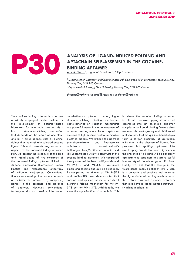

### **ANALYSIS OF LIGAND-INDUCED FOLDING AND APTACHAIN SELF-ASSEMBLY IN THE COCAINE-**<br>BINDING APTAMER **APTACHAIN SELF-ASSEMBLY IN THE COCAINE-BINDING APTAMER**

Aron A. Shoara<sup>1</sup>, Logan W. Donaldson<sup>2</sup>, Philip E. Johnson<sup>1</sup>

<sup>1</sup> Department of Chemistry and Centre for Research on Biomolecular Interactions, York University, *Toronto, ON, M3J 1P3 Canada 2 Department of Biology, York University, Toronto, ON, M3J 1P3 Canada*

*shoaraa@yorku.ca ; logand@yorku.ca ; pjohnson@yorku.ca*

The cocaine-binding aptamer has become a widely employed model system for the development of aptamer-based biosensors for two main reasons: (i) it has a structure-switching mechanism that depends on the length of one stem, and (ii) it binds ligands, such as quinine, tighter than its originally selected cocaine ligand. This work presents progress on two aspects of the cocaine-binding aptamer. First, we present the dynamics of the free and ligand-bound of two constructs of the cocaine-binding aptamer linked to stilbene employing fluorescence decay kinetics and fluorescence anisotropy of stilbene conjugates. Conventional fluorescence sensing of aptamers depends on emission measurements by comparing signals in the presence and absence of analytes. However, conventional techniques do not provide information on whether an aptamer is undergoing a structure-switching binding mechanism. Photoisomerization reaction mechanisms are powerful means in the development of aptamer sensors, where the absorption or emission of light is converted to detectable electrical signals. We utilized the cis-trans photoisomerization and fluorescence anisotropy of 4-acetamido-4′ isothiocyanato-2,2′-stilbenedisulfonic acid (SITS) conjugated with two constructs of the cocaine-binding aptamer. We compared the dynamics of the free and ligand-bound MN19-SITS and MN4-SITS aptamers employing cocaine and quinine as ligands. By comparing the kinetics of MN19-SITS and MN4-SITS, we demonstrate that cocaine and quinine induce a structural switching folding mechanism for MN19- SITS but not MN4-SITS. Additionally, we show the optimization of aptachain. This

is where the cocaine-binding aptamer is split into two overlapping strands and assembles into an extended oligomer complex upon ligand binding. We use sizeexclusion chromatography and UV thermal melts to show that the quinine-bound oligos form a larger assembly of aptachain units than in the absence of ligand. We propose that splitting aptamers into overlapping strands that form oligomers in the presence of a ligand will be generally applicable to aptamers and prove useful in a variety of biotechnology applications. Finally, we think that the change in the fluorescence decay kinetics of MN19-SITS is a powerful and sensitive tool to study the ligand-induced folding mechanism of this aptamer as well as other aptamers that also have a ligand-induced structureswitching mechanism.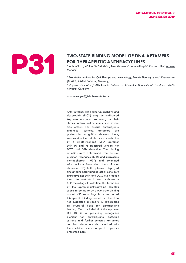# **TWO-STATE BINDING MODEL OF DNA APTAMERS**<br>**FOR THERAPEUTIC ANTHRACYCLINES**<br>Stephan Sass<sup>2</sup>, Walter FM Stöcklein<sup>1</sup>, Anja Klevesath<sup>1</sup>, Jeanne Hurpin<sup>2</sup>, Carsten Hille<sup>2</sup>, Manger<sup>1</sup> **FOR THERAPEUTIC ANTHRACYCLINES**

Stephan Sass<sup>2</sup>, Walter FM Stöcklein<sup>1</sup>, Anja Klevesath<sup>1</sup>, Jeanne Hurpin<sup>2</sup>, Carsten Hille<sup>2</sup>, <u>Marcus</u>  $M$ enger $^1$ 

<sup>1</sup> Fraunhofer Institute for Cell Therapy and Immunology, Branch Bioanalysis and Bioprocesses *(IZI-BB), 14476 Potsdam, Germany;* 

<sup>2</sup> Physical Chemistry / ALS ComBi, Institute of Chemistry, University of Potsdam, 14476 *Potsdam, Germany.*

*marcus.menger@izi-bb.fraunhofer.de*

Anthracyclines like daunorubicin (DRN) and doxorubicin (DOX) play an undisputed key role in cancer treatment, but their chronic administration can cause severe side effects. For precise anthracycline analytical systems, aptamers are preferable recognition elements. Here, we describe the detailed characterisation of a single-stranded DNA aptamer DRN-10 and its truncated versions for DOX and DRN detection. The binding affinities were determined from surface plasmon resonance (SPR) and microscale thermophoresis (MST) and combined with conformational data from circular dichroism (CD). Both aptamers displayed similar nanomolar binding affinities to both anthracyclines DRN and DOX, even though their rate constants differed as shown by SPR recordings. In addition, the formation of the aptamer-anthracycline complex seems to be made by a two-state binding model. CD recordings have supported this specific binding model and the data has suggested a specific G-quadruplex as structural basis for anthracycline binding. We concluded that the aptamer DRN-10 is a promising recognition element for anthracycline detection systems and further selected aptamers can be adequately characterised with the combined methodological approach presented here.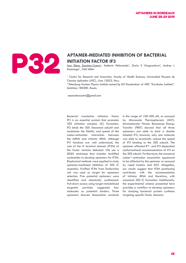

# **APTAMER-MEDIATED INHIBITION OF BACTERIAL INITIATION FACTOR IF3**<br>And Elena Sanchez-Castro<sup>1</sup>, Katherin Peñaranda<sup>1</sup>, Daria S Vinogradova<sup>2</sup>, And **INITIATION FACTOR IF3**

<u>Ana Elena Sanchez-Castro<sup>1</sup>,</u> Katherin Peñaranda<sup>1</sup>, Daria S Vinogradova<sup>2</sup>, Andrey L Konevega<sup>2</sup>, Pohl Milón<sup>1</sup>

<sup>1</sup> Centre for Research and Innovation, Faculty of Health Sciences, Universidad Peruana de *Ciencias Aplicadas (UPC), Lima 15023, Peru;* 

*2 Petersburg Nuclear Physics Institute named by B.P. Konstantinov of NRC "Kurchatov Institute", Gatchina 188300, Russia.*

 *aesanchezcastro@gmail.com*

Bacterial translation initiation factor IF3 is an essential protein that promotes 30S initiation complex (IC) formation. IF3 binds the 30S ribosomal subunit and modulates the fidelity and speed of the codon-anticodon interaction between the mRNA and initiator tRNA. Although IF3 functions are well understood, the role of the N terminal domain (IF3N) of the factor remains debated. We use a SELEX technique that includes modified nucleotides to develop aptamers for IF3N. Biophysical methods were applied to study aptamer-mediated inhibition of 30S IC assembly. Purified IF3N from Escherichia coli was used as target for aptamers selection. Five potential aptamers were identified and chemically synthesized. Pull-down assays using target-immobilized magnetic particles suggested four molecules as potential binders. Three aptamers showed dissociation constants

in the range of 100-400 nM, as assayed by Microscale Thermophoresis (MST). Intramolecular Förster Resonance Energy Transfer (FRET) showed that all three aptamers are able to bind a double labeled IF3; however, only one molecule was able to drastically reduce the speed of IF3 binding to the 30S subunit. The aptamer affected IF1- and IF2-depended conformational accommodations of IF3 on the 30S subunit. Furthermore, the canonical codon¬-anticodon association appeared to be affected by the aptamer as assayed by rapid kinetics and MST. Altogether, our results suggest that IF3N positioning contributes with the accommodation of initiator tRNA and therefore, with canonical 30S IC formation. Additionally, the experimental scheme presented here provides a workflow to develop aptamers for studying bacterial protein synthesis targeting specific factor domains.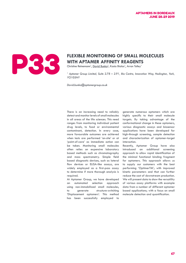

# **FLEXIBLE MONITORING OF SMALL MOLECULES**<br>WITH APTAMER AFFINITY REAGENTS<br>Christine Reinemann<sup>1</sup>, <u>David Bunka<sup>1</sup>, Kasia Bialas<sup>1</sup>, Arron Tolley</u> **WITH APTAMER AFFINITY REAGENTS**

Christine Reinemann<sup>1</sup>, David Bunka<sup>1</sup>, Kasia Bialas<sup>1</sup>, Arron Tolley<sup>1</sup>

<sup>1</sup> Aptamer Group Limited, Suite 2.78 – 2.91, Bio Centre, Innovation Way, Heslington, York, *YO105NY*

*David.bunka@aptamergroup.co.uk*

There is an increasing need to reliably detect and monitor levels of small molecules in all areas of the life sciences. This need ranges from monitoring individual patient drug levels, to food or environmental contaminant, detection. In every case, more favourable outcomes are achieved when tests are performed 'on-site' or at 'point-of-care' as immediate action can be taken. Monitoring small molecules often relies on expensive laboratory based methods such as chromatography and mass spectrometry. Simple field based diagnostic devices, such as lateral flow devices or ELISA-like assays, are widely employed as a first-pass assay to determine if more thorough analysis is required.

At Aptamer Group, we have developed an automated selection approach using non-immobilized small molecules, to generate structure-switching 'Displacement aptamers'. This method has been successfully employed to

generate numerous aptamers which are highly specific to their small molecule targets. By taking advantage of the conformational change in these aptamers, various diagnostic assays and biosensor applications have been developed for high-through screening, sample detection and characterization of aptamer-target interaction.

Recently, Aptamer Group have also introduced an additional screening approach to allow rapid identification of the minimal functional binding fragment for aptamers. This approach allows us to supply our customers with the best performing 'OptimerTM'; with improved kinetic parameters and that can further reduce the cost of downstream production. We will present data to show the versatility of various assay platforms with example data from a number of different aptamer based applications; with a focus on small molecule detection and quantification.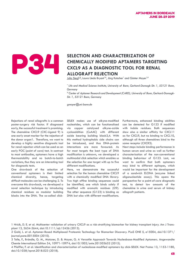

### **SELECTION AND CHARACTERIZATION OF CHEMICALLY MODIFIED APTAMERS TARGETRIZATION OF CHEMICALLY MODIFIED APTAMERS TARGETRIZATION OF A PROBLEM COLLEGER AND COLLEGER AND COLLEGER AND COLLEGER AND COLLEGER AND COLLEGER AND COLLE CHEMICALLY MODIFIED APTAMERS TARGETING CXCL9 AS A DIAGNOSTIC TOOL FOR RENAL ALLOGRAFT REJECTION**

<u>Julia Siegl\*</u>#, Laura Lledo Bryant\*#, Jörg Kutscher\* and Günter Mayer\*#

*\* Life and Medical Science-Institute, University of Bonn, Gerhard-Domagk-Str. 1, 53121 Bonn, Germany*

*# Center of Aptamer Research and Development (CARD), University of Bonn, Gerhard-Domagk-Str. 1, 53121 Bonn, Germany*

*gmayer@uni-bonn.de*

Rejections of renal allografts is a common poster-surgery risk factor. If diagnosed early, the successful treatment is promising. The chemokine CXCL9 (CXC-Ligand 9) is one early onset marker for the rejection of the donor organ1. Therefore, we want to develop a highly sensitive diagnostic tool for renal rejection which can be used as an early POC (point of care) test. In contrast to most antibodies, aptamers have a high thermostability and no batch-to-batch variations, thus they are an interesting tool for diagnostic tests.

One drawback of the selection of conventional aptamers is their limited chemical diversity, hence, targeting difficult molecules can be challenging 2. To overcome this drawback, we developed a novel selection technique by introducing chemical residues as modular building blocks into the DNA. The so-called clickSELEX makes use of alkyne-modified nucleotides, which can be functionalised via copper catalysed alkyne-azide cycloaddition (CuAAC) with different azide bearing building block3,4. With this method hydrophobic side chains can be introduced, and thus DNA-protein interactions are more favoured. As for most targets the best type of DNA modification is unknown, we developed a multimodal click selection which enables us the selection for one target with up to five different modifications.

Here, we demonstrate the successful selection for the human chemokine CXCL9 with a chemically modified DNA library. Two high affine binding sequences could be identified, one which binds solely if modified with aromatic residues (I29). The other sequence (G123) is binding as DNA but also with different modifications.

Furthermore, enhanced binding abilities can be detected for G123 if modified with indole residues. Both sequences show also a similar affinity for CXCL11 as for CXCL9, but no binding to CXCL10, although all three chemokines bind to the same receptor (CXCR3).

Next steps include binding performance in human serum and urine as well as further characterisation of the non-conventional binding behaviour of G123. Last, we want to confirm that both aptamers may bind to different epitopes, which would be important for the development of a sandwich ELONA (enzyme linked oligonucleotide assay). This opens the perspective for a point-of-care diagnostic test, to detect low amounts of the chemokine in urine and serum of kidney allograft patients.

1 Hricik, D. E. et al. Multicenter validation of urinary CXCL9 as a risk-stratifying biomarker for kidney transplant injury. Am J Transplant 13, 2634-2644, doi:10.1111/ajt.12426 (2013).

2 Gold, L. et al. Aptamer-Based Multiplexed Proteomic Technology for Biomarker Discovery. PLoS ONE 5, e15004, doi:10.1371/ journal.pone.0015004 (2010).

3 Tolle, F., Brändle, G. M., Matzner, D. & Mayer, G. A Versatile Approach Towards Nucleobase-Modified Aptamers. Angewandte Chemie International Edition 54, 10971-10974, doi:10.1002/anie.201503652 (2015).

4 Pfeiffer, F. et al. Identification and characterization of nucleobase-modified aptamers by click-SELEX. Nat Protoc 13, 1153-1180, doi:10.1038/nprot.2018.023 (2018).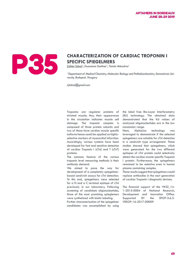

# **SPECIFIC SPIEGELMERS**

<u>Zoltán Tolnai<sup>1</sup>,</u> Zsuzsanna Szeitner<sup>1</sup>, Tamás Mészáros<sup>1</sup>

<sup>1</sup> Department of Medical Chemistry, Molecular Biology and Pathobiochemistry, Semmelweis Uni*versity, Budapest, Hungary*

*zjtolnai@gmail.com*

Troponins are regulator proteins of striated muscle; thus, their appearance in the circulation indicates muscle cell damage. The troponin complex is composed of three protein subunits and two of those have cardiac muscle specific isoforms hence could be applied as highlyselective markers of myocardial infarction. Accordingly, various systems have been developed for fast and sensitive detection of cardiac Troponin I (cTnI) and T (cTnT) proteins.

The common feature of the various troponin level measuring methods is their antibody demand.

We aimed to pave the way for development of a completely spiegelmerbased sandwich assays for cTnI detection. To this end, spiegelmers were selected for a N and a C terminal epitope of cTnI previously in our laboratory. Following screening of candidate oligonucleotides, three of the most promising spieglemers were synthetized with biotin labeling.

Further characterization of the spiegelmer candidates was accomplished by using

the label free Bio-Layer Interferometry (BLI) technology. The obtained data demonstrated that the Kd values of analyzed oligonucleotides are in the low nanomolar range.

Next, AlphaLisa technology was leveraged to demonstrate if the selected spiegelmers are suitable for cTnI detection in a sandwich type arrangement. These studies showed that spiegelmers, which were generated for the two different epitopes of cTnI protein could selectively detect the cardiac muscle specific Troponin I protein. Furthermore, the spiegelmers remained to be selective even in human plasma containing samples.

These results suggest that spiegelmers could replace antibodies in the next generation of cardiac Troponin I diagnostic devices.

The financial support of the VKSZ 14-1-2015-0004 of National Research, Development and Innovation Office. Supported BY the EFOP-3.6.3- VEKOP-16-2017-00009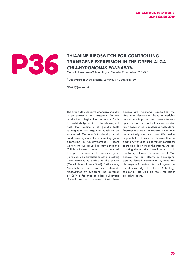

# THIAMINE RIBOSWITCH FOR CONTROLLING<br>TRANSGENE EXPRESSION IN THE GREEN AL<br>CHLAMYDOMONAS REINHARDTII **TRANSGENE EXPRESSION IN THE GREEN ALGA**  *CHLAMYDOMONAS REINHARDTII*

Gonzalo I Mendoza-Ochoa<sup>1</sup>, Payam Mehrshahi<sup>1</sup> and Alison G Smith<sup>1</sup>

*1 Department of Plant Sciences, University of Cambridge, UK*

*Gim23@cam.ac.uk*

The green alga Chlamydomonas reinhardtii is an attractive host organism for the production of high value compounds. For it to reach its full potential as biotechnological host, the repertoire of genetic tools to engineer this organism needs to be expanded. Our aim is to develop novel conditional systems for controlling gene expression in Chlamydomonas. Recent work from our group has shown that the CrTHI4 thiamine riboswitch can be used to repress expression of a reporter gene (in this case an antibiotic selection marker) when thiamine is added to the culture (Mehrshahi et al., submitted). Furthermore, Mehrshahi et al. constructed chimeric riboswitches by swapping the aptamer of CrTHI4 for that of other eukaryotic riboswitches, and showed that these

devices are functional, supporting the idea that riboswitches have a modular nature. In this poster, we present followup work that aims to further characterize this riboswitch as a molecular tool. Using fluorescent proteins as reporters, we have quantitatively measured how this device responds to thiamine supplementation. In addition, with a series of mutant constructs containing deletions in the introns, we are studying the functional mechanism of this regulatory element in more detail. We believe that our efforts in developing aptamer-based conditional systems for photosynthetic eukaryotes will generate useful knowledge for the RNA biology community, as well as tools for plant biotechnologists.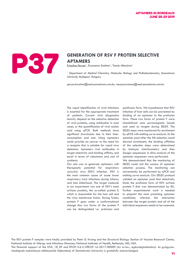

# **GENERATION OF RSV F PROTEIN SELECTIVE**<br>APTAMERS<br>Krisztina Percze<sup>1</sup>, Zsuzsanna Szeitner<sup>1</sup>, Tamás Mészáros<sup>1</sup> **APTAMERS**

Krisztina Percze<sup>1</sup>, Zsuzsanna Szeitner<sup>1</sup>, Tamás Mészáros<sup>1</sup>

<sup>1</sup> Department of Medical Chemistry, Molecular Biology and Pathobiochemistry, Semmelweis *University, Budapest, Hungary*

*percze.krisztina@med.semmelweis-univ.hu, meszaros.tamas@med.semmelweis-univ.hu*

The rapid identification of viral infections is essential for the appropriate treatment of patients. Current viral diagnostics heavily depend on the selective detection of viral proteins, using antibodies in most cases, or the quantification of viral nucleic acid using qPCR. Both methods have significant drawbacks due to their timeconsumption and cost. Using aptamers could provide an answer to the need for a receptor that is suitable for rapid virus detection. Aptamers rival antibodies in target selectivity and binding affinity, and excel in terms of robustness and cost of synthesis.

Our aim was to generate aptamers with therapeutic potential for respiratory syncytial virus (RSV) infection. RSV is the most common cause of acute lower respiratory tract infections during infancy and late elderhood. The target molecule in our experiment was one of RSV's main surface proteins, the so-called protein F, which is responsible for the host cell and the virus membrane fusion. During fusion, protein F goes under a conformational change thus two forms of the protein F can be distinguished i.e. prefusion and postfusion form. We hypothesize that RSV infection of host cells can be prevented by binding of an aptamer to the prefusion form. These two forms of protein F were immobilized onto paramagnetic beads and used as targets during SELEX. The SELEX steps were monitored for enrichment by qPCR with melting curve analysis. As the aptamer pool after the 5th selection round showed enrichment, the binding affinities of the selection steps were determined by biolayer interferometry and then Sanger sequenced. In silico analysis of the aptamer sequences were performed.

We demonstrated that the monitoring of SELEX could aid the success of aptamer selection process. The monitoring can conveniently be performed by qPCR and melting curve analysis. Our SELEX protocol yielded an aptamer pool that selectively binds the prefusion form of RSV surface protein F that was demonstrated by BLI. Further experimental work is needed to pinpoint the most promising aptamer candidate, whereas the interaction between the target protein and all of the individual sequences needs to be assessed.

The RSV protein F samples were kindly provided by Peter D. Kwong and the Structural Biology Section of Vaccine Research Center, National Institute of Allergy and Infectious Diseases, National Institutes of Health, Bethesda, MD, USA.

The financial support of the STIA\_18\_KF and EFOP-3.6.3-VEKOP-16-2017-00009 (Az orvos-, egészségtudományi- és gyógyszerészképzés tudományos műhelyeinek fejlesztése) of Semmelweis University is gratefully acknowledged.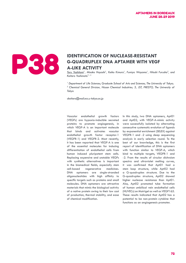

### **IDENTIFICATION OF NUCLEASE-RESISTANT G-QUADRUPLEX DNA APTAMER WITH VEGALE ALLIKE ACTIVITY G-QUADRUPLEX DNA APTAMER WITH VEGF A-LIKE ACTIVITY**

*Toru Yoshitomi1 , Misako Hayashi1 , Keiko Kimura1 , Fumiya Wayama1 , Hitoshi Furusho2 , and Keitaro Yoshimoto\*1, 3*

<sup>1</sup> Department of Life Sciences, Graduate School of Arts and Sciences, The University of Tokyo; <sup>2</sup> Chemical General Division, Nissan Chemical Industries; 3, JST, PRESTO, The University of *Tokyo*

*ckeitaro@mail.ecc.u-tokyo.ac.jp*

Vascular endothelial growth factors (VEGFs) are hypoxia-inducible secreted proteins to promote angiogenesis, in which VEGF-A is an important molecule that binds and activates vascular endothelial growth factor receptor-1 (VEGFR-1) and VEGFR-2. Most recently, it has been reported that VEGF-A is one of the essential molecules for inducing differentiation of endothelial cells from human induced pluripotent stem cells. Replacing expensive and unstable VEGFs with synthetic alternatives is important in the biomedical fields, especially stem cell-based regenerative medicines. DNA aptamers are single-stranded oligonucleotides with high affinity to specific targets such as proteins and small molecules. DNA aptamers are attractive materials that mimic the biological activity of a native protein owing to their low cost of production, thermal stability, and ease of chemical modification.

In this study, two DNA aptamers, Apt01 and Apt02, with VEGF-A-mimic activity were successfully isolated by alternating consecutive systematic evolution of ligands by exponential enrichment (SELEX) against VEGFR-1 and -2 using deep sequencing analysis in early selection round. To the best of our knowledge, this is the first report of identification of DNA aptamers with function similar to VEGF-A, which bind to multiple targets, VEGFR-1 and -2. From the results of circular dichroism spectra and ultraviolet melting curves, it was confirmed that Apt01 had a stem loop structure, while Apt02 had a G-quadruplex structure. Due to the G-quadruplex structure, Apt02 showed higher nuclease resistance than Apt01. Also, Apt02 promoted tube formation of human umbilical vein endothelial cells (HUVECs) on Matrigel as well as VEGF165. These results indicated that Apt02 has a potential to be non-protein cytokine that functions as an angiogenesis promoter.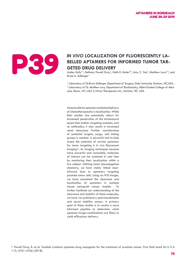

### IN VIVO LOCALIZATION OF FLUORESCENTLY LA-<br>BELLED APTAMERS FOR INFORMED TUMOR TAR-<br>GETED DRUG DELIVERY **BELLED APTAMERS FOR INFORMED TUMOR TAR-GETED DRUG DELIVERY**

Linsley Kelly<sup>1,2</sup>, Bethany Powell Gray<sup>1</sup>, Keith E. Maier<sup>2,3</sup>, Amy C. Yan<sup>2</sup>, Matthew Levy<sup>2,3</sup>, and Bruce A. Sullenger<sup>1</sup>

<sup>1</sup> Laboratory of Dr.Bruce Sullenger, Department of Surgery, Duke University, Durham, NC,USA; <sup>2</sup> Laboratory of Dr. Matthew Levy, Department of Biochemistry, Albert Einstein College of Med*icine, Bronx, NY, USA 3,Vitrisa Therapeutics Inc., Durham, NC, USA*

A key hurdle for aptamer mediated delivery of chemotherapeutics is localization. While their smaller size potentially allows for increased penetration of the intratumoral space than bulkier targeting moieties, such as antibodies, it also results in increased renal clearance. Further consideration of potential targets, cargo, and linking groups is needed. A powerful tool to help assess the potential of certain aptamers for tumor targeting is in vivo fluorescent imaging1. As imaging techniques become more powerful and accessible, molecules of interest can be screened in real time by monitoring their localization within a live subject. Utilizing basic bioconjugation chemistry, we have stably linked nearinfrared dyes to aptamers targeting prostate tumor cells. Using an IVIS imager, we have examined the clearance and localization of aptamers in multiple mouse xenograft cancer models. To further facilitate our understanding of the clearance and stability of these molecules, we have run preliminary pharmacokinetics and serum stability assays. A primary goal of these studies is to create a more informed pipeline to determine which aptamer-target combinations are likely to yield efficacious delivery.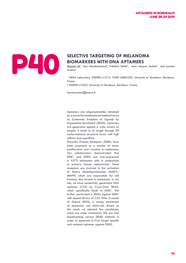# **SELECTIVE TARGETING OF MELANOMA <br>BIOMARKERS WITH DNA APTAMERS**<br>Shujaat Ali<sup>1</sup>, Aya Abouhammoud<sup>2</sup>, Frédéric Saltel<sup>2</sup>, Jean Jacques To<br>*Azéma*<sup>1</sup><br>*ARNA Laboratory, INSERM U1212, CNRS UMR5320, University of L*

# **BIOMARKERS WITH DNA APTAMERS**

Shujaat Ali<sup>1</sup>, Aya Abouhammoud<sup>2</sup>, Frédéric Saltel<sup>2</sup>, Jean Jacques Toulmé<sup>1</sup> and Laurent Azéma<sup>1</sup>

<sup>1</sup> ARNA Laboratory, INSERM U1212, CNRS UMR5320, University of Bordeaux, Bordeaux, *France.*

*2 INSERM U1053, University of Bordeaux, Bordeaux, France.*

*laurent.azema@inserm.fr*

Aptamers are oligonucleotides obtained by a powerful combinatorial method known as Systematic Evolution of Ligands by Exponential Enrichment (SELEX). Aptamers are generated against a wide variety of targets. It binds to its target through 3D conformational structural forms with high affinity and specificity.

Discoidin Domain Receptors (DDRs) have been proposed as a marker of tumor proliferation and invasion in melanoma. Our collaborators demonstrated that DDR1 and DDR2 are over-expressed in A375 melanoma cells in comparison to primary human melanocytes. These receptors are involved in the activation of Matrix Metalloproteinases (MMP2/ MMP9) which are responsible for cell invasion, thus involve in metastasis. In our lab, we have successfully generated DNA aptamer (C25) by Cross-Over SELEX, which specifically binds to DDR1. We further performed a SELEX against DDR1 with doped library of C25. After 5 rounds of Doped SELEX, a strong enrichment of sequences was observed. Based on this result, we selected few candidates which are under evaluation. We are also implementing various SELEX methods in order to generate In-Vivo target specific and resistant aptamer against DDR2.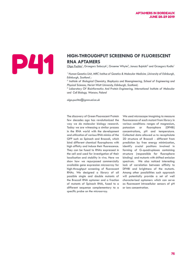# **HIGH-THROUGHPUT SCREENING OF FLUORESCENT<br>
RNA APTAMERS**<br>
<u>Olga Puchta</u><sup>1</sup>, Grzegorz Sobczyk<sup>1</sup>, Graeme Whyte<sup>2</sup>, Janusz Bujnicki<sup>3</sup> and Grzegorz Kudl<br>
<sup>1</sup> Human Genetics Unit, MRC Institue of Genetics & Molecular Medicine **RNA APTAMERS**

<u>Olga Puchta</u><sup>1</sup>, Grzegorz Sobczyk<sup>1</sup>, Graeme Whyte<sup>2</sup>, Janusz Bujnicki<sup>3</sup> and Grzegorz Kudla<sup>1</sup>

<sup>1</sup> Human Genetics Unit, MRC Institue of Genetics & Molecular Medicine , University of Edinburgh, *Edinburgh, Scotland ;* 

<sup>2</sup> Institute of Biological Chemistry, Biophysics and Bioengineering, School of Engineering and *Physical Sciences, Heriot-Watt University, Edinburgh, Scotland;* 

<sup>3</sup> Laboratory Of Bioinformatics And Protein Engineering, International Institute of Molecular *and Cell Biology, Warsaw, Poland*

*olga.puchta@igmm.ed.ac.uk*

The discovery of Green Fluorescent Protein few decades ago has revolutionized the way we do molecular biology research. Today we are witnessing a similar process in the RNA world with the development and utilization of various RNA mimics of the GFP such as Spinach and Broccoli, which bind different chemical fluorophores with high affinity and induce their fluorescence. They can be fused to RNAs expressed in the cell and used for investigation of their localisation and stability in vivo. Here we show how we repurposed commercially available gene expression microarray for high-throughput screening of fluorescent RNAs. We designed a library of all possible single and double mutants of the Broccoli RNA aptamer and a fraction of mutants of Spinach RNA, fused to a different sequence complementary to a specific probe on the microarray.

We used microscope imagining to measure fluorescence of each mutant from library in various conditions: ranges of magnesium, potassium or fluorophore (DFHBI) concentrations, pH and temperature. Collected data allowed us to recapitulate 2D structure of Broccoli - different from prediction by free energy minimization, identify crucial positions involved in forming of G-quadruplexes containing structure (responsible for fluorophore binding) and mutants with shifted emission spectrum. We also noticed interesting lack of correlation between affinity to DFHBI and brightness of the mutants. Among other possibilities such approach will potentially provide a set of well characterised aptamers which can serve as fluorescent intracellular sensors of pH or ions concentration.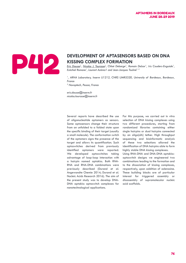

### **DEVELOPMENT OF APTASENSORS BASED ON DNA KISSING COMPLEX FORMATION**

*Eric Dausse1 , Nicolas J. Tourasse1 , Chloé Debarge1 , Romain Delzor1 , Iris Couderc-Enguiale1 , Ezéchiel Romone1 , Laurent Azéma1 and Jean-Jacques Toulmé1, 2*

<sup>1</sup>, ARNA Laboratory, Inserm U1212, CNRS UMR5320, University of Bordeaux, Bordeaux, *France*

*2 Novaptech, Pessac, France* 

*eric.dausse@inserm.fr nicolas.tourasse@inserm.fr*

Several reports have described the use of oligonucleotide aptamers as sensors. Some aptasensors change their structure from an unfolded to a folded state upon the specific binding of their target (usually a small molecule). The conformation switch of the aptamers signs the presence of the target and allows its quantification. Such aptaswitches derived from previously identified aptamers were reported. We developed aptaswitches taking advantage of loop-loop interaction with a hairpin named aptakiss. Both RNA-RNA and RNA-DNA combinations were previously described (Durand et al. Angewandte Chemie 2014; Durand et al. Nucleic Acids Research 2016). The aim of the present study was to develop DNA-DNA aptakiss aptaswitch complexes for nanotechnological applications.

For this purpose, we carried out in vitro selection of DNA kissing complexes using two different procedures, starting from randomized libraries containing either single hairpins or dual hairpins connected by an oligo(dA) tether. High throughput sequencing and bioinformatic analysis of these two selections allowed the identification of DNA hairpins able to form highly stable DNA kissing complexes.

Using RNA-DNA and DNA-DNA aptakissaptaswitch designs we engineered two combinations leading to the formation and to the dissociation of kissing complexes, respectively, upon addition of adenosine. These building blocks are of particular interest for triggered assembly or disassembly of supramolecular nucleic acid scaffolds.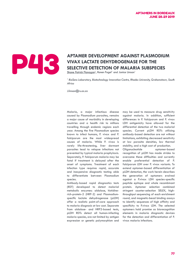

### **APTAMER DEVELOPMENT AGAINST PLASMODIUM**<br> **P43 APTAMER DEVELOPMENT AGAINST PLASMODIUM**<br> **SELECTIVE DETECTION OF MALARIA SUBSPECIES**<br>
Shane Patrick Flanagan<sup>1</sup>, Ronen Fogel<sup>1</sup> and Janice Limson<sup>1</sup> **VIVAX LACTATE DEHYDROGENASE FOR THE SELECTIVE DETECTION OF MALARIA SUBSPECIES**

Shane Patrick Flanagan<sup>1</sup>, Ronen Fogel<sup>1</sup> and Janice Limson<sup>1</sup>

<sup>1</sup> BioSens Laboratory, Biotechnology Innovation Centre, Rhodes University, Grahamstown, South *Africa*

*J.limson@ru.ac.za*

Malaria, a major infectious disease caused by Plasmodium parasites, remains a major cause of morbidity in developing countries and a health risk to millions travelling through endemic regions each year. Among the five Plasmodium species known to infect humans, P. vivax and P. falciparum are the most widespread causes of malaria. While P. vivax is rarely life-threatening, liver dormant parasites lead to relapse infections not prevented by typical malaria prophylaxis. Separately, P. falciparum malaria may be fatal if treatment is delayed after the onset of symptoms. Treatment of each infection type requires rapid, accurate and inexpensive diagnostic testing able to differentiate between Plasmodium species.

Antibody-based rapid diagnostics tests (RDT) developed to detect malarial metabolic enzymes: aldolase, histidinerich-protein-2 (HRP-2) and Plasmodiumspecific lactate dehydrogenase (pLDH) offer a realistic point-of-care approach to malaria diagnosis at low cost. Separate from aldalose- and HRP2-based tests, pLDH RDTs detect all human-infecting malaria species, are not limited by antigen expression or genetic polymorphism and may be used to measure drug sensitivity against malaria. In addition, sufficient differences in P. falciparum and P. vivax LDH antigenicity have allowed for the differential detection of the two malarial species. Current pLDH RDTs utilizing antibody-based detection are not without limitations, exhibiting decreased sensitivity at low parasite densities, low thermal stability, and a high cost of production.

Oligonucleotide aptamer-based recognition of pLDH has made strides to overcome these difficulties and currently enable preferential detection of P. falciparum LDH over P. vivax variants. To extend aptamer-based differentiation of pLDH detection, the work herein describes the generation of aptamers evolved against a P.vivax LDH species-specific peptide epitope and whole recombinant protein. Aptamer selection combined stringent counter-selection SELEX, highthroughput sequencing of each enrichment round, and magnetic-bead binding assays to identify sequences of high affinity and specificity to P.vivax LDH. The selected aptamers hold promise as biorecognition elements in malaria diagnostic devices for the detection and differentiation of P. vivax malaria infections.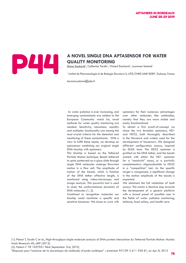### **A NOVEL SINGLE DNA APTASENSOR FOR WATER QUALITY MONITORING**<br>Diana Soukarié<sup>1</sup>, Catherine Tardin<sup>1</sup>, Vincent Ecochard<sup>1</sup>, Laurence Salomé<sup>1</sup> **QUALITY MONITORING**

Diana Soukarié*<sup>1</sup>* , Catherine Tardin*<sup>1</sup>* , Vincent Ecochard*<sup>1</sup>* , Laurence Salomé*<sup>1</sup>*

*1 Institut de Pharmacologie et de Biologie Structura1e, UPS/CNRS UMR 5089, Toulouse, France*

*laurence.salome@ipbs.fr*

 As water pollution is ever increasing, and emerging contaminants are added to the European Community watch list, novel methods for water quality monitoring are needed. Sensitivity, robustness, rapidity and multiplex functionality are among the most crucial criteria for the detection and monitoring of these contaminants. With a view to fulfill these needs, we develop an aptasensor combining our original single DNA biochip with aptamers.

This biochip is based on the Tethered Particle Motion technique. Beads tethered to spots patterned on a glass slide through single DNA molecules undergo Brownian motion in a flow cell. The amplitude of motion of the beads, which is function of the DNA tether effective length, is monitored using video-microscopy and image analysis. This powerful tool is used to study the conformational dynamics of DNA molecules (1, 2).

Combined to recognition molecules our biochip could constitute a specific and sensitive biosensor. We chose to work with

aptamers for their numerous advantages over other molecules like antibodies, namely that they are more stable and easily functionalized.

To obtain a first proof-of-concept we chose the two thrombin aptamers, HD1 and HD22, both thoroughly described in the literature and widely used for the development of biosensors. We designed different configuration assays, inspired by ELISA tests. The HD22 aptamer is grafted on the DNA tether, and the beads coated with either the HD1 aptamer for a "sandwich" assay, or a partially complementary oligonucleotide to HD22 in a "competition" test. As the specific target is recognized, a significant change in the motion amplitude of the beads is expected.

We obtained the full validation of both assays. This marks a decisive step towards the development of a generic platform with a broad panel of possible uses in the fields of water pollution monitoring, defense, food safety, and health care.

(1): Plénat T, Tardin C et al., High-throughput single-molecule analysis of DNA-protein interactions by Tethered Particle Motion. Nucleic Acids Research 40, e89 (2012).

(2): Patent n° FR 1057031 filed September 3rd, 2010,

"Biopuces pour l'analyse de la dynamique de molécules d'acide nucléique" ; extension PCT/EP 2 611 940 B1, on Apr 8, 2015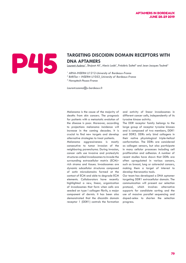

# **DNA APTAMERS**

<u>Laurent Azéma</u><sup>1</sup>, Shujaat Ali<sup>1</sup>, Alexis Lodé<sup>1</sup>, Frédéric Saltel<sup>2</sup> and Jean-Jacques Toulmé<sup>3</sup>

- <sup>1</sup> ARNA-INSERM U1212-University of Bordeaux-France
- *2 BARiTon INSERM U1053\_University of Bordeaux-France*

*3 Novaptech-Pessac-France*

*Laurent.azema@u-bordeaux.fr*

Melanoma is the cause of the majority of deaths from skin cancers. The prognosis for patients with a metastatic evolution of the disease is poor. Moreover, according to projections melanoma incidence will increase in the coming decades. It is crucial to find new targets and develop alternative strategies to treat patients.

Melanoma aggressiveness is mostly consecutive to tumor invasion of the neighboring parenchyma. During invasion, cancer cells use invasive and proteolytic structures called invadosomes to invade the surrounding extracellular matrix (ECM)– rich stroma and tissues. Invadosomes are dynamic subcellular structures composed of actin microdomains formed at the contact of ECM and able to degrade ECM elements. Collaborators have recently highlighted a new, linear, organization of invadosomes that form when cells are seeded on type I collagen fibrils, a major component of dermis. It has been also demonstrated that the discoidin domain receptor 1 (DDR1) controls the formation

and activity of linear invadosomes in different cancer cells, independently of its tyrosine kinase activity.

The DDR receptor family belongs to the large group of receptor tyrosine kinases and is composed of two members, DDR1 and DDR2. DDRs only bind collagens in their native physiological triple-helical conformation. The DDRs are considered as collagen sensors, but also participate in many cellular processes including cell proliferation and adhesion. A number of recent studies have shown that DDRs are often upregulated in various cancers, such as breast, lung or colorectal cancers, making them a target of interest to develop theranostics tools.

Our team has developed a DNA aptamer targeting DDR1 extracellular domain. The communication will present our selection protocol, which involves alternative supports for candidate sorting and the use of massive parallel sequencing and doped-selex to shorten the selection progress.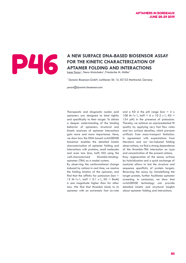### **A NEW SURFACE DNA-BASED BIOSENSOR ASSAY<br>FOR THE KINETIC CHARACTERIZATION OF<br>APTAMER FOLDING AND INTERACTIONS**<br>Internet Ponzo<sup>1</sup>, Nena Matscheko<sup>1</sup>, Friederike M. Möller<sup>1</sup> **FOR THE KINETIC CHARACTERIZATION OF APTAMER FOLDING AND INTERACTIONS**

<u>Irene Ponzo</u><sup>1</sup>, Nena Matscheko<sup>1</sup>, Friederike M. Möller<sup>1</sup>

<sup>1</sup> Dynamic Biosensors GmbH, Lochhamer Str. 15, 82152 Martinsried, Germany

*ponzo@dynamic-biosensors.com*

Therapeutic and diagnostic nucleic acid aptamers are designed to bind tightly and specifically to their target. To obtain a deeper understanding of the binding behavior of aptamers, structural and kinetic analyses of aptamer interactions gain more and more importance. Here, we show how the DNA-based switchSENSE biosensor enables the detailed kinetic characterization of aptamer folding and interactions with proteins, small molecules and even ions (kon, koff, KD) using the well-characterized thrombin-bindingaptamer (TBA) as a model system. By observing the conformational change

induced by cations in real time, we resolve the folding kinetics of the aptamer, and find that the affinity for potassium (kon  $=$ 15 M-1s-1, koff =  $0.1$  s-1, KD = 8mM) is one magnitude higher than for other ions. We find that thrombin binds to its aptamer with an extremely fast on-rate and a KD in the pM range (kon  $=$  4 x 108 M-1s-1, koff = 6 x 10-2 s-1, KD = 154 pM) in the presence of potassium. Thereby, we achieve an unprecedented fit quality by applying very fast flow rates and low surface densities, which prevents artifacts from mass-transport limitation. In agreement with expectations from literature and our ion-induced folding observations, we find a strong dependence of the thrombin-TBA interaction on type and concentration of the present cations. Easy regeneration of the sensor surface by hybridization and a quick exchange of analytes allows to test the structure and sequence specificity of protein targets. Reversing the assay by immobilizing the target protein, further facilitates aptamer screening. In conclusion, we show that switchSENSE technology can provide detailed kinetic and structural insights about aptamer folding and interactions.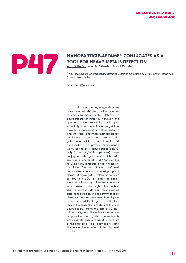

# **TOOL FOR HEAVY METALS DETECTION**

Anna N. Berlina<sup>1</sup>, Anatoly V. Zherdev<sup>1</sup>, Boris B. Dzantiev<sup>1</sup>

<sup>1</sup> A.N. Bach Institute of Biochemistry, Research Center of Biotechnology of the Russian Academy of *Sciences, Moscow, Russia*

*berlina.anna@gmail.com*

In recent years, oligonucleotides have been widely used as the receptor molecules for heavy metals detection in environmental monitoring. However, the question of their selectivity is still open especially when detection of target ions happens in presence of other ones. In present work, analytical methods based on the use of conjugated aptamers with gold nanoparticles were characterized on specificity. To provide experimental work, the chosen oligonucleotides (poly-C, poly-T and G,T-rich aptamers) were conjugated with gold nanoparticles with average diameter of 31.1±4.0 nm. The resulting conjugates interacted with heavy metal ions. The interaction was confirmed by spectrophotometry (changing optical density of aggregated gold nanoparticles at 595 and 620 nm) and transmission electron microscopy. Spectrophotometry was chosen as the registration method due to surface plasmon resonance of gold nanoparticles. The selectivity of lead determination has been established by the replacement of the target ions with other ions at the concentrations close to the real environmental conditions (from 10 ng/ mL to 1 mg/mL). The advantages of the proposed approach, which determine its practical relevance, are rapidity (duration of the analysis is 1 min), easy analysis and simple visual evaluation of the obtained results.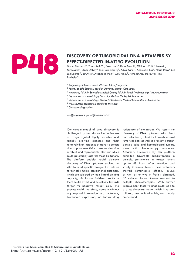# **EFFECT-DIRECTED IN-VITRO EVOLUTION**

**DISCOVERY OF TUMORICIDAL DNA APTAMERS BY**<br> **EFFECT-DIRECTED IN-VITRO EVOLUTION**<br>
Noam Mamet<sup>1,2,6</sup>, Yaniv Amir<sup>3,6,7</sup>, Erez Lavi<sup>3,6</sup>, Liron Bassali<sup>1</sup>, Gil Harari<sup>1</sup>, Itai Rusinek<sup>1</sup>,<br>
Nir Skalka<sup>3</sup>, Elinor Debby<sup>3</sup>, Mor Noam Mamet<sup>1,2,6</sup>, Yaniv Amir<sup>3,6,7</sup>, Erez Lavi<sup>3,6</sup>, Liron Bassali<sup>1</sup>, Gil Harari<sup>1</sup>, Itai Rusinek<sup>1</sup>, Nir Skalka<sup>3</sup>, Elinor Debby<sup>3</sup>, Mor Greenberg<sup>1</sup>, Adva Zamir<sup>1</sup>, Anastasia Paz<sup>3</sup>, Neria Reiss<sup>3</sup>, Gil Loewenthal<sup>1</sup>, Irit Avivi<sup>4</sup>, Avichai Shimoni<sup>5</sup>, Guy Neev<sup>3</sup>, Almogit Abu-Horowitz<sup>1</sup>, Ido Bachelet<sup>1,7</sup>

- *1 Augmanity, Rehovot, Israel. Website: http://augm.com*
- <sup>2</sup> Faculty of Life Sciences, Bar-Ilan University, Ramat-Gan, Israel
- *3 Aummune, Tel Aviv Sourasky Medical Center, Tel Aviv, Israel. Website: http://aummune.com*
- *4 Department of Hematology, Sourasky Medical Center, Tel Aviv, Israel*
- *5 Department of Hematology, Sheba-Tel Hashomer Medical Center, Ramat-Gan, Israel*
- *6 These authors contributed equally to this work*
- *7 Corresponding author*

### *ido@augm.com, yaniv@aummune.tech*

Our current model of drug discovery is challenged by the relative ineffectiveness of drugs against highly variable and rapidly evolving diseases and their relatively high incidence of adverse effects due to poor selectivity. Here we describe a robust and reproducible platform which could potentially address these limitations. The platform enables rapid, de-novo discovery of DNA aptamers evolved invitro to exert specific biological effects on target cells. Unlike conventional aptamers, which are selected by their ligand binding capacity, this platform is driven directly by therapeutic effect and selectivity towards target vs negative target cells. The process could, therefore, operate without any a-priori knowledge (e.g. mutations, biomarker expression, or known drug

resistance) of the target. We report the discovery of DNA aptamers with direct and selective cytotoxicity towards several tumor cell lines as well as primary, patientderived solid and hematological tumors, some with chemotherapy resistance. Aptamers discovered by this platform exhibited favorable biodistribution in animals, persistence in target tumors up to 48 hours after injection, and safety in human blood. These aptamers showed remarkable efficacy in-vivo as well as ex-vivo in freshly obtained, 3D cultured human tumors resistant to multiple chemotherapies. With further improvement, these findings could lead to a drug discovery model which is targettailored, mechanism-flexible, and nearly on-demand.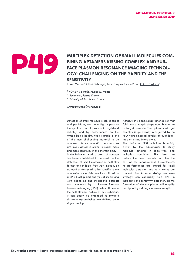### MULTIPLEX DETECTION OF SMALL MOLECULES COM-<br>BINING APTAMERS KISSING COMPLEX AND SURFACE PLASMON RESONANCE IMAGING TECHNOL-**BINING APTAMERS KISSING COMPLEX AND SUR-FACE PLASMON RESONANCE IMAGING TECHNOL-OGY: CHALLENGING ON THE RAPIDITY AND THE SENSITIVITY**

Karen Mercier<sup>1</sup>, Chloé Debarge<sup>2</sup>, Jean-Jacques Toulmé<sup>2,3</sup> and <u>Chiraz Frydman<del>'</del></u>

*1 HORIBA Scientific, Palaiseau, France*

*2 Novaptech, Pessac, France*

*3 University of Bordeaux, France*

*Chiraz.frydman@horiba.com*

Detection of small molecules such as toxins and pesticides, can have high impact on the quality control process in agri-food industry and by consequence on the human being health. Food sample is one of the most challenging material to be analysed. Many analytical approaches are investigated in order to reach more and more sensitivity in the shortest time. In the following work a proof of concept has been established to demonstrate the detection of small molecules in multiplex format and in label-free way. Indeed, an aptaswitch designed to be specific to the adenosine nucleoside was immobilized on a SPRi-Biochip and analysis of its binding with adenosine and its specific aptakiss was monitored by a Surface Plasmon Resonance imaging (SPRi) system. Thanks to the multiplexing feature of this technique, it can easily be extended to multiple different aptaswitches immobilized on a single biochip.

Aptaswitch is a special aptamer design that folds into a hairpin shape upon binding to its target molecule. The aptaswitch-target complex is specifically recognized by an RNA hairpin named aptakiss through looploop or kissing interactions.

The choice of SPRi technique is mainly driven by the advantages to study molecule binding in label-free and multiplex conditions. This leads to reduce the time analysis and thus the cost of the measurement. Nevertheless, its performances are limited for small molecules detection and very low target concentration. Aptamer kissing complexes strategy can especially help SPRi in increasing the sensitivity detection, as the formation of the complexes will amplify the signal by adding molecular weight.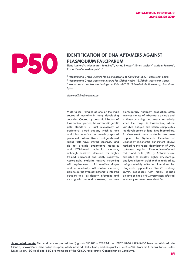## **IDENTIFICATION OF DNA APTAMERS AGAINST<br>PLASMODIUM FALCIPARUM<br>Elena Lantero<sup>12</sup>, Alexandros Belavilas<sup>12</sup>, Arnau Biosca<sup>12</sup>, Ernest Moles<sup>12</sup>, Miriam<br>Xavier Fernàndez-Busquets<sup>1,2,3</sup> PLASMODIUM FALCIPARUM**

Elena Lantero<sup>1,2</sup>, Alexandros Belavilas<sup>1,2</sup>, Arnau Biosca<sup>1,2</sup>, Ernest Moles<sup>1,2</sup>, Miriam Ramírez<sup>2</sup>, Xavier Fernàndez-Busquets<sup>1,2,3</sup>

<sup>1</sup> Nanomalaria Group, Institute for Bioengineering of Catalonia (IBEC), Barcelona, Spain;

<sup>2</sup> Nanomalaria Group, Barcelona Institute for Global Health (ISGlobal), Barcelona, Spain;

*3 Nanoscience and Nanotechnology Institute (IN2UB, Universitat de Barcelona), Barcelona, Spain*

*elantero@ibecbarcelona.eu*

Malaria still remains as one of the main causes of mortality in many developing countries. Caused by parasitic infection of Plasmodium species, the current diagnostic gold standard is light microscopy of peripheral blood smears, which is time and labor intensive, and needs prepared personnel. Alternatively, antigen-based rapid tests have limited sensitivity and do not provide quantitative measure; and PCR-based molecular methods, although sensitive, demand for highly trained personnel and costly reactives. Accordingly, malaria massive screening will require new rapid, sensitive, simple and economically affordable methods, able to detect even asymptomatic infected patients and low-density infections, and such goals demand screening for new bioreceptors. Antibody production often involves the use of laboratory animals and is time-consuming and costly, especially when the target is Plasmodium, whose variable antigen expression complicates the development of long-lived biomarkers. To circumvent these obstacles we have applied the Systematic Evolution of Ligands by EXponential enrichment (SELEX) method to the rapid identification of DNA aptamers against Plasmodium-infected red blood cells (pRBCs). Aptamers are expected to display higher dry-storage and lyophilisation stability than antibodies, being certainly suitable biomarkers for diagnostic applications. Five 70 bp-long ssDNA sequences with highly specific binding of fixed pRBCs versus non-infected erythrocytes have been identified.

**Acknowledgments:** This work was supported by: (i) grants BIO2014-52872-R and RTI2018-094579-B-I00 from the Ministerio de Ciencia, Innovación y Universidades, Spain, which included FEDER funds, and (ii) grant 2014-SGR-938 from the Generalitat de Catalunya, Spain. ISGlobal and IBEC are members of the CERCA Programme, Generalitat de Catalunya.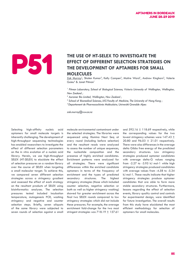### THE USE OF HT-SELEX TO INVESTIGATE THE EFFECT OF DIFFERENT SELECTION STRATEGRES FOR SM **EFFECT OF DIFFERENT SELECTION STRATEGIES ON THE DEVELOPMENT OF APTAMERS FOR SMALL MOLECULES**

Zak Murray<sup>1</sup>, Shalen Kumar<sup>2</sup>, Kelly Campen<sup>2</sup>, Matire Ward<sup>1</sup>, Andrew Kinghorn<sup>3</sup>, Valerie Guieu<sup>4</sup> & Janet Pitman<sup>1</sup>

<sup>1</sup> Pitman Laboratory, School of Biological Sciences, Victoria University of Wellington, Wellington, *New Zealand ;*

*2 Auramer Bio Limited, Wellington, New Zealand ;*

<sup>3</sup> School of Biomedical Sciences, LKS Faculty of Medicine, The University of Hong Kong;

*<sup>4</sup>Departement de Pharmacochimie Moléculaire, Université Grenoble Alpes*

*zak.murray@vuw.ac.nz*

Selecting high-affinity nucleic acid aptamers for small molecule targets is inherently challenging. The development of high-throughput sequencing technologies has enabled researchers to investigate the effect of different selection parameters on the in vitro evolution of a nucleic acid library. Herein, we use high-throughput SELEX (HT-SELEX) to elucidate the effect of selection pressures on a random library over the course of SELEX when targeting a small molecular target. To achieve this, we compared seven different selection strategies across a stringency gradient and assessed the effect of each strategy on the resultant products of SELEX using bioinformatics analyses. The selection pressures tested included incubation temperature, mutagenesis PCR, washing stringency and negative and counter selection steps. Briefly, seven aliquots of the same library were subjected to seven rounds of selection against a small

molecule environmental contaminant under the selected strategies. The libraries were sequenced using Illuming Next Seq at every round (including before selection) and the resultant reads were analyzed to assess the number of unique sequences, the nucleotide composition and the presence of highly enriched candidates. Enrichment patterns were analyzed for all strategies. There were significant differences within the enriched candidate aptamers in terms of the frequency of enrichment and the types of predicted secondary structures. The highest stringency strategies (those which included counter selection, negative selection or both as well as higher stringency washing) showed far greater enrichment across the final two SELEX rounds compared to low stringency strategies which did not include these pressures. For example, the average enrichment fold-change for the two most stringent strategies was  $718.19 \pm 157.61$ 

and  $592.16 \pm 118.69$  respectively, while the corresponding values for the two lowest stringency schemes were 147.43 ± 20.80 and 96.03  $\pm$  21.01 respectively. There were also differences in the average delta Gibbs free energy of the predicted secondary structures. Low stringency strategies produced aptamer candidates with average delta-G values ranging from -2.27 to -3.95 kJ mol-1 while high stringency strategies produced candidates with average values from -4.58 to -5.34 kJ mol-1. These results indicate that higher stringency strategies produce aptamer candidates that are able to form more stable secondary structures. Furthermore, lessons regarding the effect of selection events, library quality control and controls for experimental design, were identified for future investigation. The overall results from this study have elucidated the most efficient methodology for selection of aptamers for small molecules.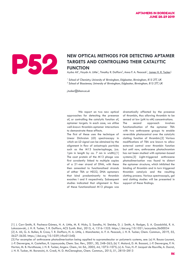

### NEW OPTICAL METHODS FOR DETECTING APTAMER TARGETS AND CONTROLLING THEIR CATALYTIC<br>FUNCTION **TARGETS AND CONTROLLING THEIR CATALYTIC FUNCTION**

Aysha Ali<sup>1</sup>, Haydn A. Little<sup>1</sup>, Timothy R. Dafforn<sup>2</sup>, Anna F. A. Peacock<sup>1</sup>, <u>James H. R. Tucker<sup>1</sup></u>

<sup>1</sup> School of Chemistry, University of Birmingham, Edgbaston, Birmingham, B15 2TT, UK

<sup>2</sup> School of Biosciences, University of Birmingham, Edgbaston, Birmingham, B15 2TT, UK

*j.tucker@bham.ac.uk*

We report on two new optical approaches for detecting the presence of, or controlling the catalytic function of, aptamer targets. In each case, we utilise well-known thrombin-aptamer interactions to demonstrate these effects.

The first of these uses the technique of Linear Dichroism (LD) spectroscopy in which an LD signal can be obtained by the alignment in flow of anisotropic particles such as the M13 bacteriophage, (ca. 1µm in length by ca. 7 nm in width).[1] The coat protein of the M13 phage was first covalently linked to multiple copies of a 21-mer strand of DNA, with these then annealed to functionalised strands of either TBA or HD22, DNA aptamers that bind predominantly to thrombin exosites I and II respectively. Subsequent studies indicated that alignment in flow of these functionalized M13 phages was

dramatically affected by the presence of thrombin, thus allowing thrombin to be sensed at low (pM to nM) concentrations. The second approach involves functionalisation of the aptamer TBA with two anthracene groups to enable reversible photocontrol over the catalytic clotting function of thrombin.[2] Various modifications of TBA are known to allow external control over thrombin function but until now, anthracene photochromism has not been studied with aptamer-based systems.[3] Light-triggered anthracene photodimerisation was found to distort the aptamer structure, which inhibited the binding of thrombin and in turn triggered thrombin catalysis and the resulting clotting process. Various spectroscopic, gel and clotting studies will be presented in support of these findings.

[1] J. Carr-Smith, R. Pacheco-Gómez, H. A. Little, M. R. Hicks, S. Sandhu, N. Steinke, D. J. Smith, A. Rodger, S. A. Goodchild, R. A. Lukaszewski, J. H. R. Tucker, T. R. Dafforn, ACS Synth. Biol., 2015, 4, 1316-1325. https://doi.org/10.1021/acssynbio.5b00034 [2] A. Ali, G. A. Bullen, B. Cross, T. R. Dafforn, H. A. Little, J. Manchester, A. F. A. Peacock, J. H. R. Tucker, Chem. Commun., 2019, 55, 5627-5630. https://doi.org/10.1039/c9cc01540j

[3] For examples of anthracene photodimerisation being applied to supramolecular or polymeric systems, see: (a) H. Bouas-Laurent, J.-P. Desvergne, A. Castellan, R. Lapouyade, Chem. Soc. Rev., 2001, 30, 248–263; (b) Y. Molard, D. M. Bassani, J.-P. Desvergne, P. N. Horton, M. B. Hursthouse, J. H. R. Tucker, Angew. Chem., Int. Ed., 2005, 44, 1072–1075; (c) A. Tron, H.-P. Jacquot de Rouville, A. Ducrot, J. H. R. Tucker, M. Baroncini, A. Credi, N. D. McClenaghan, Chem. Commun., 2015, 51, 2810–2813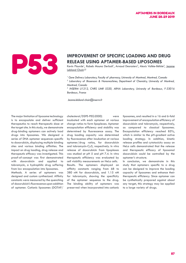

# **RELEASE USING APTAMER-BASED LIPOSOMES**

Kevin Plourde<sup>1</sup>, Rabeb Mouna Derbali<sup>1</sup>, Arnaud Desrosiers<sup>2</sup>, Alexis Vallée-Bélisle<sup>2</sup>, Jeanne Leblond Chain<sup>1,3</sup>

<sup>1</sup> Gene Delivery Laboratory, Faculty of pharmacy, University of Montreal, Montreal, Canada

*2 Laboratory of Biosensors & Nanomachines, Department of Chemistry, University of Montreal, Montreal, Canada*

*3 INSERM U1212, CNRS UMR 5320, ARNA Laboratory, University of Bordeaux, F-33016 Bordeaux, France*

 *Jeanne.leblond-chain@inserm.fr* 

The major limitation of liposome technology is to encapsulate and deliver sufficient therapeutics to reach therapeutic dose at the target site. In this study, we demonstrate drug-binding aptamers can actively load drugs into liposomes. We designed a series of DNA aptamer sequences specific to doxorubicin, displaying multiple binding sites and various binding affinities. The impact on drug loading, drug release and therapeutic efficacy was investigated. This proof-of-concept was first demonstrated with doxorubicin and applied to tobramycin, a hydrophilic drug suffering from low encapsulation into liposomes. Methods. A series of aptamers was designed and custom synthesized. Affinity constants were measured by the quenching of doxorubicin's fluorescence upon addition

of aptamer. Cationic liposomes (DOTAP/

cholesterol/DSPE-PEG2000) were incubated with each aptamer at various charge ratios to form lipoplexes. Aptamer encapsulation efficiency and stability was determined by fluorescence assay. The drug loading capacity was determined by fluorescence after incubation at various aptamer/drug ratios, for doxorubicin and tobramycin-Cy5, respectively. In vitro release of doxorubicin from lipoplexes was studied at pH 5 and pH 7.4. In vitro therapeutic efficiency was evaluated by cell viability measurements on HeLa cells. Results. The aptamers displayed an affinity constants ranging from 68 to 380 nM for doxorubicin, and 1.15 nM for tobramycin, showing the specificity of the aptamer sequence to the drug. The binding ability of aptamers was preserved when incorporated into cationic liposomes, and resulted in a 16 and 6-fold improvement of encapsulation efficiency of doxorubicin and tobramycin, respectively, as compared to classical liposomes. Encapsulation efficiency reached 85%, which is similar to the pH-gradient active loading strategy. In addition, kinetic release profiles and cytotoxicity assay on HeLa cells demonstrated that the release and therapeutic efficacy of liposomal doxorubicin could be controlled by the aptamer's structure.

In conclusion, we demonstrate in this study that aptamers specific to a drug can be designed to improve the loading capacity of liposomes and enhance their therapeutic efficiency. Since aptamer can be synthetically prepared against about any target, this strategy may be applied to a large variety of drugs.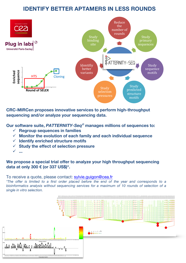### **IDENTIFY BETTER APTAMERS IN LESS ROUNDS**



**CRC-MIRCen proposes innovative services to perform high-throughput sequencing and/or analyze your sequencing data.** 

**Our software suite,** *PATTERNITY-Seq©* **manages millions of sequences to:**

- ü **Regroup sequences in families**
- ü **Monitor the evolution of each family and each individual sequence**
- ü **Identify enriched structure motifs**
- ü **Study the effect of selection pressure**
- ü **...**

**We propose a special trial offer to analyze your high throughput sequencing data at only 300 € (or 337 US\$)\*.** 

To receive a quote, please contact: sylvie.guigon@cea.fr

*\*The offer is limited to a first order placed before the end of the year and corresponds to a bioinformatics analysis without sequencing services for a maximum of 10 rounds of selection of a single in vitro selection.*